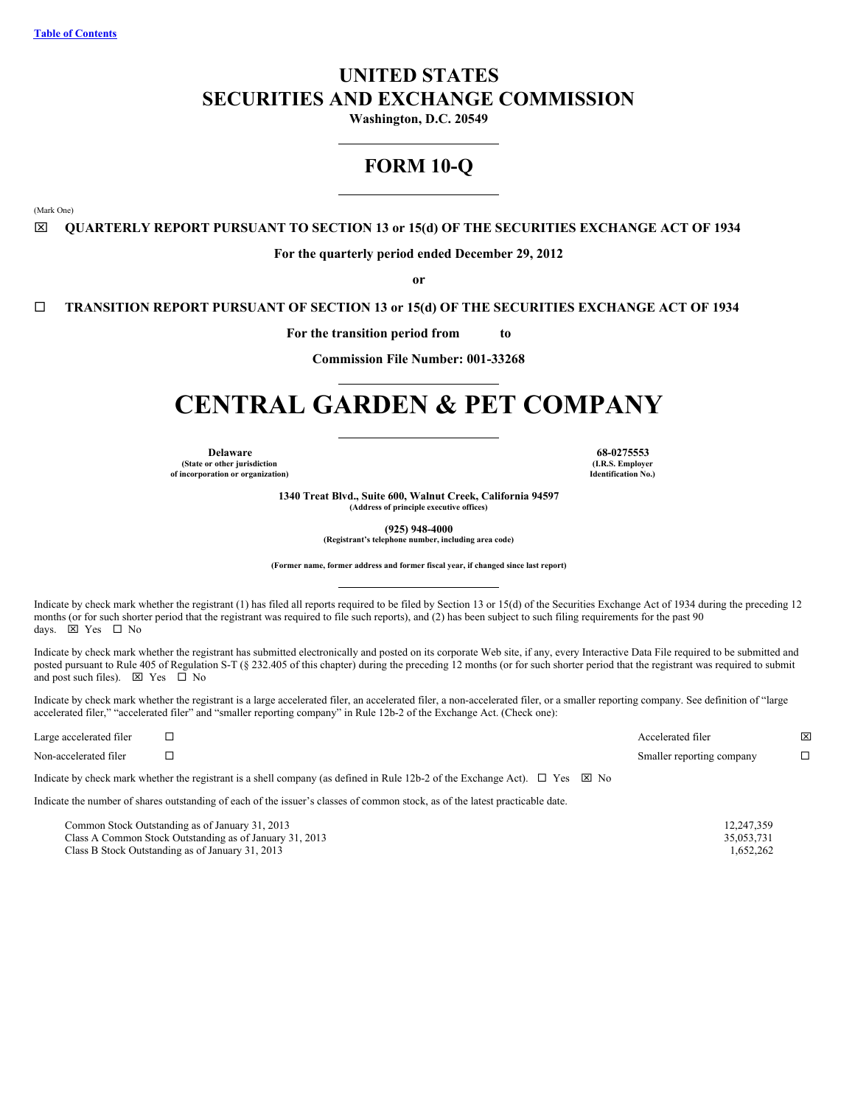# <span id="page-0-0"></span>**UNITED STATES SECURITIES AND EXCHANGE COMMISSION**

**Washington, D.C. 20549**

# **FORM 10-Q**

(Mark One)

x **QUARTERLY REPORT PURSUANT TO SECTION 13 or 15(d) OF THE SECURITIES EXCHANGE ACT OF 1934**

**For the quarterly period ended December 29, 2012**

**or**

¨ **TRANSITION REPORT PURSUANT OF SECTION 13 or 15(d) OF THE SECURITIES EXCHANGE ACT OF 1934**

**For the transition period from to**

**Commission File Number: 001-33268**

# **CENTRAL GARDEN & PET COMPANY**

**(State or other jurisdiction**

**of incorporation or organization)**

**Delaware 68-0275553 (I.R.S. Employer Identification No.)**

> **1340 Treat Blvd., Suite 600, Walnut Creek, California 94597 (Address of principle executive offices)**

> > **(925) 948-4000**

**(Registrant's telephone number, including area code)**

**(Former name, former address and former fiscal year, if changed since last report)**

Indicate by check mark whether the registrant (1) has filed all reports required to be filed by Section 13 or 15(d) of the Securities Exchange Act of 1934 during the preceding 12 months (or for such shorter period that the registrant was required to file such reports), and (2) has been subject to such filing requirements for the past 90 days.  $\boxtimes$  Yes  $\Box$  No

Indicate by check mark whether the registrant has submitted electronically and posted on its corporate Web site, if any, every Interactive Data File required to be submitted and posted pursuant to Rule 405 of Regulation S-T (§ 232.405 of this chapter) during the preceding 12 months (or for such shorter period that the registrant was required to submit and post such files).  $\boxtimes$  Yes  $\Box$  No

Indicate by check mark whether the registrant is a large accelerated filer, an accelerated filer, a non-accelerated filer, or a smaller reporting company. See definition of "large accelerated filer," "accelerated filer" and "smaller reporting company" in Rule 12b-2 of the Exchange Act. (Check one):

Large accelerated filer  $\square$ Non-accelerated filer ¨ Smaller reporting company ¨

Indicate by check mark whether the registrant is a shell company (as defined in Rule 12b-2 of the Exchange Act).  $\Box$  Yes  $\boxtimes$  No

Indicate the number of shares outstanding of each of the issuer's classes of common stock, as of the latest practicable date.

| Common Stock Outstanding as of January 31, 2013         | 12.247.359 |
|---------------------------------------------------------|------------|
| Class A Common Stock Outstanding as of January 31, 2013 | 35,053,731 |
| Class B Stock Outstanding as of January 31, 2013        | 1.652.262  |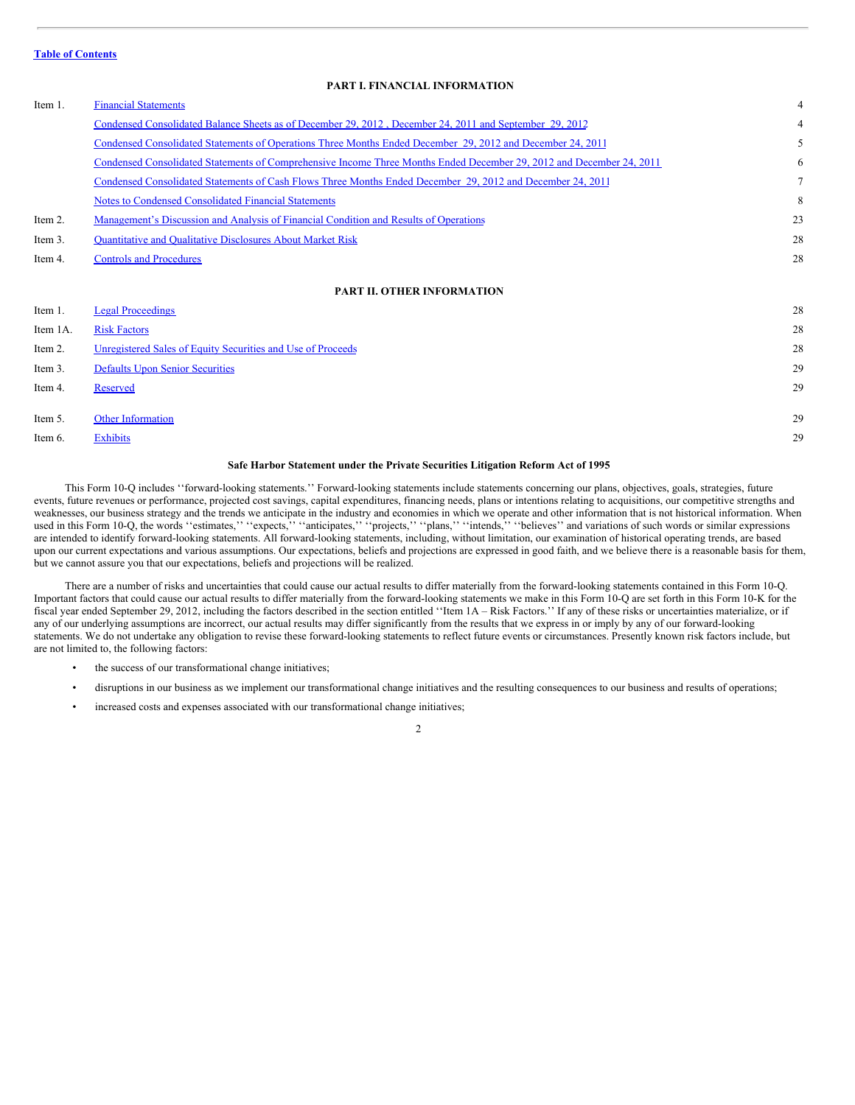## <span id="page-1-0"></span>**PART I. FINANCIAL INFORMATION**

| Item 1.  | <b>Financial Statements</b>                                                                                          | $\overline{4}$ |
|----------|----------------------------------------------------------------------------------------------------------------------|----------------|
|          | Condensed Consolidated Balance Sheets as of December 29, 2012, December 24, 2011 and September 29, 2012              | $\overline{4}$ |
|          | Condensed Consolidated Statements of Operations Three Months Ended December 29, 2012 and December 24, 2011           | 5              |
|          | Condensed Consolidated Statements of Comprehensive Income Three Months Ended December 29, 2012 and December 24, 2011 | 6              |
|          | Condensed Consolidated Statements of Cash Flows Three Months Ended December 29, 2012 and December 24, 2011           | 7              |
|          | <b>Notes to Condensed Consolidated Financial Statements</b>                                                          | 8              |
| Item 2.  | Management's Discussion and Analysis of Financial Condition and Results of Operations                                | 23             |
| Item 3.  | <b>Quantitative and Qualitative Disclosures About Market Risk</b>                                                    | 28             |
| Item 4.  | <b>Controls and Procedures</b>                                                                                       | 28             |
|          | <b>PART II. OTHER INFORMATION</b>                                                                                    |                |
| Item 1.  | <b>Legal Proceedings</b>                                                                                             | 28             |
| Item 1A. | <b>Risk Factors</b>                                                                                                  | 28             |
| Item 2.  | Unregistered Sales of Equity Securities and Use of Proceeds                                                          | 28             |
| Item 3.  | <b>Defaults Upon Senior Securities</b>                                                                               | 29             |
| Item 4.  | Reserved                                                                                                             | 29             |
| Item 5.  | <b>Other Information</b>                                                                                             | 29             |
| Item 6.  | <b>Exhibits</b>                                                                                                      | 29             |

#### **Safe Harbor Statement under the Private Securities Litigation Reform Act of 1995**

This Form 10-Q includes ''forward-looking statements.'' Forward-looking statements include statements concerning our plans, objectives, goals, strategies, future events, future revenues or performance, projected cost savings, capital expenditures, financing needs, plans or intentions relating to acquisitions, our competitive strengths and weaknesses, our business strategy and the trends we anticipate in the industry and economies in which we operate and other information that is not historical information. When used in this Form 10-Q, the words "estimates," "expects," "anticipates," "projects," "plans," "intends," "believes" and variations of such words or similar expressions are intended to identify forward-looking statements. All forward-looking statements, including, without limitation, our examination of historical operating trends, are based upon our current expectations and various assumptions. Our expectations, beliefs and projections are expressed in good faith, and we believe there is a reasonable basis for them, but we cannot assure you that our expectations, beliefs and projections will be realized.

There are a number of risks and uncertainties that could cause our actual results to differ materially from the forward-looking statements contained in this Form 10-Q. Important factors that could cause our actual results to differ materially from the forward-looking statements we make in this Form 10-Q are set forth in this Form 10-K for the fiscal year ended September 29, 2012, including the factors described in the section entitled "Item 1A - Risk Factors." If any of these risks or uncertainties materialize, or if any of our underlying assumptions are incorrect, our actual results may differ significantly from the results that we express in or imply by any of our forward-looking statements. We do not undertake any obligation to revise these forward-looking statements to reflect future events or circumstances. Presently known risk factors include, but are not limited to, the following factors:

- the success of our transformational change initiatives;
- disruptions in our business as we implement our transformational change initiatives and the resulting consequences to our business and results of operations;
- increased costs and expenses associated with our transformational change initiatives;

 $\overline{\phantom{a}}$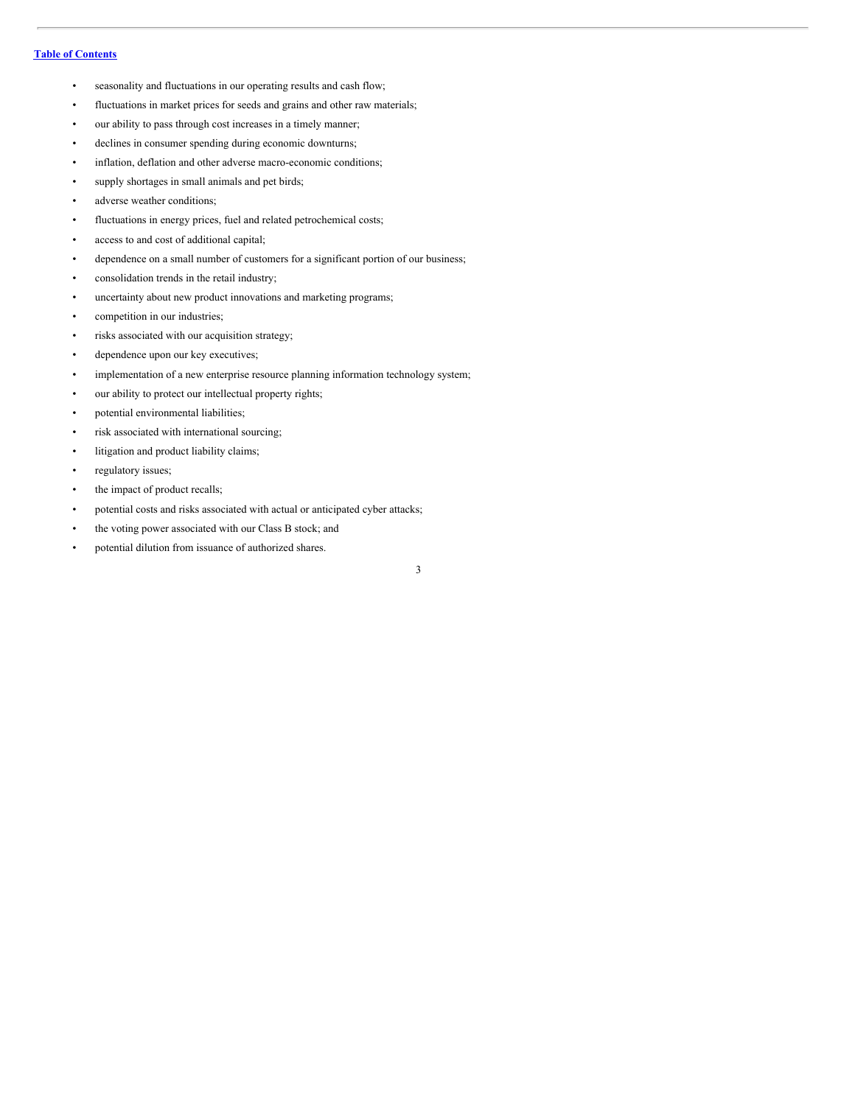- seasonality and fluctuations in our operating results and cash flow;
- fluctuations in market prices for seeds and grains and other raw materials;
- our ability to pass through cost increases in a timely manner;
- declines in consumer spending during economic downturns;
- inflation, deflation and other adverse macro-economic conditions;
- supply shortages in small animals and pet birds;
- adverse weather conditions;
- fluctuations in energy prices, fuel and related petrochemical costs;
- access to and cost of additional capital;
- dependence on a small number of customers for a significant portion of our business;
- consolidation trends in the retail industry;
- uncertainty about new product innovations and marketing programs;
- competition in our industries;
- risks associated with our acquisition strategy;
- dependence upon our key executives;
- implementation of a new enterprise resource planning information technology system;
- our ability to protect our intellectual property rights;
- potential environmental liabilities;
- risk associated with international sourcing;
- litigation and product liability claims;
- regulatory issues;
- the impact of product recalls;
- potential costs and risks associated with actual or anticipated cyber attacks;
- the voting power associated with our Class B stock; and
- potential dilution from issuance of authorized shares.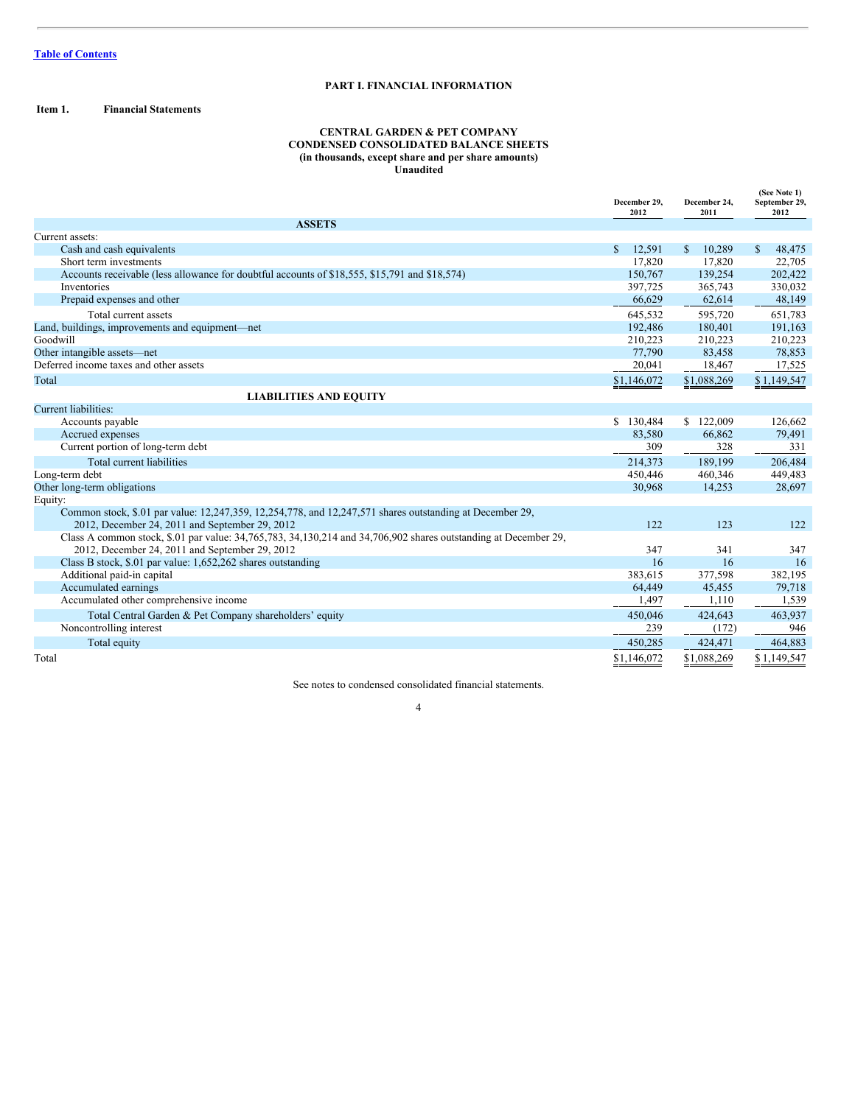## **PART I. FINANCIAL INFORMATION**

## <span id="page-3-0"></span>**Item 1. Financial Statements**

## **CENTRAL GARDEN & PET COMPANY CONDENSED CONSOLIDATED BALANCE SHEETS (in thousands, except share and per share amounts) Unaudited**

|                                                                                                                 | December 29,<br>2012   | December 24,<br>2011   | (See Note 1)<br>September 29,<br>2012 |
|-----------------------------------------------------------------------------------------------------------------|------------------------|------------------------|---------------------------------------|
| <b>ASSETS</b>                                                                                                   |                        |                        |                                       |
| Current assets:                                                                                                 |                        |                        |                                       |
| Cash and cash equivalents                                                                                       | 12.591<br>$\mathbb{S}$ | 10,289<br>$\mathbb{S}$ | $\mathbb{S}$<br>48,475                |
| Short term investments                                                                                          | 17,820                 | 17,820                 | 22,705                                |
| Accounts receivable (less allowance for doubtful accounts of \$18,555, \$15,791 and \$18,574)                   | 150,767                | 139,254                | 202,422                               |
| Inventories                                                                                                     | 397,725                | 365,743                | 330,032                               |
| Prepaid expenses and other                                                                                      | 66,629                 | 62,614                 | 48,149                                |
| Total current assets                                                                                            | 645,532                | 595,720                | 651,783                               |
| Land, buildings, improvements and equipment—net                                                                 | 192,486                | 180,401                | 191,163                               |
| Goodwill                                                                                                        | 210,223                | 210,223                | 210,223                               |
| Other intangible assets-net                                                                                     | 77,790                 | 83,458                 | 78,853                                |
| Deferred income taxes and other assets                                                                          | 20,041                 | 18,467                 | 17,525                                |
| Total                                                                                                           | \$1,146,072            | \$1,088,269            | \$1,149,547                           |
| <b>LIABILITIES AND EQUITY</b>                                                                                   |                        |                        |                                       |
| Current liabilities:                                                                                            |                        |                        |                                       |
| Accounts payable                                                                                                | \$130,484              | \$122,009              | 126,662                               |
| Accrued expenses                                                                                                | 83,580                 | 66,862                 | 79,491                                |
| Current portion of long-term debt                                                                               | 309                    | 328                    | 331                                   |
| Total current liabilities                                                                                       | 214,373                | 189,199                | 206,484                               |
| Long-term debt                                                                                                  | 450,446                | 460,346                | 449,483                               |
| Other long-term obligations                                                                                     | 30,968                 | 14,253                 | 28,697                                |
| Equity:                                                                                                         |                        |                        |                                       |
| Common stock, \$.01 par value: 12,247,359, 12,254,778, and 12,247,571 shares outstanding at December 29,        |                        |                        |                                       |
| 2012, December 24, 2011 and September 29, 2012                                                                  | 122                    | 123                    | 122                                   |
| Class A common stock, \$.01 par value: 34,765,783, 34,130,214 and 34,706,902 shares outstanding at December 29, |                        |                        |                                       |
| 2012, December 24, 2011 and September 29, 2012                                                                  | 347                    | 341                    | 347                                   |
| Class B stock, \$.01 par value: 1,652,262 shares outstanding                                                    | 16                     | 16                     | 16                                    |
| Additional paid-in capital                                                                                      | 383.615                | 377,598                | 382,195                               |
| Accumulated earnings                                                                                            | 64,449                 | 45,455                 | 79,718                                |
| Accumulated other comprehensive income                                                                          | 1,497                  | 1,110                  | 1,539                                 |
| Total Central Garden & Pet Company shareholders' equity                                                         | 450,046                | 424,643                | 463,937                               |
| Noncontrolling interest                                                                                         | 239                    | (172)                  | 946                                   |
| Total equity                                                                                                    | 450.285                | 424,471                | 464,883                               |
| Total                                                                                                           | \$1,146,072            | \$1,088,269            | \$1,149,547                           |

See notes to condensed consolidated financial statements.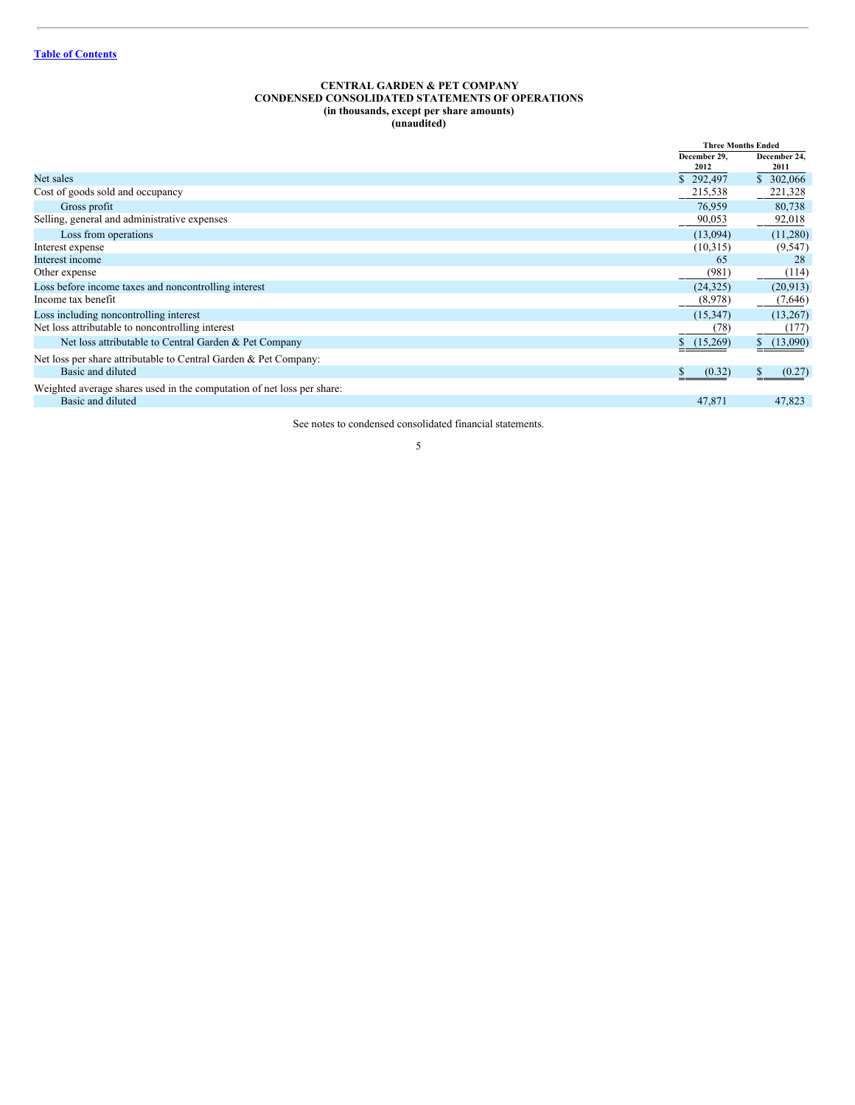#### <span id="page-4-0"></span>**CENTRAL GARDEN & PET COMPANY CONDENSED CONSOLIDATED STATEMENTS OF OPERATIONS (in thousands, except per share amounts) (unaudited)**

|                                                                        | <b>Three Months Ended</b> |                      |
|------------------------------------------------------------------------|---------------------------|----------------------|
|                                                                        | December 29,<br>2012      | December 24,<br>2011 |
| Net sales                                                              | \$292,497                 | \$302,066            |
| Cost of goods sold and occupancy                                       | 215,538                   | 221,328              |
| Gross profit                                                           | 76,959                    | 80,738               |
| Selling, general and administrative expenses                           | 90,053                    | 92,018               |
| Loss from operations                                                   | (13,094)                  | (11,280)             |
| Interest expense                                                       | (10,315)                  | (9, 547)             |
| Interest income                                                        | 65                        | 28                   |
| Other expense                                                          | (981)                     | (114)                |
| Loss before income taxes and noncontrolling interest                   | (24, 325)                 | (20,913)             |
| Income tax benefit                                                     | (8,978)                   | (7,646)              |
| Loss including noncontrolling interest                                 | (15, 347)                 | (13,267)             |
| Net loss attributable to noncontrolling interest                       | (78)                      | (177)                |
| Net loss attributable to Central Garden & Pet Company                  | (15,269)                  | \$(13,090)           |
| Net loss per share attributable to Central Garden & Pet Company:       |                           |                      |
| Basic and diluted                                                      | (0.32)<br>D.              | (0.27)               |
| Weighted average shares used in the computation of net loss per share: |                           |                      |
| Basic and diluted                                                      | 47,871                    | 47,823               |

See notes to condensed consolidated financial statements.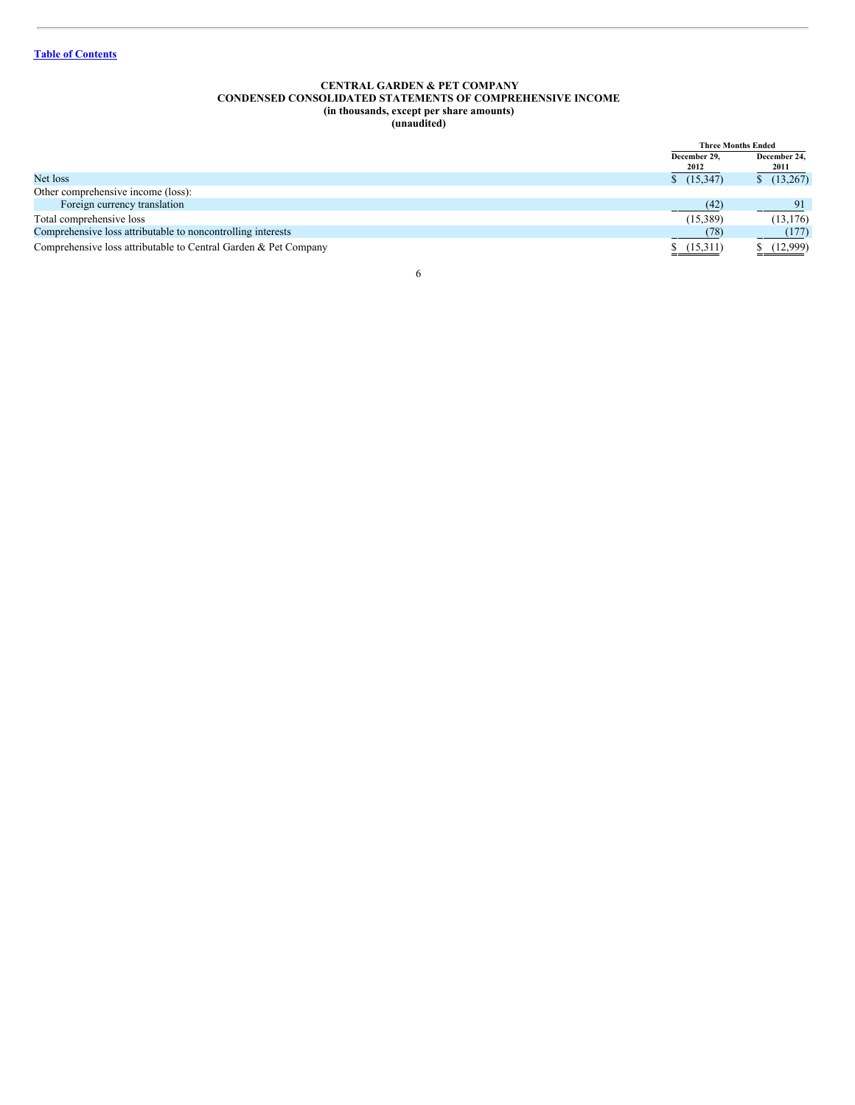#### <span id="page-5-0"></span>**CENTRAL GARDEN & PET COMPANY CONDENSED CONSOLIDATED STATEMENTS OF COMPREHENSIVE INCOME (in thousands, except per share amounts) (unaudited)**

|                                                                 |                      | <b>Three Months Ended</b> |
|-----------------------------------------------------------------|----------------------|---------------------------|
|                                                                 | December 29.<br>2012 | December 24,<br>2011      |
| Net loss                                                        | \$(15,347)           | (13,267)                  |
| Other comprehensive income (loss):                              |                      |                           |
| Foreign currency translation                                    | (42)                 | 91                        |
| Total comprehensive loss                                        | (15, 389)            | (13, 176)                 |
| Comprehensive loss attributable to noncontrolling interests     | (78)                 | (177)                     |
| Comprehensive loss attributable to Central Garden & Pet Company | (15,311)             | (12,999)                  |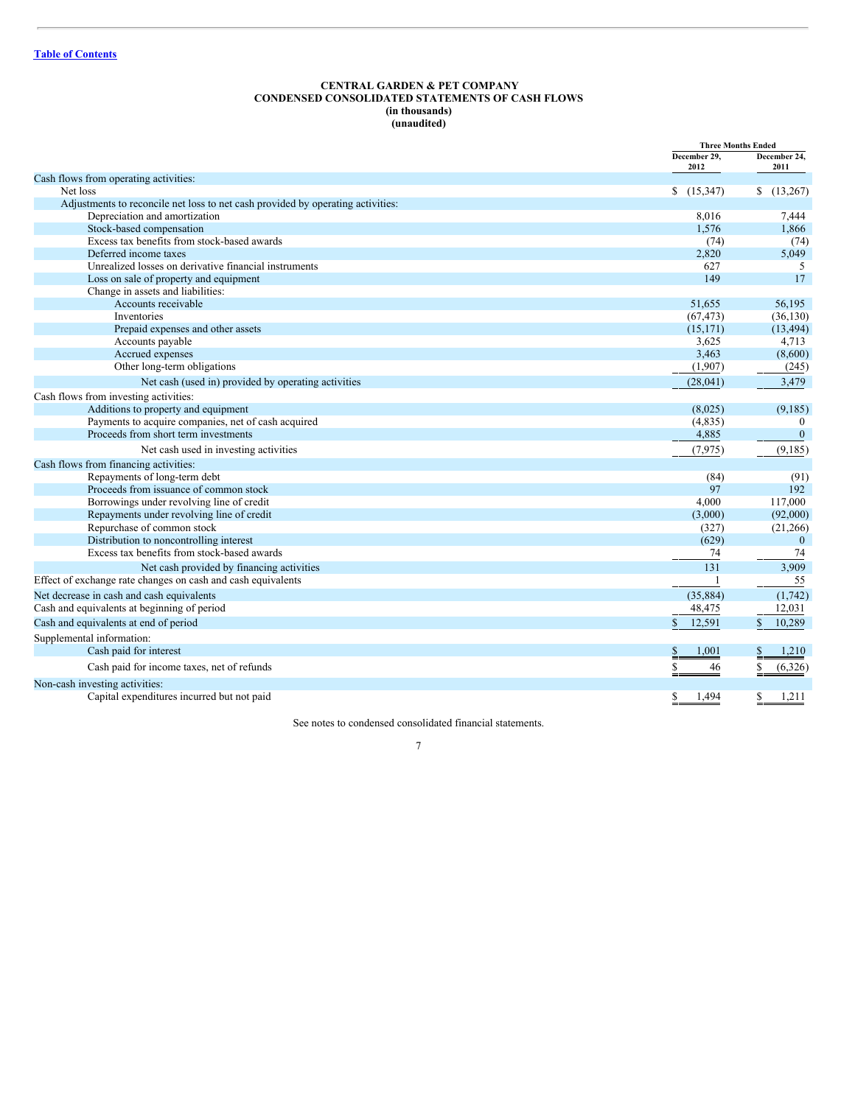#### <span id="page-6-0"></span>**CENTRAL GARDEN & PET COMPANY CONDENSED CONSOLIDATED STATEMENTS OF CASH FLOWS (in thousands) (unaudited)**

|                                                                                 |                      | <b>Three Months Ended</b> |
|---------------------------------------------------------------------------------|----------------------|---------------------------|
|                                                                                 | December 29.<br>2012 | December 24.<br>2011      |
| Cash flows from operating activities:                                           |                      |                           |
| Net loss                                                                        | (15,347)             | \$<br>(13,267)            |
| Adjustments to reconcile net loss to net cash provided by operating activities: |                      |                           |
| Depreciation and amortization                                                   | 8,016                | 7,444                     |
| Stock-based compensation                                                        | 1.576                | 1,866                     |
| Excess tax benefits from stock-based awards                                     | (74)                 | (74)                      |
| Deferred income taxes                                                           | 2,820                | 5,049                     |
| Unrealized losses on derivative financial instruments                           | 627                  | 5                         |
| Loss on sale of property and equipment                                          | 149                  | 17                        |
| Change in assets and liabilities:                                               |                      |                           |
| Accounts receivable                                                             | 51,655               | 56,195                    |
| Inventories                                                                     | (67, 473)            | (36, 130)                 |
| Prepaid expenses and other assets                                               | (15, 171)            | (13, 494)                 |
| Accounts payable                                                                | 3,625                | 4,713                     |
| Accrued expenses                                                                | 3,463                | (8,600)                   |
| Other long-term obligations                                                     | (1,907)              | (245)                     |
| Net cash (used in) provided by operating activities                             | (28,041)             | 3,479                     |
| Cash flows from investing activities:                                           |                      |                           |
| Additions to property and equipment                                             | (8,025)              | (9,185)                   |
| Payments to acquire companies, net of cash acquired                             | (4,835)              | $\bf{0}$                  |
| Proceeds from short term investments                                            | 4,885                | $\mathbf{0}$              |
| Net cash used in investing activities                                           | (7, 975)             | (9,185)                   |
| Cash flows from financing activities:                                           |                      |                           |
| Repayments of long-term debt                                                    | (84)                 | (91)                      |
| Proceeds from issuance of common stock                                          | 97                   | 192                       |
| Borrowings under revolving line of credit                                       | 4,000                | 117,000                   |
| Repayments under revolving line of credit                                       | (3,000)              | (92,000)                  |
| Repurchase of common stock                                                      | (327)                | (21,266)                  |
| Distribution to noncontrolling interest                                         | (629)                | $\mathbf{0}$              |
| Excess tax benefits from stock-based awards                                     | 74                   | 74                        |
| Net cash provided by financing activities                                       | 131                  | 3,909                     |
| Effect of exchange rate changes on cash and cash equivalents                    | $\mathbf{1}$         | 55                        |
| Net decrease in cash and cash equivalents                                       | (35, 884)            | (1,742)                   |
| Cash and equivalents at beginning of period                                     | 48,475               | 12,031                    |
| Cash and equivalents at end of period                                           | \$<br>12,591         | 10,289                    |
| Supplemental information:                                                       |                      |                           |
| Cash paid for interest                                                          | 1,001<br>S           | 1,210                     |
| Cash paid for income taxes, net of refunds                                      | S<br>46              | (6,326)                   |
| Non-cash investing activities:                                                  |                      |                           |
| Capital expenditures incurred but not paid                                      | 1,494                | 1,211                     |

See notes to condensed consolidated financial statements.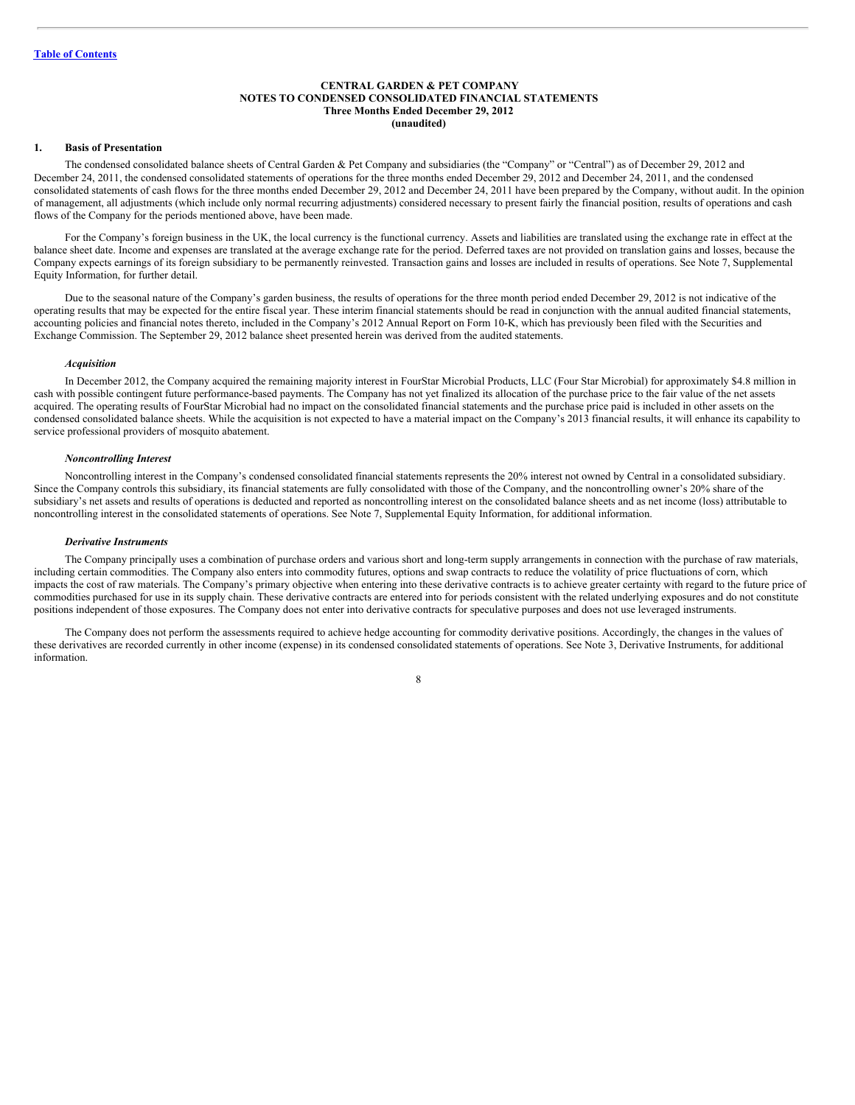#### <span id="page-7-0"></span>**CENTRAL GARDEN & PET COMPANY NOTES TO CONDENSED CONSOLIDATED FINANCIAL STATEMENTS Three Months Ended December 29, 2012 (unaudited)**

#### **1. Basis of Presentation**

The condensed consolidated balance sheets of Central Garden & Pet Company and subsidiaries (the "Company" or "Central") as of December 29, 2012 and December 24, 2011, the condensed consolidated statements of operations for the three months ended December 29, 2012 and December 24, 2011, and the condensed consolidated statements of cash flows for the three months ended December 29, 2012 and December 24, 2011 have been prepared by the Company, without audit. In the opinion of management, all adjustments (which include only normal recurring adjustments) considered necessary to present fairly the financial position, results of operations and cash flows of the Company for the periods mentioned above, have been made.

For the Company's foreign business in the UK, the local currency is the functional currency. Assets and liabilities are translated using the exchange rate in effect at the balance sheet date. Income and expenses are translated at the average exchange rate for the period. Deferred taxes are not provided on translation gains and losses, because the Company expects earnings of its foreign subsidiary to be permanently reinvested. Transaction gains and losses are included in results of operations. See Note 7, Supplemental Equity Information, for further detail.

Due to the seasonal nature of the Company's garden business, the results of operations for the three month period ended December 29, 2012 is not indicative of the operating results that may be expected for the entire fiscal year. These interim financial statements should be read in conjunction with the annual audited financial statements, accounting policies and financial notes thereto, included in the Company's 2012 Annual Report on Form 10-K, which has previously been filed with the Securities and Exchange Commission. The September 29, 2012 balance sheet presented herein was derived from the audited statements.

#### *Acquisition*

In December 2012, the Company acquired the remaining majority interest in FourStar Microbial Products, LLC (Four Star Microbial) for approximately \$4.8 million in cash with possible contingent future performance-based payments. The Company has not yet finalized its allocation of the purchase price to the fair value of the net assets acquired. The operating results of FourStar Microbial had no impact on the consolidated financial statements and the purchase price paid is included in other assets on the condensed consolidated balance sheets. While the acquisition is not expected to have a material impact on the Company's 2013 financial results, it will enhance its capability to service professional providers of mosquito abatement.

#### *Noncontrolling Interest*

Noncontrolling interest in the Company's condensed consolidated financial statements represents the 20% interest not owned by Central in a consolidated subsidiary. Since the Company controls this subsidiary, its financial statements are fully consolidated with those of the Company, and the noncontrolling owner's 20% share of the subsidiary's net assets and results of operations is deducted and reported as noncontrolling interest on the consolidated balance sheets and as net income (loss) attributable to noncontrolling interest in the consolidated statements of operations. See Note 7, Supplemental Equity Information, for additional information.

#### *Derivative Instruments*

The Company principally uses a combination of purchase orders and various short and long-term supply arrangements in connection with the purchase of raw materials, including certain commodities. The Company also enters into commodity futures, options and swap contracts to reduce the volatility of price fluctuations of corn, which impacts the cost of raw materials. The Company's primary objective when entering into these derivative contracts is to achieve greater certainty with regard to the future price of commodities purchased for use in its supply chain. These derivative contracts are entered into for periods consistent with the related underlying exposures and do not constitute positions independent of those exposures. The Company does not enter into derivative contracts for speculative purposes and does not use leveraged instruments.

The Company does not perform the assessments required to achieve hedge accounting for commodity derivative positions. Accordingly, the changes in the values of these derivatives are recorded currently in other income (expense) in its condensed consolidated statements of operations. See Note 3, Derivative Instruments, for additional information.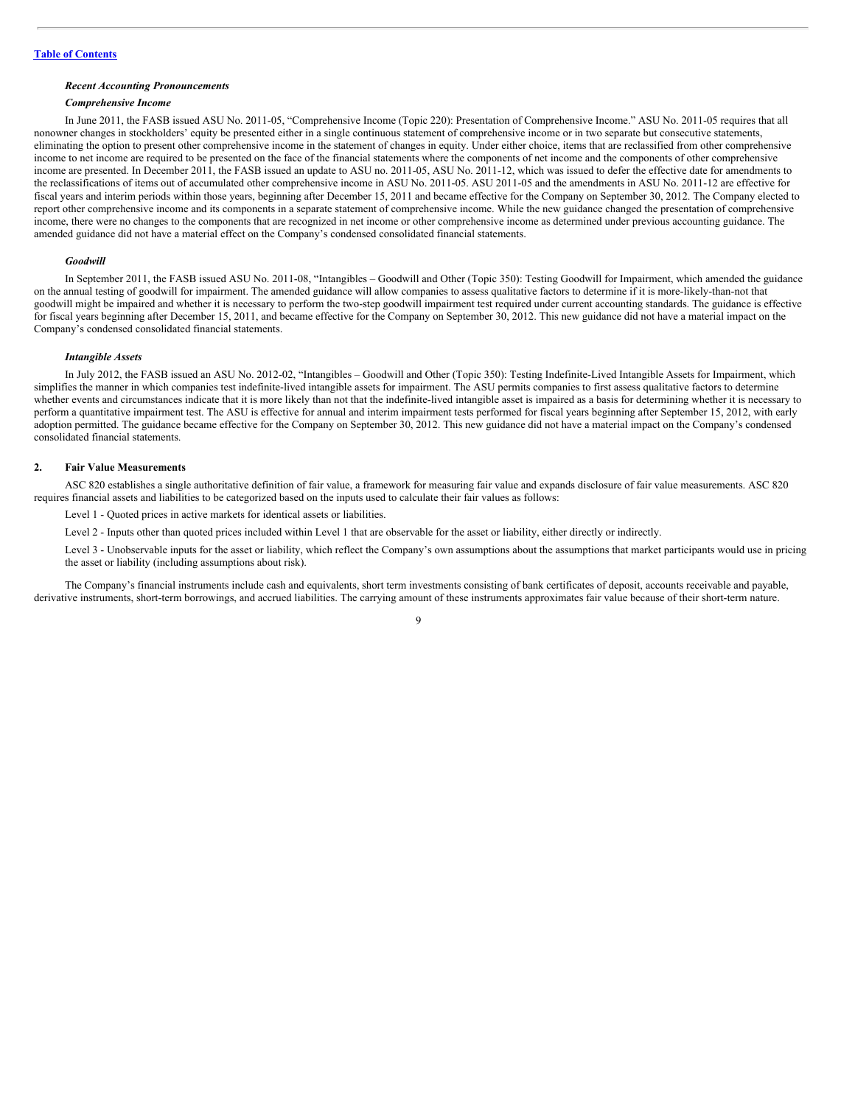#### *Recent Accounting Pronouncements*

#### *Comprehensive Income*

In June 2011, the FASB issued ASU No. 2011-05, "Comprehensive Income (Topic 220): Presentation of Comprehensive Income." ASU No. 2011-05 requires that all nonowner changes in stockholders' equity be presented either in a single continuous statement of comprehensive income or in two separate but consecutive statements, eliminating the option to present other comprehensive income in the statement of changes in equity. Under either choice, items that are reclassified from other comprehensive income to net income are required to be presented on the face of the financial statements where the components of net income and the components of other comprehensive income are presented. In December 2011, the FASB issued an update to ASU no. 2011-05, ASU No. 2011-12, which was issued to defer the effective date for amendments to the reclassifications of items out of accumulated other comprehensive income in ASU No. 2011-05. ASU 2011-05 and the amendments in ASU No. 2011-12 are effective for fiscal years and interim periods within those years, beginning after December 15, 2011 and became effective for the Company on September 30, 2012. The Company elected to report other comprehensive income and its components in a separate statement of comprehensive income. While the new guidance changed the presentation of comprehensive income, there were no changes to the components that are recognized in net income or other comprehensive income as determined under previous accounting guidance. The amended guidance did not have a material effect on the Company's condensed consolidated financial statements.

#### *Goodwill*

In September 2011, the FASB issued ASU No. 2011-08, "Intangibles – Goodwill and Other (Topic 350): Testing Goodwill for Impairment, which amended the guidance on the annual testing of goodwill for impairment. The amended guidance will allow companies to assess qualitative factors to determine if it is more-likely-than-not that goodwill might be impaired and whether it is necessary to perform the two-step goodwill impairment test required under current accounting standards. The guidance is effective for fiscal years beginning after December 15, 2011, and became effective for the Company on September 30, 2012. This new guidance did not have a material impact on the Company's condensed consolidated financial statements.

#### *Intangible Assets*

In July 2012, the FASB issued an ASU No. 2012-02, "Intangibles – Goodwill and Other (Topic 350): Testing Indefinite-Lived Intangible Assets for Impairment, which simplifies the manner in which companies test indefinite-lived intangible assets for impairment. The ASU permits companies to first assess qualitative factors to determine whether events and circumstances indicate that it is more likely than not that the indefinite-lived intangible asset is impaired as a basis for determining whether it is necessary to perform a quantitative impairment test. The ASU is effective for annual and interim impairment tests performed for fiscal years beginning after September 15, 2012, with early adoption permitted. The guidance became effective for the Company on September 30, 2012. This new guidance did not have a material impact on the Company's condensed consolidated financial statements.

#### **2. Fair Value Measurements**

ASC 820 establishes a single authoritative definition of fair value, a framework for measuring fair value and expands disclosure of fair value measurements. ASC 820 requires financial assets and liabilities to be categorized based on the inputs used to calculate their fair values as follows:

Level 1 - Quoted prices in active markets for identical assets or liabilities.

Level 2 - Inputs other than quoted prices included within Level 1 that are observable for the asset or liability, either directly or indirectly.

Level 3 - Unobservable inputs for the asset or liability, which reflect the Company's own assumptions about the assumptions that market participants would use in pricing the asset or liability (including assumptions about risk).

The Company's financial instruments include cash and equivalents, short term investments consisting of bank certificates of deposit, accounts receivable and payable, derivative instruments, short-term borrowings, and accrued liabilities. The carrying amount of these instruments approximates fair value because of their short-term nature.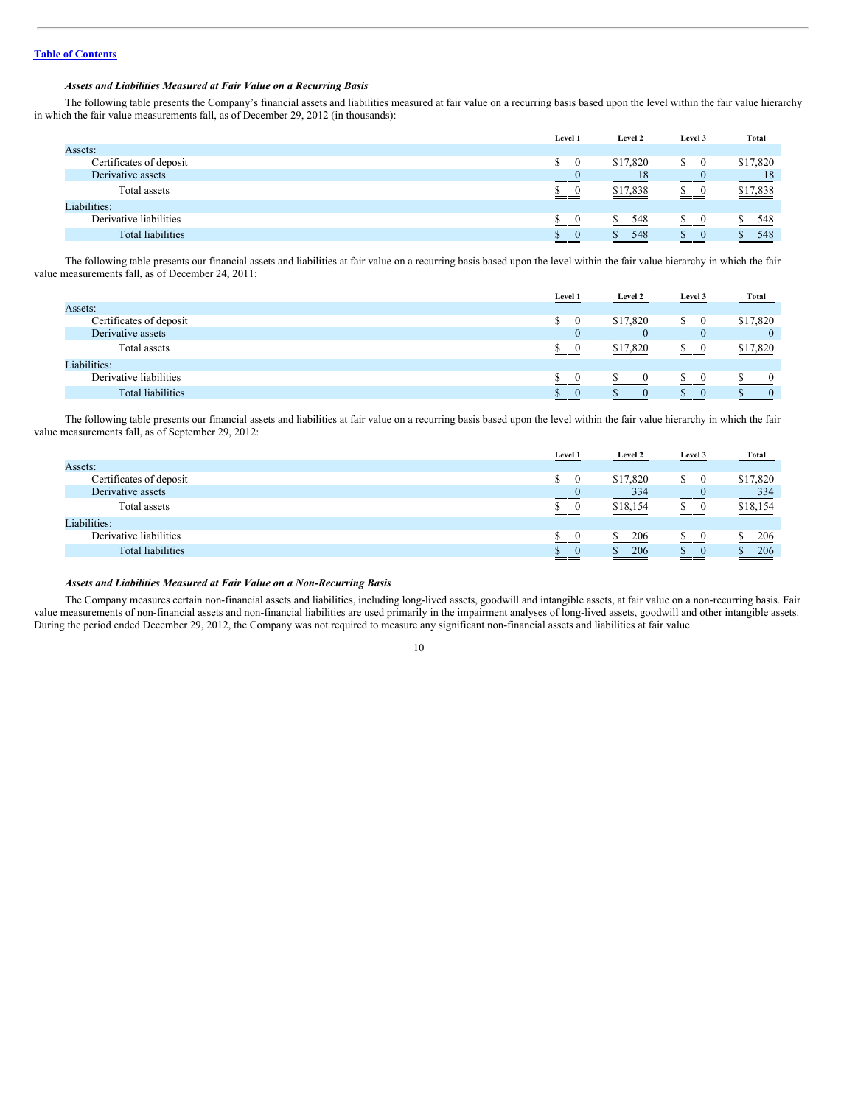## *Assets and Liabilities Measured at Fair Value on a Recurring Basis*

The following table presents the Company's financial assets and liabilities measured at fair value on a recurring basis based upon the level within the fair value hierarchy in which the fair value measurements fall, as of December 29, 2012 (in thousands):

|                          | Level 1 | Level 2  | Level 3        | Total    |
|--------------------------|---------|----------|----------------|----------|
| Assets:                  |         |          |                |          |
| Certificates of deposit  | S.      | \$17,820 | S.<br>$\theta$ | \$17,820 |
| Derivative assets        |         | 18       |                | 18       |
| Total assets             | S.      | \$17,838 | S.<br>0        | \$17,838 |
| Liabilities:             |         |          |                |          |
| Derivative liabilities   | S.      | 548      |                | 548      |
| <b>Total liabilities</b> |         | 548      | $\Omega$       | 548      |

The following table presents our financial assets and liabilities at fair value on a recurring basis based upon the level within the fair value hierarchy in which the fair value measurements fall, as of December 24, 2011:

|                          | Level 1 | Level 2  | Level 3 | Total    |
|--------------------------|---------|----------|---------|----------|
| Assets:                  |         |          |         |          |
| Certificates of deposit  | S.      | \$17,820 | S.<br>0 | \$17,820 |
| Derivative assets        |         |          |         |          |
| Total assets             |         | \$17,820 | S —     | \$17,820 |
| Liabilities:             |         |          |         |          |
| Derivative liabilities   |         |          |         | $\Omega$ |
| <b>Total liabilities</b> |         |          |         |          |

The following table presents our financial assets and liabilities at fair value on a recurring basis based upon the level within the fair value hierarchy in which the fair value measurements fall, as of September 29, 2012:

|                          | Level 1            | Level 2  | Level 3                  | <b>Total</b> |
|--------------------------|--------------------|----------|--------------------------|--------------|
| Assets:                  |                    |          |                          |              |
| Certificates of deposit  | S.                 | \$17,820 | S.<br>$\bf{0}$           | \$17,820     |
| Derivative assets        |                    | 334      | $\overline{0}$           | 334          |
| Total assets             | $\underline{\$}$ 0 | \$18,154 | \$<br>$\mathbf{0}$<br>—— | \$18,154     |
| Liabilities:             |                    |          |                          |              |
| Derivative liabilities   | \$                 | 206      | S.                       | 206          |
| <b>Total liabilities</b> | $\mathbf{s}$<br>== | 206      | S.<br>$\Omega$           | 206          |

## *Assets and Liabilities Measured at Fair Value on a Non-Recurring Basis*

The Company measures certain non-financial assets and liabilities, including long-lived assets, goodwill and intangible assets, at fair value on a non-recurring basis. Fair value measurements of non-financial assets and non-financial liabilities are used primarily in the impairment analyses of long-lived assets, goodwill and other intangible assets. During the period ended December 29, 2012, the Company was not required to measure any significant non-financial assets and liabilities at fair value.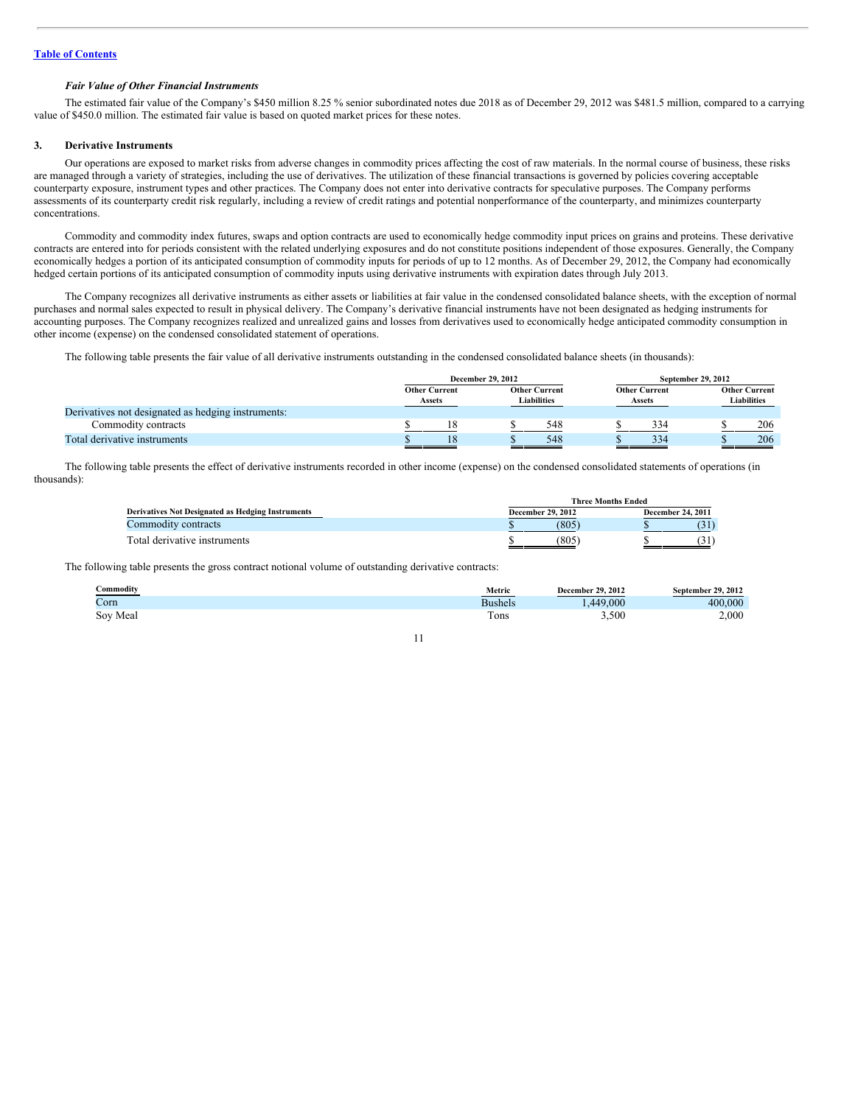## *Fair Value of Other Financial Instruments*

The estimated fair value of the Company's \$450 million 8.25 % senior subordinated notes due 2018 as of December 29, 2012 was \$481.5 million, compared to a carrying value of \$450.0 million. The estimated fair value is based on quoted market prices for these notes.

#### **3. Derivative Instruments**

Our operations are exposed to market risks from adverse changes in commodity prices affecting the cost of raw materials. In the normal course of business, these risks are managed through a variety of strategies, including the use of derivatives. The utilization of these financial transactions is governed by policies covering acceptable counterparty exposure, instrument types and other practices. The Company does not enter into derivative contracts for speculative purposes. The Company performs assessments of its counterparty credit risk regularly, including a review of credit ratings and potential nonperformance of the counterparty, and minimizes counterparty concentrations.

Commodity and commodity index futures, swaps and option contracts are used to economically hedge commodity input prices on grains and proteins. These derivative contracts are entered into for periods consistent with the related underlying exposures and do not constitute positions independent of those exposures. Generally, the Company economically hedges a portion of its anticipated consumption of commodity inputs for periods of up to 12 months. As of December 29, 2012, the Company had economically hedged certain portions of its anticipated consumption of commodity inputs using derivative instruments with expiration dates through July 2013.

The Company recognizes all derivative instruments as either assets or liabilities at fair value in the condensed consolidated balance sheets, with the exception of normal purchases and normal sales expected to result in physical delivery. The Company's derivative financial instruments have not been designated as hedging instruments for accounting purposes. The Company recognizes realized and unrealized gains and losses from derivatives used to economically hedge anticipated commodity consumption in other income (expense) on the condensed consolidated statement of operations.

The following table presents the fair value of all derivative instruments outstanding in the condensed consolidated balance sheets (in thousands):

|                                                    | <b>December 29, 2012</b>              |                                     |                                | September 29, 2012                         |
|----------------------------------------------------|---------------------------------------|-------------------------------------|--------------------------------|--------------------------------------------|
|                                                    | <b>Other Current</b><br><b>Assets</b> | <b>Other Current</b><br>Liabilities | <b>Other Current</b><br>Assets | <b>Other Current</b><br><b>Liabilities</b> |
| Derivatives not designated as hedging instruments: |                                       |                                     |                                |                                            |
| Commodity contracts                                |                                       | 548                                 | 334                            | 206                                        |
| Total derivative instruments                       | 18                                    | 548                                 | 334                            | 206                                        |

The following table presents the effect of derivative instruments recorded in other income (expense) on the condensed consolidated statements of operations (in thousands):

|                                                          | <b>Three Months Ended</b> |                          |  |  |
|----------------------------------------------------------|---------------------------|--------------------------|--|--|
| <b>Derivatives Not Designated as Hedging Instruments</b> | December 29, 2012         | <b>December 24, 2011</b> |  |  |
| Commodity contracts                                      | 1805                      |                          |  |  |
| Total derivative instruments                             | 1805                      |                          |  |  |

The following table presents the gross contract notional volume of outstanding derivative contracts:

| Commodity | Metric         | December 29, 2012 | September 29, 2012 |
|-----------|----------------|-------------------|--------------------|
| Corn      | <b>Bushels</b> | .449,000          | 400,000            |
| Soy Meal  | Tons           | 3,500             | 2,000              |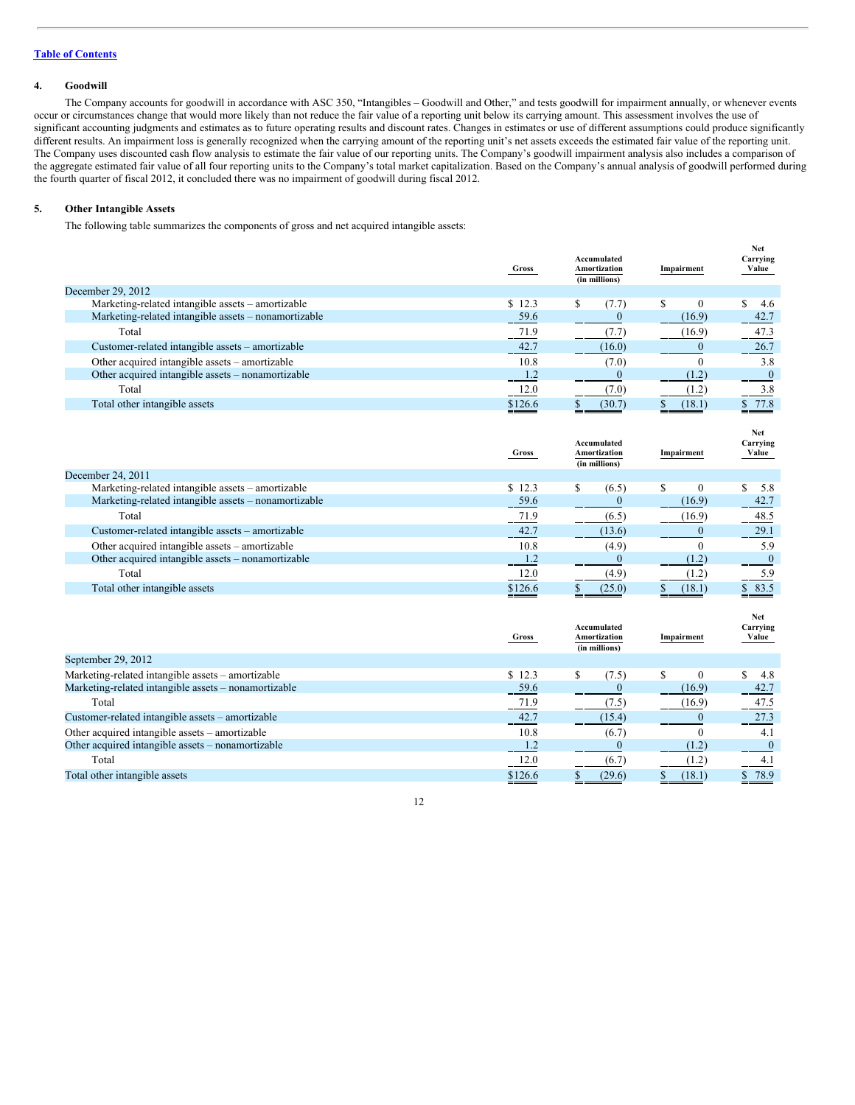## **4. Goodwill**

The Company accounts for goodwill in accordance with ASC 350, "Intangibles – Goodwill and Other," and tests goodwill for impairment annually, or whenever events occur or circumstances change that would more likely than not reduce the fair value of a reporting unit below its carrying amount. This assessment involves the use of significant accounting judgments and estimates as to future operating results and discount rates. Changes in estimates or use of different assumptions could produce significantly different results. An impairment loss is generally recognized when the carrying amount of the reporting unit's net assets exceeds the estimated fair value of the reporting unit. The Company uses discounted cash flow analysis to estimate the fair value of our reporting units. The Company's goodwill impairment analysis also includes a comparison of the aggregate estimated fair value of all four reporting units to the Company's total market capitalization. Based on the Company's annual analysis of goodwill performed during the fourth quarter of fiscal 2012, it concluded there was no impairment of goodwill during fiscal 2012.

## **5. Other Intangible Assets**

The following table summarizes the components of gross and net acquired intangible assets:

|                                                      | Gross           | Accumulated<br><b>Amortization</b><br>(in millions) | Impairment | <b>Net</b><br>Carrying<br>Value |
|------------------------------------------------------|-----------------|-----------------------------------------------------|------------|---------------------------------|
| December 29, 2012                                    |                 |                                                     |            |                                 |
| Marketing-related intangible assets – amortizable    | \$12.3          | (7.7)                                               | $\Omega$   | 4.6                             |
| Marketing-related intangible assets – nonamortizable | 59.6            |                                                     | (16.9)     | 42.7                            |
| Total                                                | 71.9            | (7.7)                                               | (16.9)     | 47.3                            |
| Customer-related intangible assets – amortizable     | 42.7            | (16.0)                                              |            | 26.7                            |
| Other acquired intangible assets – amortizable       | 10.8            | (7.0)                                               | $\theta$   | 3.8                             |
| Other acquired intangible assets – nonamortizable    |                 |                                                     | (1.2)      |                                 |
| Total                                                | 12.0            | (7.0)                                               | (1.2       | 3.8                             |
| Total other intangible assets                        | \$126.6<br>____ | (30.7)                                              | (18.1)     | 77.8                            |

|                                                      | Gross   | Accumulated<br>Amortization<br>(in millions) | Impairment | <b>Net</b><br>Carrying<br>Value |
|------------------------------------------------------|---------|----------------------------------------------|------------|---------------------------------|
| December 24, 2011                                    |         |                                              |            |                                 |
| Marketing-related intangible assets – amortizable    | \$12.3  | \$<br>(6.5)                                  | $\Omega$   | 5.8                             |
| Marketing-related intangible assets - nonamortizable | 59.6    |                                              | (16.9)     | 42.7                            |
| Total                                                | 71.9    | (6.5)                                        | (16.9)     | 48.5                            |
| Customer-related intangible assets – amortizable     | 42.7    | (13.6)                                       |            | 29.1                            |
| Other acquired intangible assets – amortizable       | 10.8    | (4.9)                                        |            | 5.9                             |
| Other acquired intangible assets – nonamortizable    | 1.2     |                                              | (1.2)      |                                 |
| Total                                                | 12.0    | (4.9)                                        | (1.2)      | 5.9                             |
| Total other intangible assets                        | \$126.6 | (25.0)                                       | (18.1)     | 83.5                            |
|                                                      |         |                                              |            |                                 |

|                                                      | Gross         | Accumulated<br>Amortization<br>(in millions) | Impairment |  | Net<br>Carrying<br>Value |  |
|------------------------------------------------------|---------------|----------------------------------------------|------------|--|--------------------------|--|
| September 29, 2012                                   |               |                                              |            |  |                          |  |
| Marketing-related intangible assets – amortizable    | \$12.3        | (7.5)                                        | 0          |  | 4.8                      |  |
| Marketing-related intangible assets – nonamortizable | <u>59.6</u>   |                                              | (16.9)     |  | 42.7                     |  |
| Total                                                | $-71.9$       | (7.5)                                        | (16.9)     |  | 47.5                     |  |
| Customer-related intangible assets – amortizable     | 42.7          | (15.4)                                       |            |  | 27.3                     |  |
| Other acquired intangible assets – amortizable       | 10.8          | (6.7)                                        |            |  | 4.1                      |  |
| Other acquired intangible assets – nonamortizable    | $1.2^{\circ}$ |                                              | (1.2)      |  |                          |  |
| Total                                                | 12.0          | (6.7)                                        | (1.2)      |  | 4.1                      |  |
| Total other intangible assets                        | \$126.6       | (29.6)                                       | (18.1)     |  | \$78.9                   |  |
|                                                      |               |                                              |            |  |                          |  |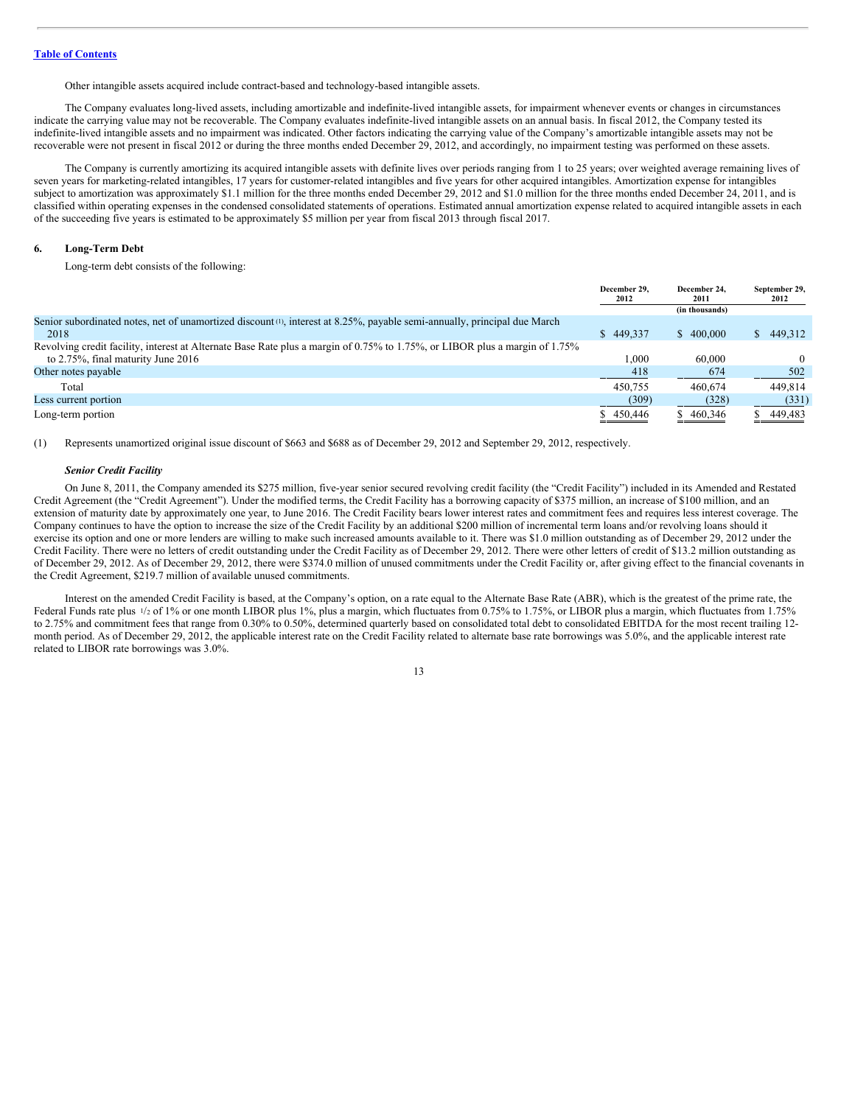Other intangible assets acquired include contract-based and technology-based intangible assets.

The Company evaluates long-lived assets, including amortizable and indefinite-lived intangible assets, for impairment whenever events or changes in circumstances indicate the carrying value may not be recoverable. The Company evaluates indefinite-lived intangible assets on an annual basis. In fiscal 2012, the Company tested its indefinite-lived intangible assets and no impairment was indicated. Other factors indicating the carrying value of the Company's amortizable intangible assets may not be recoverable were not present in fiscal 2012 or during the three months ended December 29, 2012, and accordingly, no impairment testing was performed on these assets.

The Company is currently amortizing its acquired intangible assets with definite lives over periods ranging from 1 to 25 years; over weighted average remaining lives of seven years for marketing-related intangibles, 17 years for customer-related intangibles and five years for other acquired intangibles. Amortization expense for intangibles subject to amortization was approximately \$1.1 million for the three months ended December 29, 2012 and \$1.0 million for the three months ended December 24, 2011, and is classified within operating expenses in the condensed consolidated statements of operations. Estimated annual amortization expense related to acquired intangible assets in each of the succeeding five years is estimated to be approximately \$5 million per year from fiscal 2013 through fiscal 2017.

#### **6. Long-Term Debt**

Long-term debt consists of the following:

|                                                                                                                                       | December 29.<br>2012 | December 24.<br>2011 | September 29,<br>2012 |
|---------------------------------------------------------------------------------------------------------------------------------------|----------------------|----------------------|-----------------------|
|                                                                                                                                       |                      | (in thousands)       |                       |
| Senior subordinated notes, net of unamortized discount <sup>(1)</sup> , interest at 8.25%, payable semi-annually, principal due March |                      |                      |                       |
| 2018                                                                                                                                  | \$449,337            | \$400,000            | 449.312               |
| Revolving credit facility, interest at Alternate Base Rate plus a margin of 0.75% to 1.75%, or LIBOR plus a margin of 1.75%           |                      |                      |                       |
| to 2.75%, final maturity June 2016                                                                                                    | 1.000                | 60,000               | 0                     |
| Other notes payable                                                                                                                   | 418                  | 674                  | 502                   |
| Total                                                                                                                                 | 450,755              | 460,674              | 449.814               |
| Less current portion                                                                                                                  | (309)                | (328)                | (331)                 |
| Long-term portion                                                                                                                     | \$450,446            | \$460,346            | 449,483               |

(1) Represents unamortized original issue discount of \$663 and \$688 as of December 29, 2012 and September 29, 2012, respectively.

#### *Senior Credit Facility*

On June 8, 2011, the Company amended its \$275 million, five-year senior secured revolving credit facility (the "Credit Facility") included in its Amended and Restated Credit Agreement (the "Credit Agreement"). Under the modified terms, the Credit Facility has a borrowing capacity of \$375 million, an increase of \$100 million, and an extension of maturity date by approximately one year, to June 2016. The Credit Facility bears lower interest rates and commitment fees and requires less interest coverage. The Company continues to have the option to increase the size of the Credit Facility by an additional \$200 million of incremental term loans and/or revolving loans should it exercise its option and one or more lenders are willing to make such increased amounts available to it. There was \$1.0 million outstanding as of December 29, 2012 under the Credit Facility. There were no letters of credit outstanding under the Credit Facility as of December 29, 2012. There were other letters of credit of \$13.2 million outstanding as of December 29, 2012. As of December 29, 2012, there were \$374.0 million of unused commitments under the Credit Facility or, after giving effect to the financial covenants in the Credit Agreement, \$219.7 million of available unused commitments.

Interest on the amended Credit Facility is based, at the Company's option, on a rate equal to the Alternate Base Rate (ABR), which is the greatest of the prime rate, the Federal Funds rate plus  $\frac{1}{2}$  of 1% or one month LIBOR plus 1%, plus a margin, which fluctuates from 0.75% to 1.75%, or LIBOR plus a margin, which fluctuates from 1.75% to 2.75% and commitment fees that range from 0.30% to 0.50%, determined quarterly based on consolidated total debt to consolidated EBITDA for the most recent trailing 12month period. As of December 29, 2012, the applicable interest rate on the Credit Facility related to alternate base rate borrowings was 5.0%, and the applicable interest rate related to LIBOR rate borrowings was 3.0%.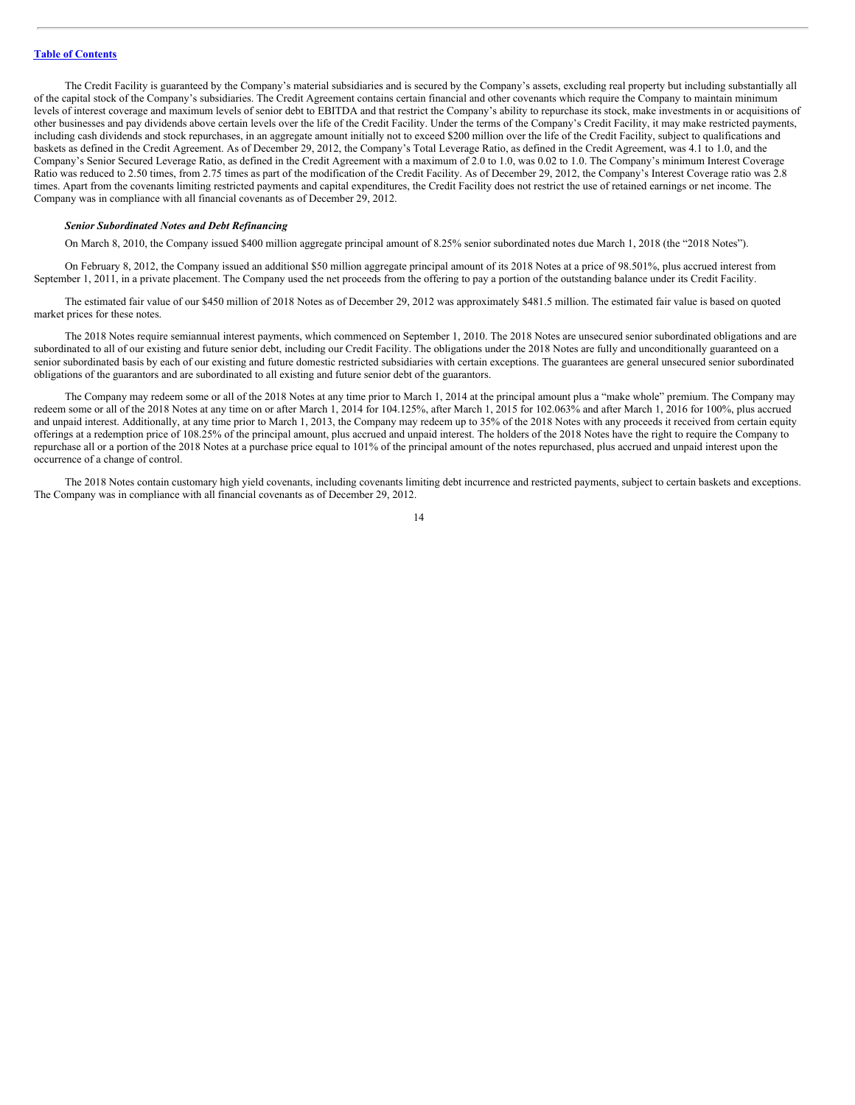The Credit Facility is guaranteed by the Company's material subsidiaries and is secured by the Company's assets, excluding real property but including substantially all of the capital stock of the Company's subsidiaries. The Credit Agreement contains certain financial and other covenants which require the Company to maintain minimum levels of interest coverage and maximum levels of senior debt to EBITDA and that restrict the Company's ability to repurchase its stock, make investments in or acquisitions of other businesses and pay dividends above certain levels over the life of the Credit Facility. Under the terms of the Company's Credit Facility, it may make restricted payments, including cash dividends and stock repurchases, in an aggregate amount initially not to exceed \$200 million over the life of the Credit Facility, subject to qualifications and baskets as defined in the Credit Agreement. As of December 29, 2012, the Company's Total Leverage Ratio, as defined in the Credit Agreement, was 4.1 to 1.0, and the Company's Senior Secured Leverage Ratio, as defined in the Credit Agreement with a maximum of 2.0 to 1.0, was 0.02 to 1.0. The Company's minimum Interest Coverage Ratio was reduced to 2.50 times, from 2.75 times as part of the modification of the Credit Facility. As of December 29, 2012, the Company's Interest Coverage ratio was 2.8 times. Apart from the covenants limiting restricted payments and capital expenditures, the Credit Facility does not restrict the use of retained earnings or net income. The Company was in compliance with all financial covenants as of December 29, 2012.

#### *Senior Subordinated Notes and Debt Refinancing*

On March 8, 2010, the Company issued \$400 million aggregate principal amount of 8.25% senior subordinated notes due March 1, 2018 (the "2018 Notes").

On February 8, 2012, the Company issued an additional \$50 million aggregate principal amount of its 2018 Notes at a price of 98.501%, plus accrued interest from September 1, 2011, in a private placement. The Company used the net proceeds from the offering to pay a portion of the outstanding balance under its Credit Facility.

The estimated fair value of our \$450 million of 2018 Notes as of December 29, 2012 was approximately \$481.5 million. The estimated fair value is based on quoted market prices for these notes.

The 2018 Notes require semiannual interest payments, which commenced on September 1, 2010. The 2018 Notes are unsecured senior subordinated obligations and are subordinated to all of our existing and future senior debt, including our Credit Facility. The obligations under the 2018 Notes are fully and unconditionally guaranteed on a senior subordinated basis by each of our existing and future domestic restricted subsidiaries with certain exceptions. The guarantees are general unsecured senior subordinated obligations of the guarantors and are subordinated to all existing and future senior debt of the guarantors.

The Company may redeem some or all of the 2018 Notes at any time prior to March 1, 2014 at the principal amount plus a "make whole" premium. The Company may redeem some or all of the 2018 Notes at any time on or after March 1, 2014 for 104.125%, after March 1, 2015 for 102.063% and after March 1, 2016 for 100%, plus accrued and unpaid interest. Additionally, at any time prior to March 1, 2013, the Company may redeem up to 35% of the 2018 Notes with any proceeds it received from certain equity offerings at a redemption price of 108.25% of the principal amount, plus accrued and unpaid interest. The holders of the 2018 Notes have the right to require the Company to repurchase all or a portion of the 2018 Notes at a purchase price equal to 101% of the principal amount of the notes repurchased, plus accrued and unpaid interest upon the occurrence of a change of control.

The 2018 Notes contain customary high yield covenants, including covenants limiting debt incurrence and restricted payments, subject to certain baskets and exceptions. The Company was in compliance with all financial covenants as of December 29, 2012.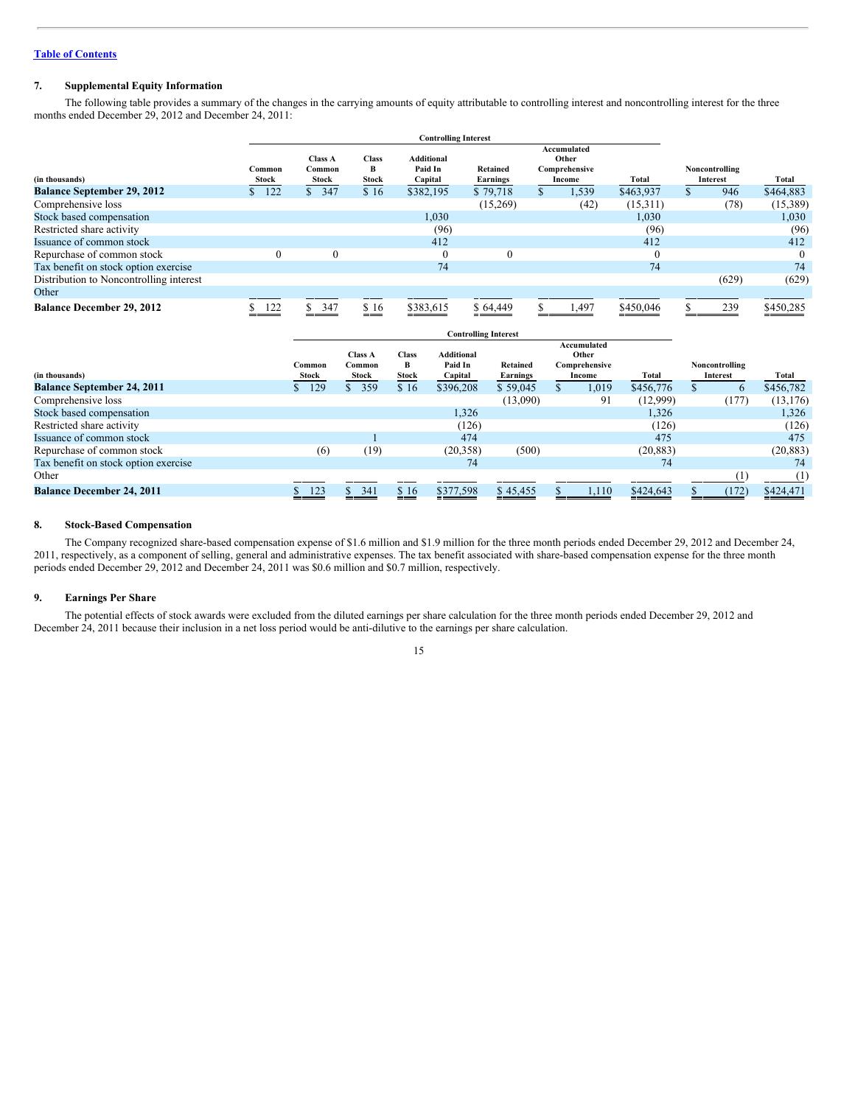## **7. Supplemental Equity Information**

The following table provides a summary of the changes in the carrying amounts of equity attributable to controlling interest and noncontrolling interest for the three months ended December 29, 2012 and December 24, 2011:

|                                         |                 |                            |                                   | <b>Controlling Interest</b>      |                      |                                                 |           |                            |           |
|-----------------------------------------|-----------------|----------------------------|-----------------------------------|----------------------------------|----------------------|-------------------------------------------------|-----------|----------------------------|-----------|
| (in thousands)                          | Common<br>Stock | Class A<br>Common<br>Stock | <b>Class</b><br>в<br><b>Stock</b> | Additional<br>Paid In<br>Capital | Retained<br>Earnings | Accumulated<br>Other<br>Comprehensive<br>Income | Total     | Noncontrolling<br>Interest | Total     |
| <b>Balance September 29, 2012</b>       | \$122           | 347<br><sup>\$</sup>       | \$16                              | \$382,195                        | \$79,718             | 1,539                                           | \$463,937 | 946                        | \$464,883 |
| Comprehensive loss                      |                 |                            |                                   |                                  | (15,269)             | (42)                                            | (15,311)  | (78)                       | (15,389)  |
| Stock based compensation                |                 |                            |                                   | 1,030                            |                      |                                                 | 1,030     |                            | 1,030     |
| Restricted share activity               |                 |                            |                                   | (96)                             |                      |                                                 | (96)      |                            | (96)      |
| Issuance of common stock                |                 |                            |                                   | 412                              |                      |                                                 | 412       |                            | 412       |
| Repurchase of common stock              | $\Omega$        |                            |                                   | 0                                | $\Omega$             |                                                 |           |                            | $\theta$  |
| Tax benefit on stock option exercise    |                 |                            |                                   | 74                               |                      |                                                 | 74        |                            | 74        |
| Distribution to Noncontrolling interest |                 |                            |                                   |                                  |                      |                                                 |           | (629)                      | (629)     |
| Other                                   |                 |                            |                                   |                                  |                      |                                                 |           |                            |           |
| <b>Balance December 29, 2012</b>        | 122             | 347                        | \$16<br>__                        | \$383,615                        | \$64,449             | 1,497                                           | \$450,046 | 239                        | \$450,285 |

|                                      | <b>Controlling Interest</b> |                                   |                            |                                         |                      |  |                                                 |           |  |                            |           |
|--------------------------------------|-----------------------------|-----------------------------------|----------------------------|-----------------------------------------|----------------------|--|-------------------------------------------------|-----------|--|----------------------------|-----------|
| (in thousands)                       | Common<br>Stock             | <b>Class A</b><br>Common<br>Stock | <b>Class</b><br>в<br>Stock | <b>Additional</b><br>Paid In<br>Capital | Retained<br>Earnings |  | Accumulated<br>Other<br>Comprehensive<br>Income | Total     |  | Noncontrolling<br>Interest | Total     |
| <b>Balance September 24, 2011</b>    | 129                         | 359<br>$\mathbb{S}$               | \$16                       | \$396,208                               | \$59,045             |  | 1,019                                           | \$456,776 |  | $\sigma$                   | \$456,782 |
| Comprehensive loss                   |                             |                                   |                            |                                         | (13,090)             |  | 91                                              | (12,999)  |  | (177)                      | (13, 176) |
| Stock based compensation             |                             |                                   |                            | 1,326                                   |                      |  |                                                 | 1,326     |  |                            | 1,326     |
| Restricted share activity            |                             |                                   |                            | (126)                                   |                      |  |                                                 | (126)     |  |                            | (126)     |
| Issuance of common stock             |                             |                                   |                            | 474                                     |                      |  |                                                 | 475       |  |                            | 475       |
| Repurchase of common stock           | (6)                         | (19)                              |                            | (20, 358)                               | (500)                |  |                                                 | (20, 883) |  |                            | (20, 883) |
| Tax benefit on stock option exercise |                             |                                   |                            | 74                                      |                      |  |                                                 | 74        |  |                            | 74        |
| Other                                |                             |                                   |                            |                                         |                      |  |                                                 |           |  |                            | (1)       |
| <b>Balance December 24, 2011</b>     | 123                         | 341                               | \$16                       | \$377,598                               | \$45,455             |  | 1,110                                           | \$424,643 |  | (172)                      | \$424,471 |

## **8. Stock-Based Compensation**

The Company recognized share-based compensation expense of \$1.6 million and \$1.9 million for the three month periods ended December 29, 2012 and December 24, 2011, respectively, as a component of selling, general and administrative expenses. The tax benefit associated with share-based compensation expense for the three month periods ended December 29, 2012 and December 24, 2011 was \$0.6 million and \$0.7 million, respectively.

## **9. Earnings Per Share**

The potential effects of stock awards were excluded from the diluted earnings per share calculation for the three month periods ended December 29, 2012 and December 24, 2011 because their inclusion in a net loss period would be anti-dilutive to the earnings per share calculation.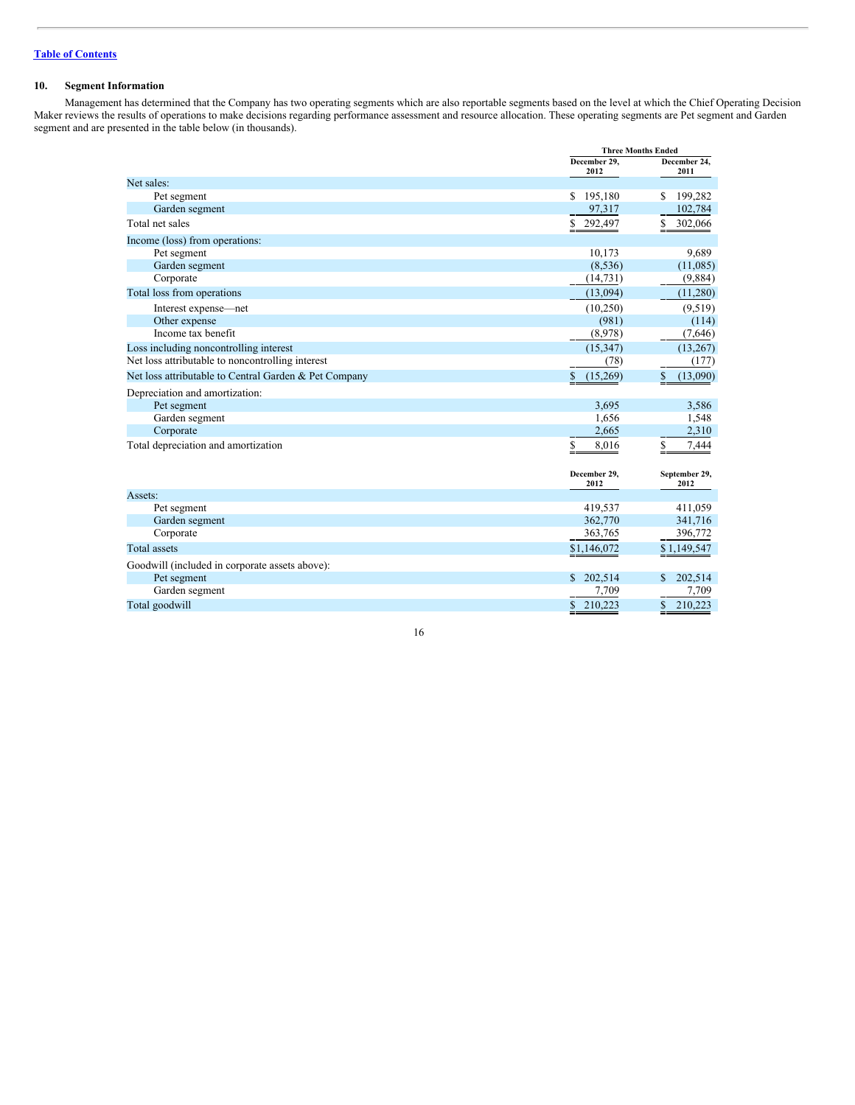## **10. Segment Information**

Management has determined that the Company has two operating segments which are also reportable segments based on the level at which the Chief Operating Decision Maker reviews the results of operations to make decisions regarding performance assessment and resource allocation. These operating segments are Pet segment and Garden segment and are presented in the table below (in thousands).

|                                                       | <b>Three Months Ended</b> |                          |
|-------------------------------------------------------|---------------------------|--------------------------|
|                                                       | December 29.              | December 24,             |
|                                                       | 2012                      | 2011                     |
| Net sales:                                            |                           |                          |
| Pet segment                                           | 195,180<br>S              | 199,282                  |
| Garden segment                                        | 97,317                    | 102,784                  |
| Total net sales                                       | \$<br>292,497             | $\frac{1}{2}$<br>302,066 |
| Income (loss) from operations:                        |                           |                          |
| Pet segment                                           | 10,173                    | 9,689                    |
| Garden segment                                        | (8,536)                   | (11,085)                 |
| Corporate                                             | (14, 731)                 | (9,884)                  |
| Total loss from operations                            | (13,094)                  | (11,280)                 |
| Interest expense—net                                  | (10,250)                  | (9,519)                  |
| Other expense                                         | (981)                     | (114)                    |
| Income tax benefit                                    | (8,978)                   | (7,646)                  |
| Loss including noncontrolling interest                | (15, 347)                 | (13,267)                 |
| Net loss attributable to noncontrolling interest      | (78)                      | (177)                    |
| Net loss attributable to Central Garden & Pet Company | \$<br>(15,269)            | \$<br>(13,090)           |
| Depreciation and amortization:                        |                           |                          |
| Pet segment                                           | 3,695                     | 3,586                    |
| Garden segment                                        | 1,656                     | 1,548                    |
| Corporate                                             | 2,665                     | 2,310                    |
| Total depreciation and amortization                   | \$<br>8,016               | $\frac{1}{2}$<br>7,444   |
|                                                       | December 29,              | September 29,            |
| Assets:                                               | 2012                      | 2012                     |
|                                                       | 419,537                   |                          |
| Pet segment<br>Garden segment                         | 362,770                   | 411,059<br>341,716       |
| Corporate                                             | 363,765                   |                          |
|                                                       |                           | 396,772                  |
| <b>Total</b> assets                                   | \$1,146,072               | \$1,149,547              |
| Goodwill (included in corporate assets above):        |                           |                          |
| Pet segment                                           | 202,514<br>\$             | 202,514                  |
| Garden segment                                        | 7,709                     | 7,709                    |
| Total goodwill                                        | \$<br>210,223             | 210,223<br>\$            |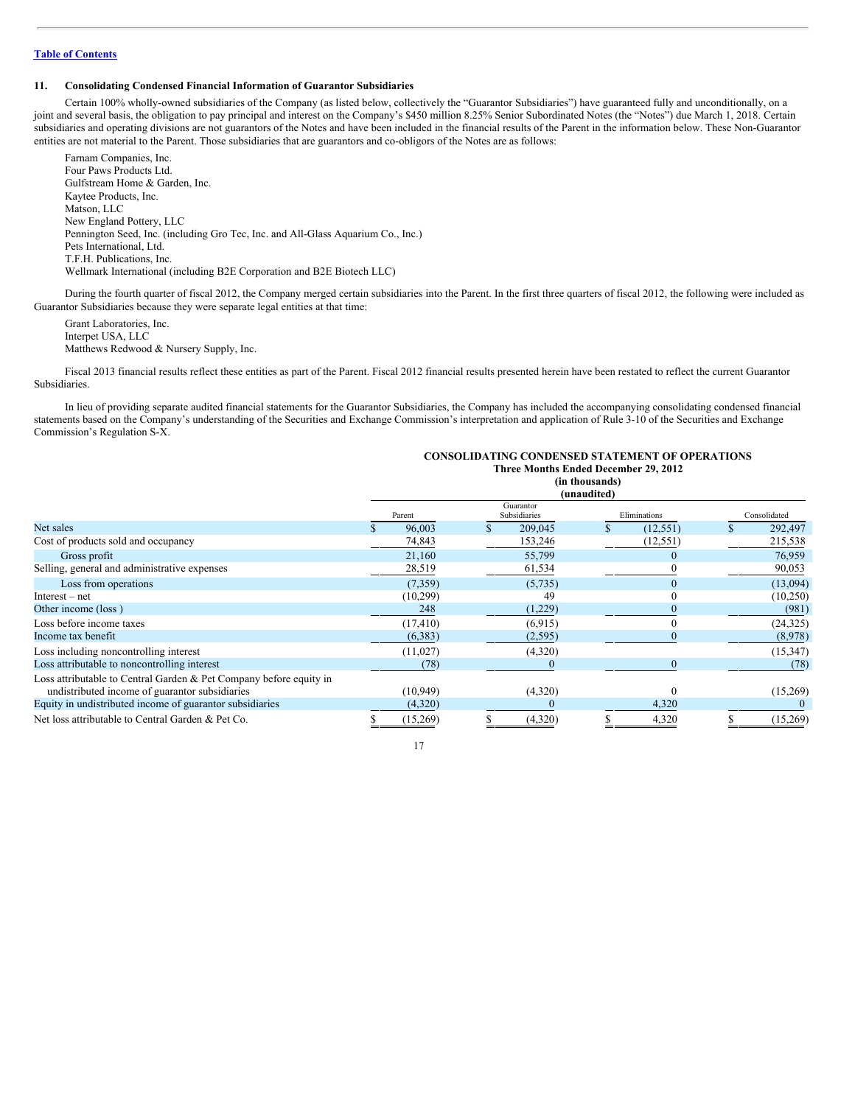#### **11. Consolidating Condensed Financial Information of Guarantor Subsidiaries**

Certain 100% wholly-owned subsidiaries of the Company (as listed below, collectively the "Guarantor Subsidiaries") have guaranteed fully and unconditionally, on a joint and several basis, the obligation to pay principal and interest on the Company's \$450 million 8.25% Senior Subordinated Notes (the "Notes") due March 1, 2018. Certain subsidiaries and operating divisions are not guarantors of the Notes and have been included in the financial results of the Parent in the information below. These Non-Guarantor entities are not material to the Parent. Those subsidiaries that are guarantors and co-obligors of the Notes are as follows:

Farnam Companies, Inc. Four Paws Products Ltd. Gulfstream Home & Garden, Inc. Kaytee Products, Inc. Matson, LLC New England Pottery, LLC Pennington Seed, Inc. (including Gro Tec, Inc. and All-Glass Aquarium Co., Inc.) Pets International, Ltd. T.F.H. Publications, Inc. Wellmark International (including B2E Corporation and B2E Biotech LLC)

During the fourth quarter of fiscal 2012, the Company merged certain subsidiaries into the Parent. In the first three quarters of fiscal 2012, the following were included as Guarantor Subsidiaries because they were separate legal entities at that time:

Grant Laboratories, Inc. Interpet USA, LLC Matthews Redwood & Nursery Supply, Inc.

Fiscal 2013 financial results reflect these entities as part of the Parent. Fiscal 2012 financial results presented herein have been restated to reflect the current Guarantor Subsidiaries.

In lieu of providing separate audited financial statements for the Guarantor Subsidiaries, the Company has included the accompanying consolidating condensed financial statements based on the Company's understanding of the Securities and Exchange Commission's interpretation and application of Rule 3-10 of the Securities and Exchange Commission's Regulation S-X.

|                                                                                                                      |                               |           |  | <b>CONSOLIDATING CONDENSED STATEMENT OF OPERATIONS</b><br>Three Months Ended December 29, 2012 |              |           |  |              |  |
|----------------------------------------------------------------------------------------------------------------------|-------------------------------|-----------|--|------------------------------------------------------------------------------------------------|--------------|-----------|--|--------------|--|
|                                                                                                                      | (in thousands)<br>(unaudited) |           |  |                                                                                                |              |           |  |              |  |
|                                                                                                                      | Parent                        |           |  | Guarantor<br>Subsidiaries                                                                      | Eliminations |           |  | Consolidated |  |
| Net sales                                                                                                            |                               | 96,003    |  | 209,045                                                                                        |              | (12, 551) |  | 292,497      |  |
| Cost of products sold and occupancy                                                                                  |                               | 74,843    |  | 153,246                                                                                        |              | (12, 551) |  | 215,538      |  |
| Gross profit                                                                                                         |                               | 21,160    |  | 55,799                                                                                         |              | $\Omega$  |  | 76,959       |  |
| Selling, general and administrative expenses                                                                         |                               | 28,519    |  | 61,534                                                                                         |              |           |  | 90,053       |  |
| Loss from operations                                                                                                 |                               | (7,359)   |  | (5,735)                                                                                        |              |           |  | (13,094)     |  |
| $Interest - net$                                                                                                     |                               | (10,299)  |  | 49                                                                                             |              |           |  | (10,250)     |  |
| Other income (loss)                                                                                                  |                               | 248       |  | (1,229)                                                                                        |              |           |  | (981)        |  |
| Loss before income taxes                                                                                             |                               | (17, 410) |  | (6,915)                                                                                        |              |           |  | (24, 325)    |  |
| Income tax benefit                                                                                                   |                               | (6,383)   |  | (2, 595)                                                                                       |              |           |  | (8,978)      |  |
| Loss including noncontrolling interest                                                                               |                               | (11, 027) |  | (4,320)                                                                                        |              |           |  | (15,347)     |  |
| Loss attributable to noncontrolling interest                                                                         |                               | (78)      |  |                                                                                                |              | $\theta$  |  | (78)         |  |
| Loss attributable to Central Garden & Pet Company before equity in<br>undistributed income of guarantor subsidiaries |                               | (10, 949) |  | (4,320)                                                                                        |              |           |  | (15,269)     |  |
| Equity in undistributed income of guarantor subsidiaries                                                             |                               | (4,320)   |  |                                                                                                |              | 4,320     |  |              |  |
| Net loss attributable to Central Garden & Pet Co.                                                                    |                               | (15,269)  |  | (4,320)                                                                                        |              | 4,320     |  | (15,269)     |  |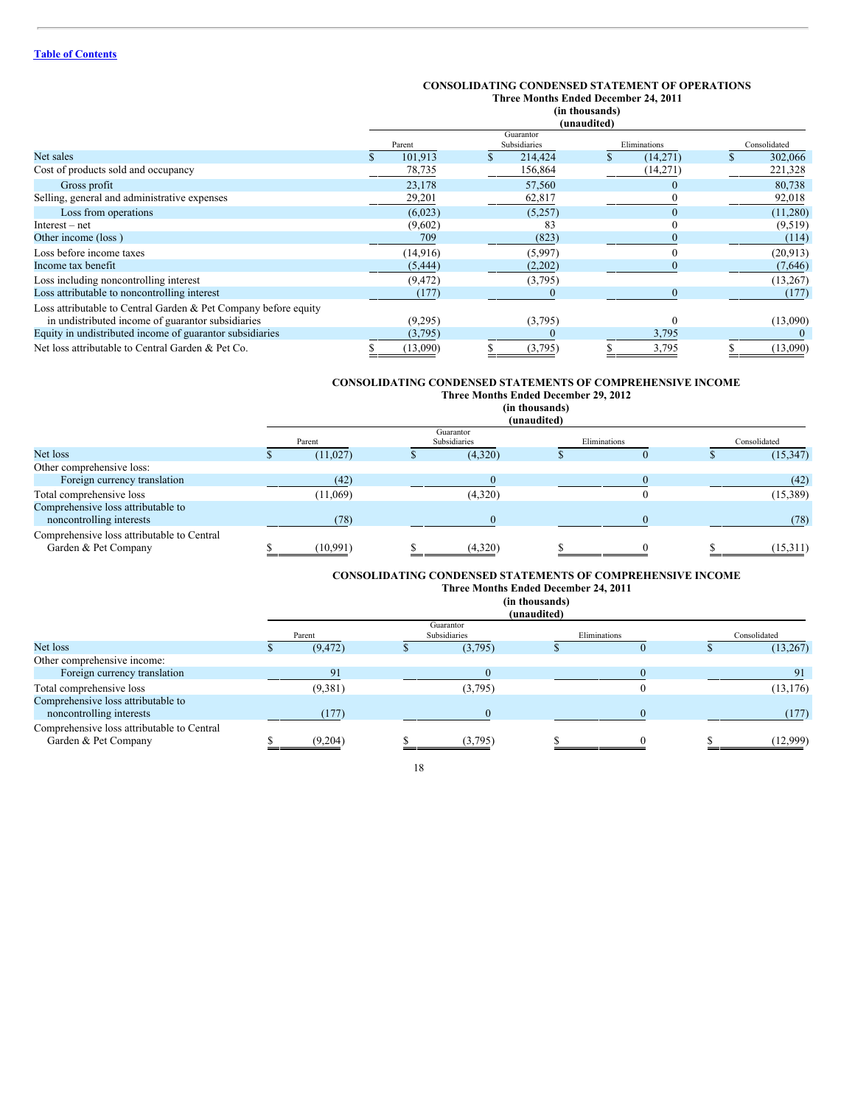## **CONSOLIDATING CONDENSED STATEMENT OF OPERATIONS Three Months Ended December 24, 2011 (in thousands)**

|                                                                 |          |                                  | (unaudited) |              |  |              |
|-----------------------------------------------------------------|----------|----------------------------------|-------------|--------------|--|--------------|
|                                                                 | Parent   | Guarantor<br><b>Subsidiaries</b> |             | Eliminations |  | Consolidated |
| Net sales                                                       | 101,913  | 214,424                          |             | (14,271)     |  | 302,066      |
| Cost of products sold and occupancy                             | 78,735   | 156,864                          |             | (14,271)     |  | 221,328      |
| Gross profit                                                    | 23,178   | 57,560                           |             |              |  | 80,738       |
| Selling, general and administrative expenses                    | 29,201   | 62,817                           |             |              |  | 92,018       |
| Loss from operations                                            | (6,023)  | (5,257)                          |             |              |  | (11,280)     |
| $Interest - net$                                                | (9,602)  | 83                               |             |              |  | (9,519)      |
| Other income (loss)                                             | 709      | (823)                            |             |              |  | (114)        |
| Loss before income taxes                                        | (14,916) | (5,997)                          |             |              |  | (20,913)     |
| Income tax benefit                                              | (5, 444) | (2,202)                          |             |              |  | (7,646)      |
| Loss including noncontrolling interest                          | (9, 472) | (3,795)                          |             |              |  | (13,267)     |
| Loss attributable to noncontrolling interest                    | (177)    |                                  |             | $\Omega$     |  | (177)        |
| Loss attributable to Central Garden & Pet Company before equity |          |                                  |             |              |  |              |
| in undistributed income of guarantor subsidiaries               | (9,295)  | (3,795)                          |             |              |  | (13,090)     |
| Equity in undistributed income of guarantor subsidiaries        | (3,795)  |                                  |             | 3,795        |  |              |
| Net loss attributable to Central Garden & Pet Co.               | (13,090) | (3,795)                          |             | 3,795        |  | (13,090)     |

## **CONSOLIDATING CONDENSED STATEMENTS OF COMPREHENSIVE INCOME Three Months Ended December 29, 2012**

|                                                                    |  | (in thousands)<br>(unaudited) |  |                           |  |              |  |              |  |  |
|--------------------------------------------------------------------|--|-------------------------------|--|---------------------------|--|--------------|--|--------------|--|--|
|                                                                    |  | Parent                        |  | Guarantor<br>Subsidiaries |  | Eliminations |  | Consolidated |  |  |
| Net loss                                                           |  | (11,027)                      |  | (4,320)                   |  |              |  | (15,347)     |  |  |
| Other comprehensive loss:                                          |  |                               |  |                           |  |              |  |              |  |  |
| Foreign currency translation                                       |  | (42)                          |  |                           |  |              |  | (42)         |  |  |
| Total comprehensive loss                                           |  | (11,069)                      |  | (4,320)                   |  | -0           |  | (15,389)     |  |  |
| Comprehensive loss attributable to                                 |  |                               |  |                           |  |              |  |              |  |  |
| noncontrolling interests                                           |  | (78)                          |  |                           |  |              |  | (78)         |  |  |
| Comprehensive loss attributable to Central<br>Garden & Pet Company |  | (10, 991)                     |  | (4,320)                   |  |              |  | (15,311)     |  |  |

## **CONSOLIDATING CONDENSED STATEMENTS OF COMPREHENSIVE INCOME**

**Three Months Ended December 24, 2011**

| (in thousands) |  |
|----------------|--|
|----------------|--|

|                                                                    | (unaudited)    |  |                           |  |              |              |           |  |  |
|--------------------------------------------------------------------|----------------|--|---------------------------|--|--------------|--------------|-----------|--|--|
|                                                                    | Parent         |  | Guarantor<br>Subsidiaries |  | Eliminations | Consolidated |           |  |  |
| Net loss                                                           | (9, 472)       |  | (3,795)                   |  |              |              | (13,267)  |  |  |
| Other comprehensive income:                                        |                |  |                           |  |              |              |           |  |  |
| Foreign currency translation                                       | Q <sub>1</sub> |  |                           |  |              |              | 91        |  |  |
| Total comprehensive loss                                           | (9,381)        |  | (3,795)                   |  |              |              | (13, 176) |  |  |
| Comprehensive loss attributable to                                 |                |  |                           |  |              |              |           |  |  |
| noncontrolling interests                                           | (177)          |  |                           |  |              |              | (177)     |  |  |
| Comprehensive loss attributable to Central<br>Garden & Pet Company | (9,204)        |  | (3,795)                   |  |              |              | (12,999)  |  |  |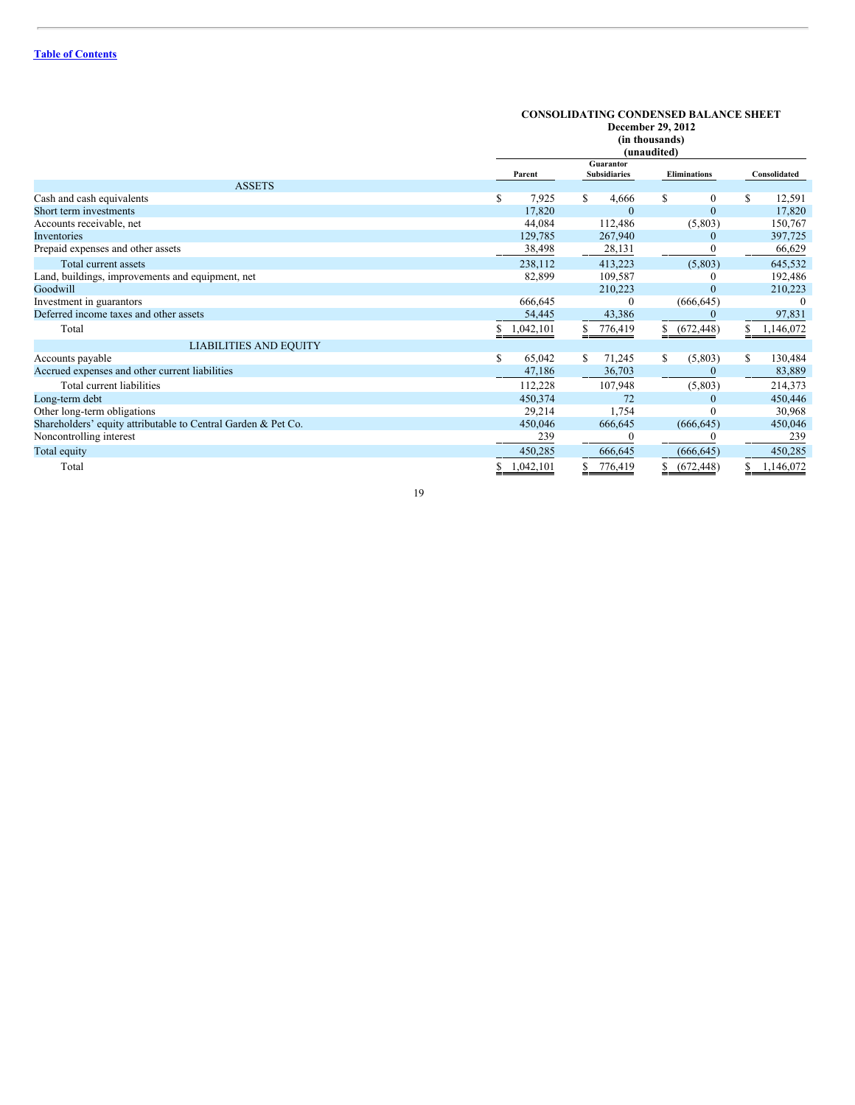|                                                               |              |                                  | CONSOLIDA I ING CONDENSED BALANCE SHEE I<br><b>December 29, 2012</b><br>(in thousands)<br>(unaudited) |               |
|---------------------------------------------------------------|--------------|----------------------------------|-------------------------------------------------------------------------------------------------------|---------------|
|                                                               | Parent       | Guarantor<br><b>Subsidiaries</b> | <b>Eliminations</b>                                                                                   | Consolidated  |
| <b>ASSETS</b>                                                 |              |                                  |                                                                                                       |               |
| Cash and cash equivalents                                     | 7,925<br>S   | S<br>4,666                       | \$<br>$\mathbf{0}$                                                                                    | 12,591<br>S   |
| Short term investments                                        | 17,820       | $\Omega$                         | $\theta$                                                                                              | 17,820        |
| Accounts receivable, net                                      | 44,084       | 112,486                          | (5,803)                                                                                               | 150,767       |
| Inventories                                                   | 129,785      | 267,940                          | $\bf{0}$                                                                                              | 397,725       |
| Prepaid expenses and other assets                             | 38,498       | 28,131                           |                                                                                                       | 66,629        |
| Total current assets                                          | 238,112      | 413,223                          | (5,803)                                                                                               | 645,532       |
| Land, buildings, improvements and equipment, net              | 82,899       | 109,587                          |                                                                                                       | 192,486       |
| Goodwill                                                      |              | 210,223                          | $\mathbf{0}$                                                                                          | 210,223       |
| Investment in guarantors                                      | 666,645      | $\Omega$                         | (666, 645)                                                                                            | $\Omega$      |
| Deferred income taxes and other assets                        | 54,445       | 43,386                           | $\theta$                                                                                              | 97,831        |
| Total                                                         | 1,042,101    | 776,419<br>S                     | (672, 448)<br>S.                                                                                      | 1,146,072     |
| <b>LIABILITIES AND EQUITY</b>                                 |              |                                  |                                                                                                       |               |
| Accounts payable                                              | 65,042<br>S. | 71,245<br>S.                     | (5,803)<br>\$                                                                                         | \$<br>130,484 |
| Accrued expenses and other current liabilities                | 47,186       | 36,703                           | $\Omega$                                                                                              | 83,889        |
| Total current liabilities                                     | 112,228      | 107,948                          | (5,803)                                                                                               | 214,373       |
| Long-term debt                                                | 450,374      | 72                               |                                                                                                       | 450,446       |
| Other long-term obligations                                   | 29,214       | 1,754                            |                                                                                                       | 30,968        |
| Shareholders' equity attributable to Central Garden & Pet Co. | 450,046      | 666,645                          | (666, 645)                                                                                            | 450,046       |
| Noncontrolling interest                                       | 239          |                                  |                                                                                                       | 239           |
| Total equity                                                  | 450,285      | 666,645                          | (666, 645)                                                                                            | 450,285       |
| Total                                                         | 1,042,101    | 776,419<br>=                     | (672, 448)                                                                                            | 1,146,072     |

# **CONSOLIDATING CONDENSED BALANCE SHEET**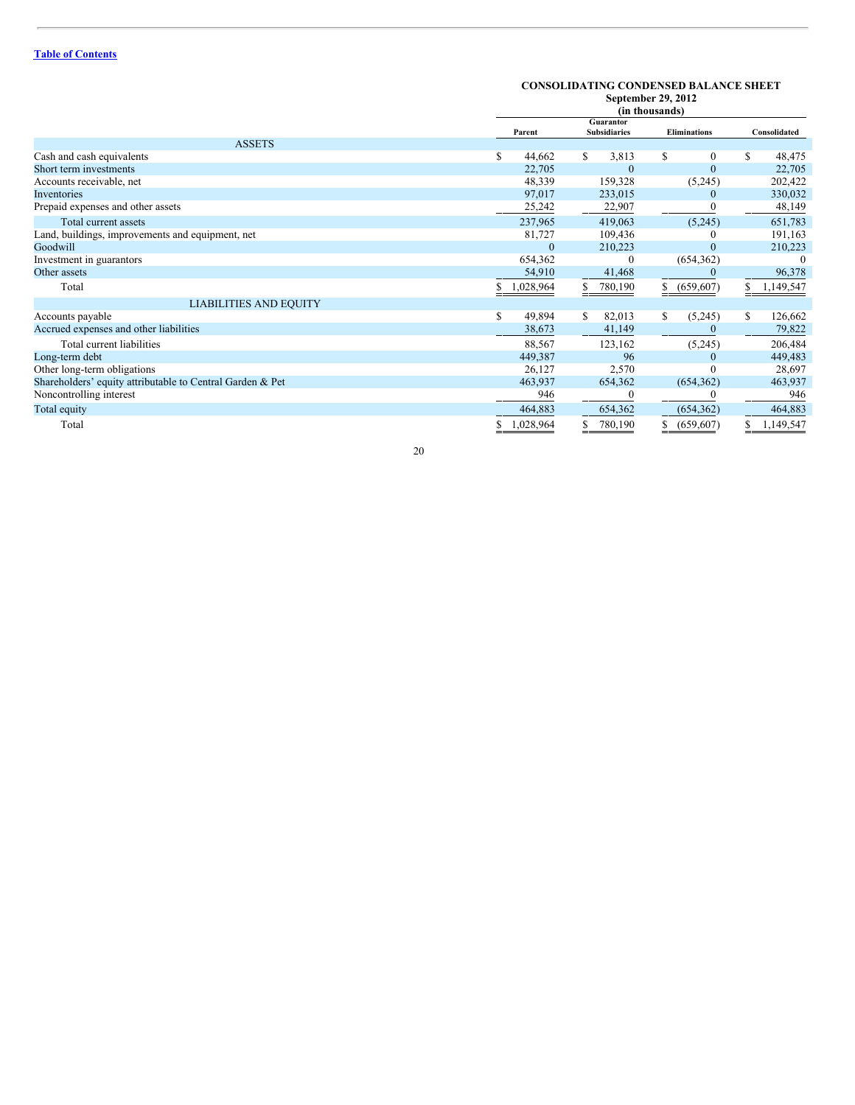#### **CONSOLIDATING CONDENSED BALANCE SHEET September 29, 2012**

|                                                           |           |           |    | $\cup$ epicimosis $\frac{1}{2}$ , $\frac{1}{2}$ or $\frac{1}{2}$ | (in thousands) |                     |    |              |
|-----------------------------------------------------------|-----------|-----------|----|------------------------------------------------------------------|----------------|---------------------|----|--------------|
|                                                           | Guarantor |           |    |                                                                  |                |                     |    |              |
|                                                           |           | Parent    |    | <b>Subsidiaries</b>                                              |                | <b>Eliminations</b> |    | Consolidated |
| <b>ASSETS</b>                                             |           |           |    |                                                                  |                |                     |    |              |
| Cash and cash equivalents                                 | S         | 44,662    | \$ | 3,813                                                            | \$             | $\theta$            | S. | 48,475       |
| Short term investments                                    |           | 22,705    |    | $\Omega$                                                         |                | $\theta$            |    | 22,705       |
| Accounts receivable, net                                  |           | 48,339    |    | 159,328                                                          |                | (5,245)             |    | 202,422      |
| Inventories                                               |           | 97,017    |    | 233,015                                                          |                | $\Omega$            |    | 330,032      |
| Prepaid expenses and other assets                         |           | 25,242    |    | 22,907                                                           |                | 0                   |    | 48,149       |
| Total current assets                                      |           | 237,965   |    | 419,063                                                          |                | (5,245)             |    | 651,783      |
| Land, buildings, improvements and equipment, net          |           | 81,727    |    | 109,436                                                          |                | 0                   |    | 191,163      |
| Goodwill                                                  |           |           |    | 210,223                                                          |                | $\theta$            |    | 210,223      |
| Investment in guarantors                                  |           | 654,362   |    | $\Omega$                                                         |                | (654, 362)          |    | $\theta$     |
| Other assets                                              |           | 54,910    |    | 41,468                                                           |                | 0                   |    | 96,378       |
| Total                                                     |           | 1,028,964 | S. | 780,190                                                          |                | \$ (659,607)        | S. | 1,149,547    |
| <b>LIABILITIES AND EQUITY</b>                             |           |           |    |                                                                  |                |                     |    |              |
| Accounts payable                                          | S.        | 49,894    | \$ | 82,013                                                           | \$             | (5,245)             | S  | 126,662      |
| Accrued expenses and other liabilities                    |           | 38,673    |    | 41,149                                                           |                | 0                   |    | 79,822       |
| Total current liabilities                                 |           | 88,567    |    | 123,162                                                          |                | (5,245)             |    | 206,484      |
| Long-term debt                                            |           | 449,387   |    | 96                                                               |                | $\Omega$            |    | 449,483      |
| Other long-term obligations                               |           | 26,127    |    | 2,570                                                            |                |                     |    | 28,697       |
| Shareholders' equity attributable to Central Garden & Pet |           | 463,937   |    | 654,362                                                          |                | (654, 362)          |    | 463,937      |
| Noncontrolling interest                                   |           | 946       |    |                                                                  |                |                     |    | 946          |
| Total equity                                              |           | 464,883   |    | 654,362                                                          |                | (654, 362)          |    | 464,883      |
| Total                                                     |           | 1,028,964 |    | 780,190                                                          |                | (659, 607)          |    | 1,149,547    |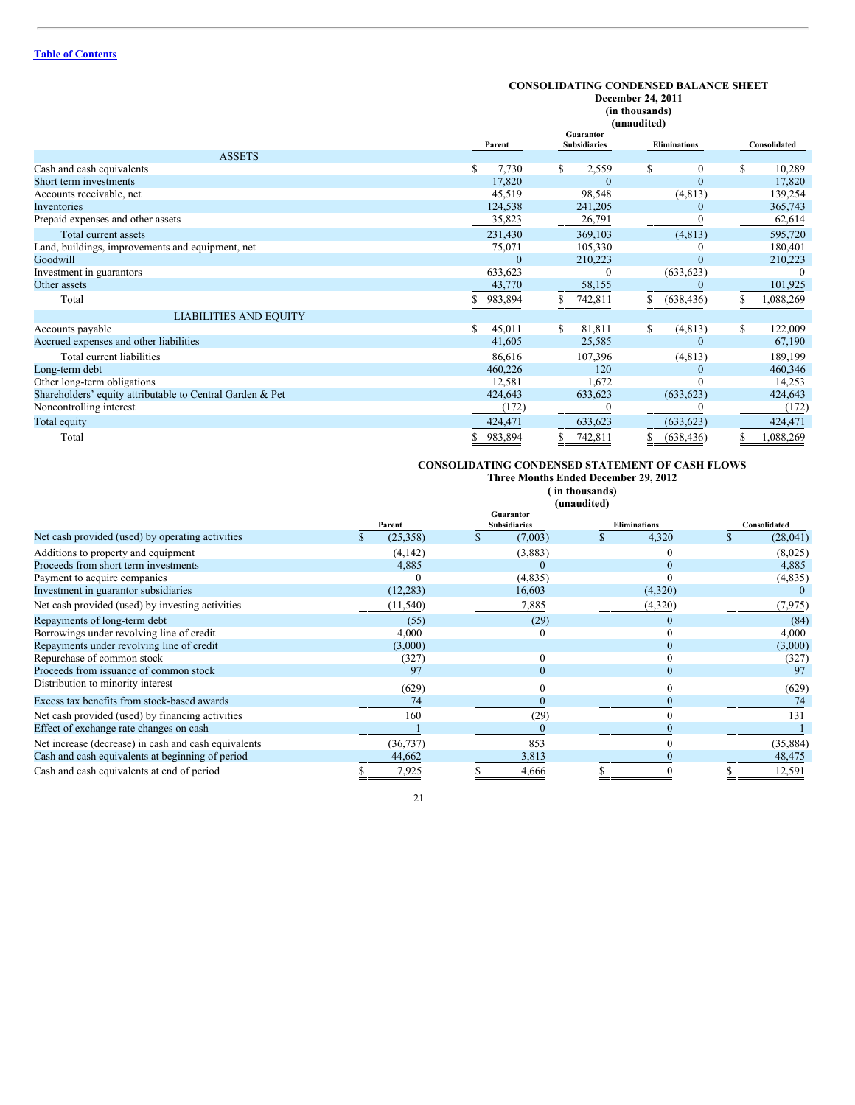# **CONSOLIDATING CONDENSED BALANCE SHEET**

**December 24, 2011**

|                                                           |               | (in thousands)<br>(unaudited) |                     |                 |  |
|-----------------------------------------------------------|---------------|-------------------------------|---------------------|-----------------|--|
|                                                           |               | Guarantor                     |                     |                 |  |
|                                                           | Parent        | <b>Subsidiaries</b>           | <b>Eliminations</b> | Consolidated    |  |
| <b>ASSETS</b>                                             |               |                               |                     |                 |  |
| Cash and cash equivalents                                 | 7,730<br>\$   | \$<br>2,559                   | S<br>$\mathbf{0}$   | \$<br>10,289    |  |
| Short term investments                                    | 17,820        | $\Omega$                      | $\mathbf{0}$        | 17,820          |  |
| Accounts receivable, net                                  | 45,519        | 98,548                        | (4, 813)            | 139,254         |  |
| Inventories                                               | 124,538       | 241,205                       | $\overline{0}$      | 365,743         |  |
| Prepaid expenses and other assets                         | 35,823        | 26,791                        | 0                   | 62,614          |  |
| Total current assets                                      | 231,430       | 369,103                       | (4, 813)            | 595,720         |  |
| Land, buildings, improvements and equipment, net          | 75,071        | 105,330                       |                     | 180,401         |  |
| Goodwill                                                  | $\mathbf{0}$  | 210,223                       | $\mathbf{0}$        | 210,223         |  |
| Investment in guarantors                                  | 633,623       | 0                             | (633, 623)          |                 |  |
| Other assets                                              | 43,770        | 58,155                        |                     | 101,925         |  |
| Total                                                     | 983,894<br>D. | 742,811<br>S.                 | (638, 436)<br>S.    | 1,088,269<br>\$ |  |
| <b>LIABILITIES AND EQUITY</b>                             |               |                               |                     |                 |  |
| Accounts payable                                          | \$<br>45,011  | \$<br>81,811                  | \$<br>(4, 813)      | \$<br>122,009   |  |
| Accrued expenses and other liabilities                    | 41,605        | 25,585                        |                     | 67,190          |  |
| Total current liabilities                                 | 86,616        | 107,396                       | (4, 813)            | 189,199         |  |
| Long-term debt                                            | 460,226       | 120                           | $\overline{0}$      | 460,346         |  |
| Other long-term obligations                               | 12,581        | 1,672                         | $\Omega$            | 14,253          |  |
| Shareholders' equity attributable to Central Garden & Pet | 424,643       | 633,623                       | (633, 623)          | 424,643         |  |
| Noncontrolling interest                                   | (172)         | $\theta$                      |                     | (172)           |  |
| Total equity                                              | 424,471       | 633,623                       | (633, 623)          | 424,471         |  |

Total \$ 983,894 \$ 742,811 \$ (638,436) \$ 1,088,269

#### **CONSOLIDATING CONDENSED STATEMENT OF CASH FLOWS Three Months Ended December 29, 2012 ( in thousands) (unaudited)**

|                                                      |           |                                  | (unauuncu) |                     |              |
|------------------------------------------------------|-----------|----------------------------------|------------|---------------------|--------------|
|                                                      | Parent    | Guarantor<br><b>Subsidiaries</b> |            | <b>Eliminations</b> | Consolidated |
| Net cash provided (used) by operating activities     | (25, 358) | (7,003)                          |            | 4,320               | (28,041)     |
| Additions to property and equipment                  | (4, 142)  | (3,883)                          |            |                     | (8,025)      |
| Proceeds from short term investments                 | 4,885     |                                  |            |                     | 4,885        |
| Payment to acquire companies                         |           | (4, 835)                         |            |                     | (4,835)      |
| Investment in guarantor subsidiaries                 | (12, 283) | 16,603                           |            | (4,320)             |              |
| Net cash provided (used) by investing activities     | (11, 540) | 7,885                            |            | (4,320)             | (7, 975)     |
| Repayments of long-term debt                         | (55)      | (29)                             |            |                     | (84)         |
| Borrowings under revolving line of credit            | 4,000     |                                  |            |                     | 4,000        |
| Repayments under revolving line of credit            | (3,000)   |                                  |            |                     | (3,000)      |
| Repurchase of common stock                           | (327)     |                                  |            |                     | (327)        |
| Proceeds from issuance of common stock               | 97        |                                  |            |                     | 97           |
| Distribution to minority interest                    | (629)     |                                  |            |                     | (629)        |
| Excess tax benefits from stock-based awards          | 74        |                                  |            |                     |              |
| Net cash provided (used) by financing activities     | 160       | (29)                             |            |                     | 131          |
| Effect of exchange rate changes on cash              |           |                                  |            |                     |              |
| Net increase (decrease) in cash and cash equivalents | (36, 737) | 853                              |            |                     | (35,884)     |
| Cash and cash equivalents at beginning of period     | 44,662    | 3,813                            |            |                     | 48,475       |
| Cash and cash equivalents at end of period           | 7,925     | 4,666                            |            |                     | 12,591       |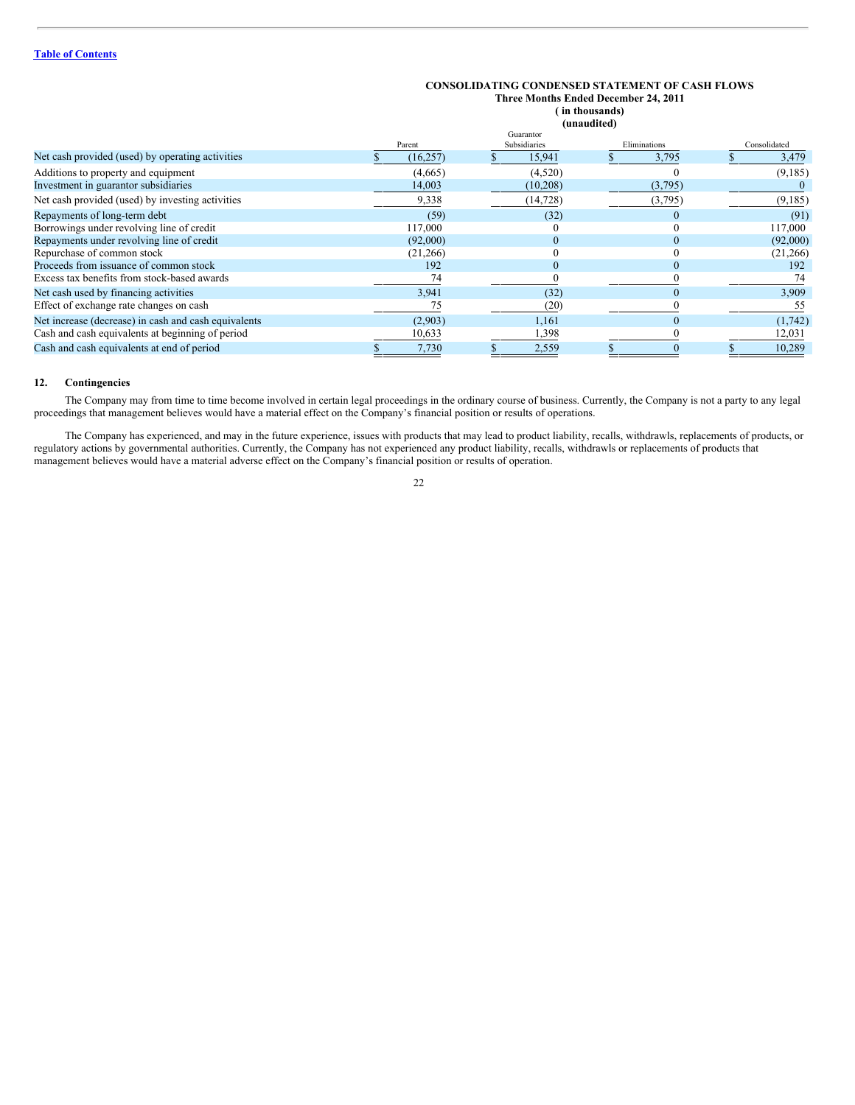#### **CONSOLIDATING CONDENSED STATEMENT OF CASH FLOWS Three Months Ended December 24, 2011 ( in thousands) (unaudited)**

|                                                      |           | Guarantor    |              |              |
|------------------------------------------------------|-----------|--------------|--------------|--------------|
|                                                      | Parent    | Subsidiaries | Eliminations | Consolidated |
| Net cash provided (used) by operating activities     | (16, 257) | 15,941       | 3,795        | 3,479        |
| Additions to property and equipment                  | (4,665)   | (4,520)      |              | (9,185)      |
| Investment in guarantor subsidiaries                 | 14,003    | (10,208)     | (3,795)      |              |
| Net cash provided (used) by investing activities     | 9,338     | (14, 728)    | (3,795)      | (9,185)      |
| Repayments of long-term debt                         | (59)      | (32)         |              | (91)         |
| Borrowings under revolving line of credit            | 117,000   |              |              | 117,000      |
| Repayments under revolving line of credit            | (92,000)  | $\Omega$     |              | (92,000)     |
| Repurchase of common stock                           | (21,266)  |              |              | (21,266)     |
| Proceeds from issuance of common stock               | 192       |              |              | 192          |
| Excess tax benefits from stock-based awards          |           |              |              |              |
| Net cash used by financing activities                | 3,941     | (32)         |              | 3,909        |
| Effect of exchange rate changes on cash              |           | (20)         |              | 55           |
| Net increase (decrease) in cash and cash equivalents | (2,903)   | 1.161        |              | (1,742)      |
| Cash and cash equivalents at beginning of period     | 10,633    | 1,398        |              | 12,031       |
| Cash and cash equivalents at end of period           | 7,730     | 2,559        |              | 10,289       |

## **12. Contingencies**

The Company may from time to time become involved in certain legal proceedings in the ordinary course of business. Currently, the Company is not a party to any legal proceedings that management believes would have a material effect on the Company's financial position or results of operations.

The Company has experienced, and may in the future experience, issues with products that may lead to product liability, recalls, withdrawls, replacements of products, or regulatory actions by governmental authorities. Currently, the Company has not experienced any product liability, recalls, withdrawls or replacements of products that management believes would have a material adverse effect on the Company's financial position or results of operation.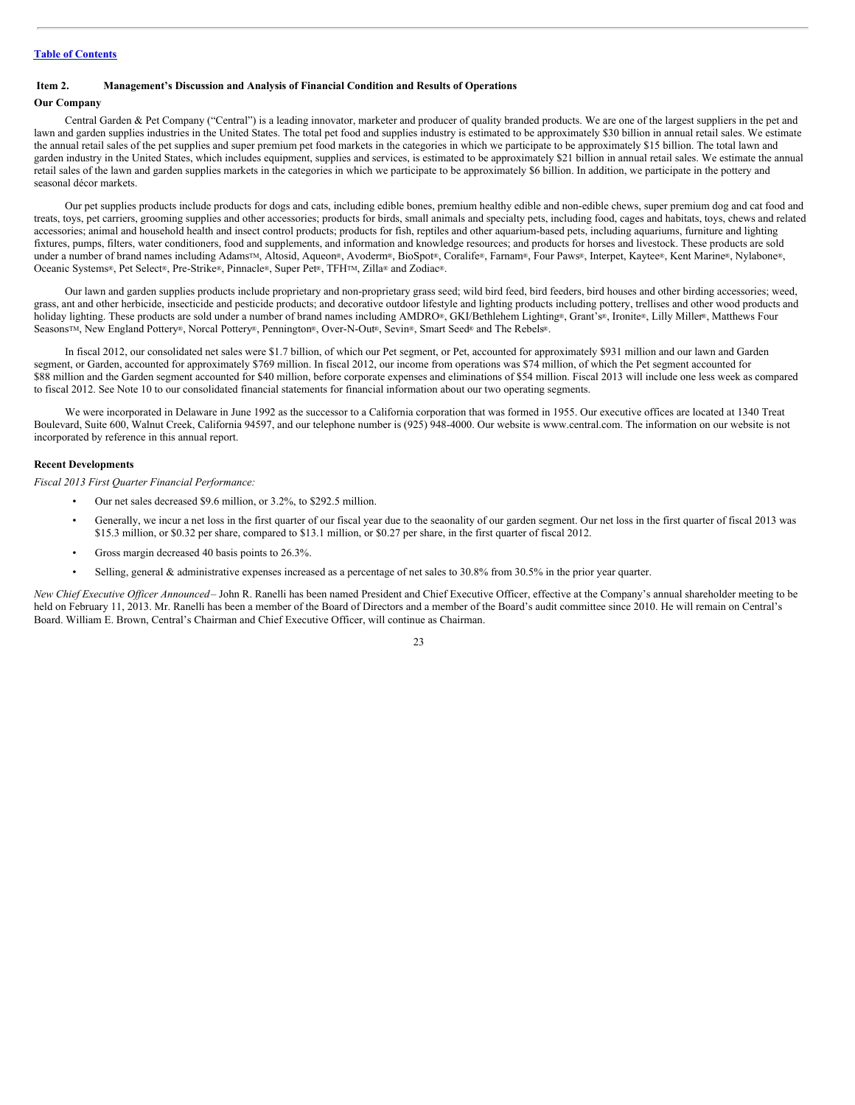## <span id="page-22-0"></span>**Item 2. Management's Discussion and Analysis of Financial Condition and Results of Operations**

#### **Our Company**

Central Garden & Pet Company ("Central") is a leading innovator, marketer and producer of quality branded products. We are one of the largest suppliers in the pet and lawn and garden supplies industries in the United States. The total pet food and supplies industry is estimated to be approximately \$30 billion in annual retail sales. We estimate the annual retail sales of the pet supplies and super premium pet food markets in the categories in which we participate to be approximately \$15 billion. The total lawn and garden industry in the United States, which includes equipment, supplies and services, is estimated to be approximately \$21 billion in annual retail sales. We estimate the annual retail sales of the lawn and garden supplies markets in the categories in which we participate to be approximately \$6 billion. In addition, we participate in the pottery and seasonal décor markets.

Our pet supplies products include products for dogs and cats, including edible bones, premium healthy edible and non-edible chews, super premium dog and cat food and treats, toys, pet carriers, grooming supplies and other accessories; products for birds, small animals and specialty pets, including food, cages and habitats, toys, chews and related accessories; animal and household health and insect control products; products for fish, reptiles and other aquarium-based pets, including aquariums, furniture and lighting fixtures, pumps, filters, water conditioners, food and supplements, and information and knowledge resources; and products for horses and livestock. These products are sold under a number of brand names including Adams™, Altosid, Aqueon®, Avoderm®, BioSpot®, Coralife®, Farnam®, Four Paws®, Interpet, Kaytee®, Kent Marine®, Nylabone®, Oceanic Systems®, Pet Select®, Pre-Strike®, Pinnacle®, Super Pet®, TFH<sup>TM</sup>, Zilla® and Zodiac®.

Our lawn and garden supplies products include proprietary and non-proprietary grass seed; wild bird feed, bird feeders, bird houses and other birding accessories; weed, grass, ant and other herbicide, insecticide and pesticide products; and decorative outdoor lifestyle and lighting products including pottery, trellises and other wood products and holiday lighting. These products are sold under a number of brand names including AMDRO®, GKI/Bethlehem Lighting®, Grant's®, Ironite®, Lilly Miller®, Matthews Four Seasons<sup>TM</sup>, New England Pottery®, Norcal Pottery®, Pennington®, Over-N-Out®, Sevin®, Smart Seed® and The Rebels®.

In fiscal 2012, our consolidated net sales were \$1.7 billion, of which our Pet segment, or Pet, accounted for approximately \$931 million and our lawn and Garden segment, or Garden, accounted for approximately \$769 million. In fiscal 2012, our income from operations was \$74 million, of which the Pet segment accounted for \$88 million and the Garden segment accounted for \$40 million, before corporate expenses and eliminations of \$54 million. Fiscal 2013 will include one less week as compared to fiscal 2012. See Note 10 to our consolidated financial statements for financial information about our two operating segments.

We were incorporated in Delaware in June 1992 as the successor to a California corporation that was formed in 1955. Our executive offices are located at 1340 Treat Boulevard, Suite 600, Walnut Creek, California 94597, and our telephone number is (925) 948-4000. Our website is www.central.com. The information on our website is not incorporated by reference in this annual report.

#### **Recent Developments**

*Fiscal 2013 First Quarter Financial Performance:*

- Our net sales decreased \$9.6 million, or 3.2%, to \$292.5 million.
- Generally, we incur a net loss in the first quarter of our fiscal year due to the seaonality of our garden segment. Our net loss in the first quarter of fiscal 2013 was \$15.3 million, or \$0.32 per share, compared to \$13.1 million, or \$0.27 per share, in the first quarter of fiscal 2012.
- Gross margin decreased 40 basis points to 26.3%.
- Selling, general & administrative expenses increased as a percentage of net sales to 30.8% from 30.5% in the prior year quarter.

*New Chief Executive Of icer Announced*– John R. Ranelli has been named President and Chief Executive Officer, effective at the Company's annual shareholder meeting to be held on February 11, 2013. Mr. Ranelli has been a member of the Board of Directors and a member of the Board's audit committee since 2010. He will remain on Central's Board. William E. Brown, Central's Chairman and Chief Executive Officer, will continue as Chairman.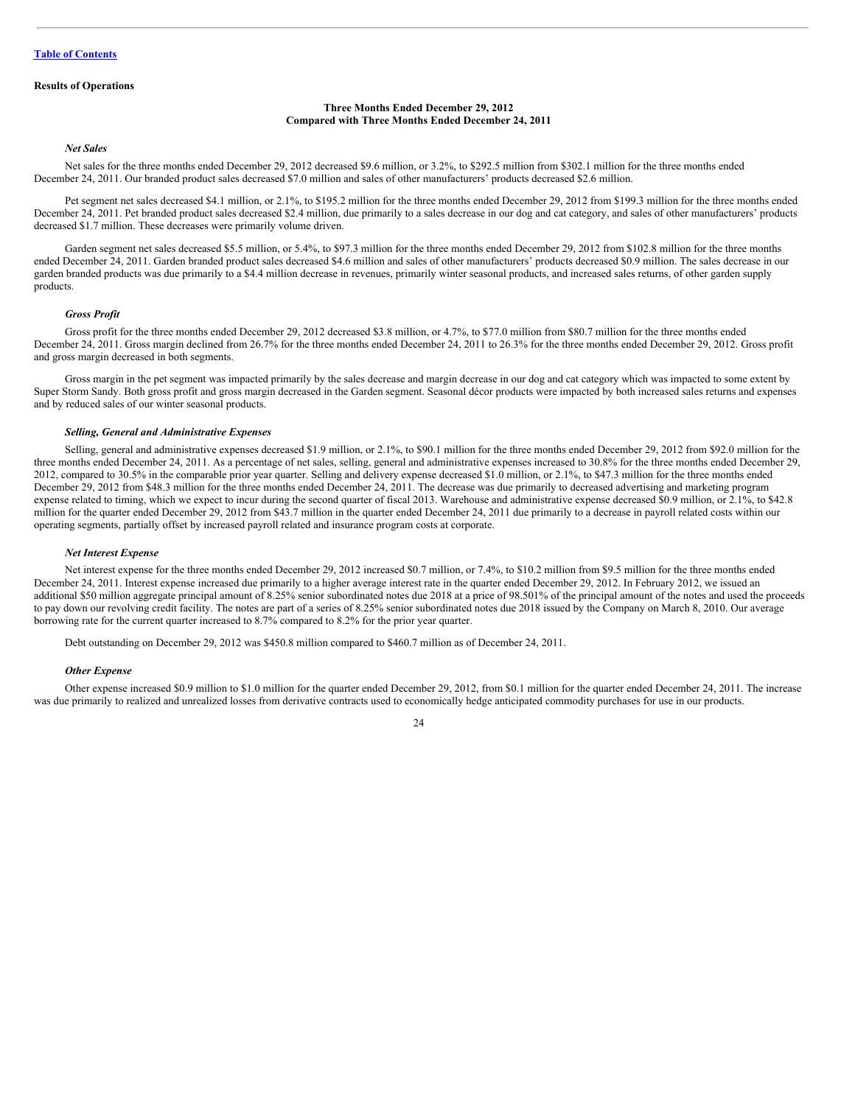#### **Results of Operations**

## **Three Months Ended December 29, 2012 Compared with Three Months Ended December 24, 2011**

## *Net Sales*

Net sales for the three months ended December 29, 2012 decreased \$9.6 million, or 3.2%, to \$292.5 million from \$302.1 million for the three months ended December 24, 2011. Our branded product sales decreased \$7.0 million and sales of other manufacturers' products decreased \$2.6 million.

Pet segment net sales decreased \$4.1 million, or 2.1%, to \$195.2 million for the three months ended December 29, 2012 from \$199.3 million for the three months ended December 24, 2011. Pet branded product sales decreased \$2.4 million, due primarily to a sales decrease in our dog and cat category, and sales of other manufacturers' products decreased \$1.7 million. These decreases were primarily volume driven.

Garden segment net sales decreased \$5.5 million, or 5.4%, to \$97.3 million for the three months ended December 29, 2012 from \$102.8 million for the three months ended December 24, 2011. Garden branded product sales decreased \$4.6 million and sales of other manufacturers' products decreased \$0.9 million. The sales decrease in our garden branded products was due primarily to a \$4.4 million decrease in revenues, primarily winter seasonal products, and increased sales returns, of other garden supply products.

#### *Gross Profit*

Gross profit for the three months ended December 29, 2012 decreased \$3.8 million, or 4.7%, to \$77.0 million from \$80.7 million for the three months ended December 24, 2011. Gross margin declined from 26.7% for the three months ended December 24, 2011 to 26.3% for the three months ended December 29, 2012. Gross profit and gross margin decreased in both segments.

Gross margin in the pet segment was impacted primarily by the sales decrease and margin decrease in our dog and cat category which was impacted to some extent by Super Storm Sandy. Both gross profit and gross margin decreased in the Garden segment. Seasonal décor products were impacted by both increased sales returns and expenses and by reduced sales of our winter seasonal products.

#### *Selling, General and Administrative Expenses*

Selling, general and administrative expenses decreased \$1.9 million, or 2.1%, to \$90.1 million for the three months ended December 29, 2012 from \$92.0 million for the three months ended December 24, 2011. As a percentage of net sales, selling, general and administrative expenses increased to 30.8% for the three months ended December 29, 2012, compared to 30.5% in the comparable prior year quarter. Selling and delivery expense decreased \$1.0 million, or 2.1%, to \$47.3 million for the three months ended December 29, 2012 from \$48.3 million for the three months ended December 24, 2011. The decrease was due primarily to decreased advertising and marketing program expense related to timing, which we expect to incur during the second quarter of fiscal 2013. Warehouse and administrative expense decreased \$0.9 million, or 2.1%, to \$42.8 million for the quarter ended December 29, 2012 from \$43.7 million in the quarter ended December 24, 2011 due primarily to a decrease in payroll related costs within our operating segments, partially offset by increased payroll related and insurance program costs at corporate.

### *Net Interest Expense*

Net interest expense for the three months ended December 29, 2012 increased \$0.7 million, or 7.4%, to \$10.2 million from \$9.5 million for the three months ended December 24, 2011. Interest expense increased due primarily to a higher average interest rate in the quarter ended December 29, 2012. In February 2012, we issued an additional \$50 million aggregate principal amount of 8.25% senior subordinated notes due 2018 at a price of 98.501% of the principal amount of the notes and used the proceeds to pay down our revolving credit facility. The notes are part of a series of 8.25% senior subordinated notes due 2018 issued by the Company on March 8, 2010. Our average borrowing rate for the current quarter increased to 8.7% compared to 8.2% for the prior year quarter.

Debt outstanding on December 29, 2012 was \$450.8 million compared to \$460.7 million as of December 24, 2011.

#### *Other Expense*

Other expense increased \$0.9 million to \$1.0 million for the quarter ended December 29, 2012, from \$0.1 million for the quarter ended December 24, 2011. The increase was due primarily to realized and unrealized losses from derivative contracts used to economically hedge anticipated commodity purchases for use in our products.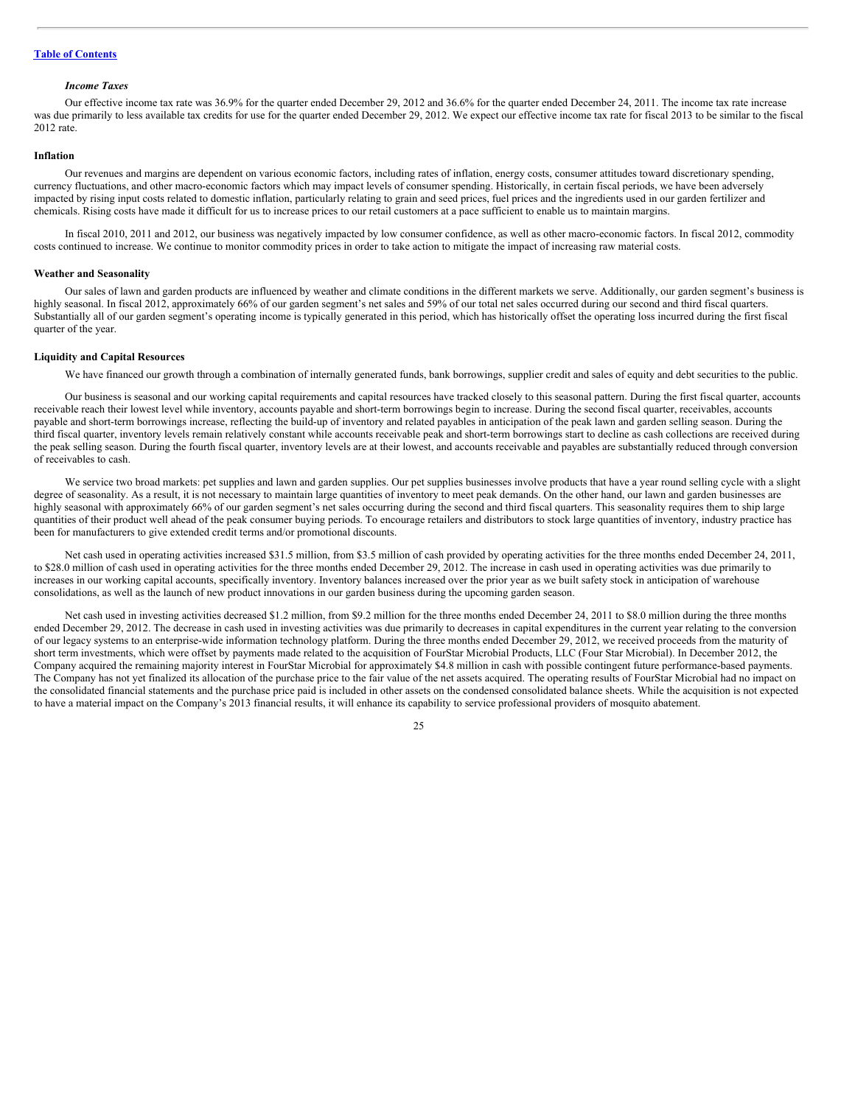#### *Income Taxes*

Our effective income tax rate was 36.9% for the quarter ended December 29, 2012 and 36.6% for the quarter ended December 24, 2011. The income tax rate increase was due primarily to less available tax credits for use for the quarter ended December 29, 2012. We expect our effective income tax rate for fiscal 2013 to be similar to the fiscal 2012 rate.

#### **Inflation**

Our revenues and margins are dependent on various economic factors, including rates of inflation, energy costs, consumer attitudes toward discretionary spending, currency fluctuations, and other macro-economic factors which may impact levels of consumer spending. Historically, in certain fiscal periods, we have been adversely impacted by rising input costs related to domestic inflation, particularly relating to grain and seed prices, fuel prices and the ingredients used in our garden fertilizer and chemicals. Rising costs have made it difficult for us to increase prices to our retail customers at a pace sufficient to enable us to maintain margins.

In fiscal 2010, 2011 and 2012, our business was negatively impacted by low consumer confidence, as well as other macro-economic factors. In fiscal 2012, commodity costs continued to increase. We continue to monitor commodity prices in order to take action to mitigate the impact of increasing raw material costs.

#### **Weather and Seasonality**

Our sales of lawn and garden products are influenced by weather and climate conditions in the different markets we serve. Additionally, our garden segment's business is highly seasonal. In fiscal 2012, approximately 66% of our garden segment's net sales and 59% of our total net sales occurred during our second and third fiscal quarters. Substantially all of our garden segment's operating income is typically generated in this period, which has historically offset the operating loss incurred during the first fiscal quarter of the year.

#### **Liquidity and Capital Resources**

We have financed our growth through a combination of internally generated funds, bank borrowings, supplier credit and sales of equity and debt securities to the public.

Our business is seasonal and our working capital requirements and capital resources have tracked closely to this seasonal pattern. During the first fiscal quarter, accounts receivable reach their lowest level while inventory, accounts payable and short-term borrowings begin to increase. During the second fiscal quarter, receivables, accounts payable and short-term borrowings increase, reflecting the build-up of inventory and related payables in anticipation of the peak lawn and garden selling season. During the third fiscal quarter, inventory levels remain relatively constant while accounts receivable peak and short-term borrowings start to decline as cash collections are received during the peak selling season. During the fourth fiscal quarter, inventory levels are at their lowest, and accounts receivable and payables are substantially reduced through conversion of receivables to cash.

We service two broad markets: pet supplies and lawn and garden supplies. Our pet supplies businesses involve products that have a year round selling cycle with a slight degree of seasonality. As a result, it is not necessary to maintain large quantities of inventory to meet peak demands. On the other hand, our lawn and garden businesses are highly seasonal with approximately 66% of our garden segment's net sales occurring during the second and third fiscal quarters. This seasonality requires them to ship large quantities of their product well ahead of the peak consumer buying periods. To encourage retailers and distributors to stock large quantities of inventory, industry practice has been for manufacturers to give extended credit terms and/or promotional discounts.

Net cash used in operating activities increased \$31.5 million, from \$3.5 million of cash provided by operating activities for the three months ended December 24, 2011, to \$28.0 million of cash used in operating activities for the three months ended December 29, 2012. The increase in cash used in operating activities was due primarily to increases in our working capital accounts, specifically inventory. Inventory balances increased over the prior year as we built safety stock in anticipation of warehouse consolidations, as well as the launch of new product innovations in our garden business during the upcoming garden season.

Net cash used in investing activities decreased \$1.2 million, from \$9.2 million for the three months ended December 24, 2011 to \$8.0 million during the three months ended December 29, 2012. The decrease in cash used in investing activities was due primarily to decreases in capital expenditures in the current year relating to the conversion of our legacy systems to an enterprise-wide information technology platform. During the three months ended December 29, 2012, we received proceeds from the maturity of short term investments, which were offset by payments made related to the acquisition of FourStar Microbial Products, LLC (Four Star Microbial). In December 2012, the Company acquired the remaining majority interest in FourStar Microbial for approximately \$4.8 million in cash with possible contingent future performance-based payments. The Company has not yet finalized its allocation of the purchase price to the fair value of the net assets acquired. The operating results of FourStar Microbial had no impact on the consolidated financial statements and the purchase price paid is included in other assets on the condensed consolidated balance sheets. While the acquisition is not expected to have a material impact on the Company's 2013 financial results, it will enhance its capability to service professional providers of mosquito abatement.

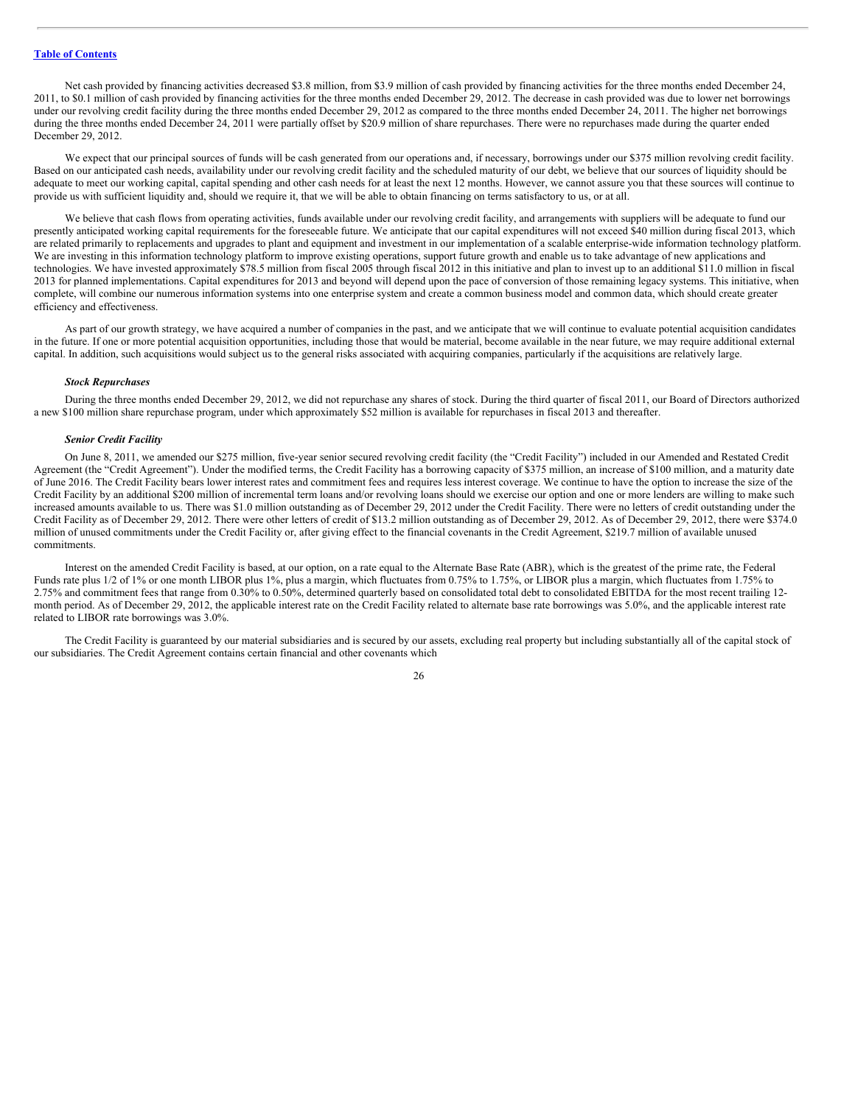Net cash provided by financing activities decreased \$3.8 million, from \$3.9 million of cash provided by financing activities for the three months ended December 24, 2011, to \$0.1 million of cash provided by financing activities for the three months ended December 29, 2012. The decrease in cash provided was due to lower net borrowings under our revolving credit facility during the three months ended December 29, 2012 as compared to the three months ended December 24, 2011. The higher net borrowings during the three months ended December 24, 2011 were partially offset by \$20.9 million of share repurchases. There were no repurchases made during the quarter ended December 29, 2012.

We expect that our principal sources of funds will be cash generated from our operations and, if necessary, borrowings under our \$375 million revolving credit facility. Based on our anticipated cash needs, availability under our revolving credit facility and the scheduled maturity of our debt, we believe that our sources of liquidity should be adequate to meet our working capital, capital spending and other cash needs for at least the next 12 months. However, we cannot assure you that these sources will continue to provide us with sufficient liquidity and, should we require it, that we will be able to obtain financing on terms satisfactory to us, or at all.

We believe that cash flows from operating activities, funds available under our revolving credit facility, and arrangements with suppliers will be adequate to fund our presently anticipated working capital requirements for the foreseeable future. We anticipate that our capital expenditures will not exceed \$40 million during fiscal 2013, which are related primarily to replacements and upgrades to plant and equipment and investment in our implementation of a scalable enterprise-wide information technology platform. We are investing in this information technology platform to improve existing operations, support future growth and enable us to take advantage of new applications and technologies. We have invested approximately \$78.5 million from fiscal 2005 through fiscal 2012 in this initiative and plan to invest up to an additional \$11.0 million in fiscal 2013 for planned implementations. Capital expenditures for 2013 and beyond will depend upon the pace of conversion of those remaining legacy systems. This initiative, when complete, will combine our numerous information systems into one enterprise system and create a common business model and common data, which should create greater efficiency and effectiveness.

As part of our growth strategy, we have acquired a number of companies in the past, and we anticipate that we will continue to evaluate potential acquisition candidates in the future. If one or more potential acquisition opportunities, including those that would be material, become available in the near future, we may require additional external capital. In addition, such acquisitions would subject us to the general risks associated with acquiring companies, particularly if the acquisitions are relatively large.

#### *Stock Repurchases*

During the three months ended December 29, 2012, we did not repurchase any shares of stock. During the third quarter of fiscal 2011, our Board of Directors authorized a new \$100 million share repurchase program, under which approximately \$52 million is available for repurchases in fiscal 2013 and thereafter.

#### *Senior Credit Facility*

On June 8, 2011, we amended our \$275 million, five-year senior secured revolving credit facility (the "Credit Facility") included in our Amended and Restated Credit Agreement (the "Credit Agreement"). Under the modified terms, the Credit Facility has a borrowing capacity of \$375 million, an increase of \$100 million, and a maturity date of June 2016. The Credit Facility bears lower interest rates and commitment fees and requires less interest coverage. We continue to have the option to increase the size of the Credit Facility by an additional \$200 million of incremental term loans and/or revolving loans should we exercise our option and one or more lenders are willing to make such increased amounts available to us. There was \$1.0 million outstanding as of December 29, 2012 under the Credit Facility. There were no letters of credit outstanding under the Credit Facility as of December 29, 2012. There were other letters of credit of \$13.2 million outstanding as of December 29, 2012. As of December 29, 2012, there were \$374.0 million of unused commitments under the Credit Facility or, after giving effect to the financial covenants in the Credit Agreement, \$219.7 million of available unused commitments.

Interest on the amended Credit Facility is based, at our option, on a rate equal to the Alternate Base Rate (ABR), which is the greatest of the prime rate, the Federal Funds rate plus 1/2 of 1% or one month LIBOR plus 1%, plus a margin, which fluctuates from 0.75% to 1.75% or LIBOR plus a margin, which fluctuates from 1.75% to 2.75% and commitment fees that range from 0.30% to 0.50%, determined quarterly based on consolidated total debt to consolidated EBITDA for the most recent trailing 12month period. As of December 29, 2012, the applicable interest rate on the Credit Facility related to alternate base rate borrowings was 5.0%, and the applicable interest rate related to LIBOR rate borrowings was 3.0%.

The Credit Facility is guaranteed by our material subsidiaries and is secured by our assets, excluding real property but including substantially all of the capital stock of our subsidiaries. The Credit Agreement contains certain financial and other covenants which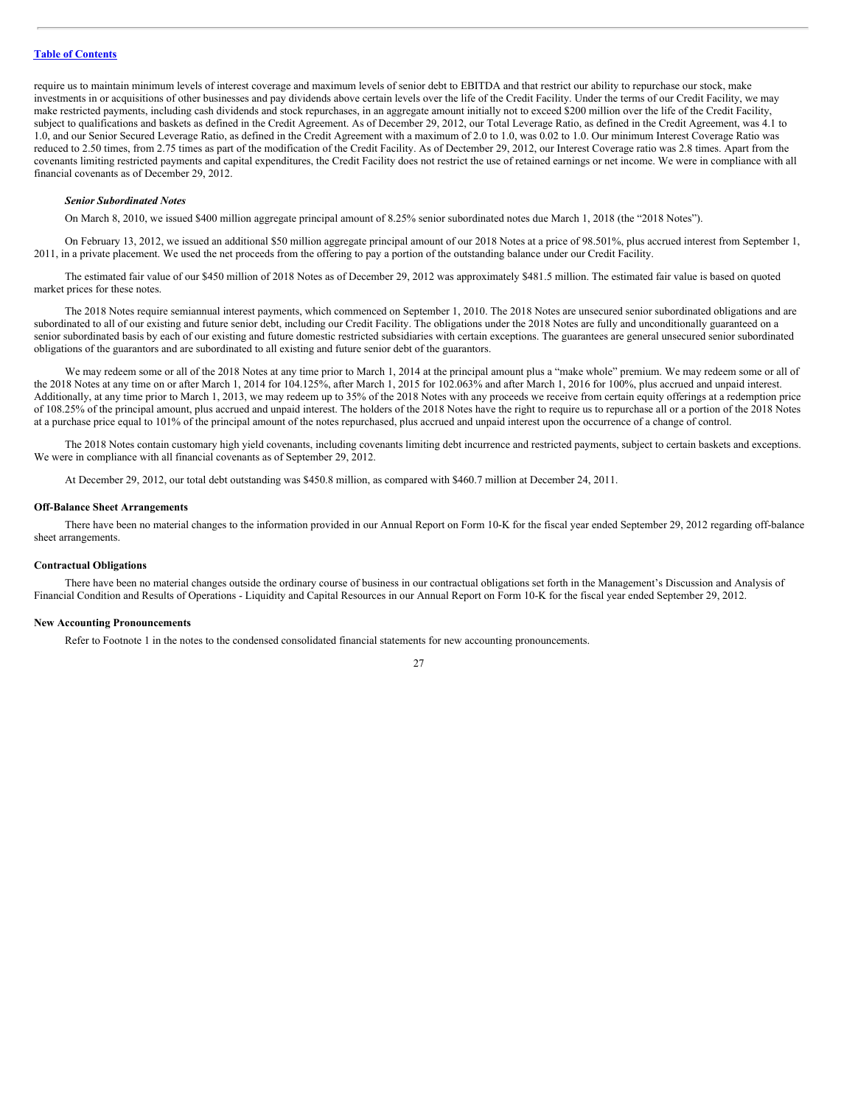require us to maintain minimum levels of interest coverage and maximum levels of senior debt to EBITDA and that restrict our ability to repurchase our stock, make investments in or acquisitions of other businesses and pay dividends above certain levels over the life of the Credit Facility. Under the terms of our Credit Facility, we may make restricted payments, including cash dividends and stock repurchases, in an aggregate amount initially not to exceed \$200 million over the life of the Credit Facility, subject to qualifications and baskets as defined in the Credit Agreement. As of December 29, 2012, our Total Leverage Ratio, as defined in the Credit Agreement, was 4.1 to 1.0, and our Senior Secured Leverage Ratio, as defined in the Credit Agreement with a maximum of 2.0 to 1.0, was 0.02 to 1.0. Our minimum Interest Coverage Ratio was reduced to 2.50 times, from 2.75 times as part of the modification of the Credit Facility. As of Dectember 29, 2012, our Interest Coverage ratio was 2.8 times. Apart from the covenants limiting restricted payments and capital expenditures, the Credit Facility does not restrict the use of retained earnings or net income. We were in compliance with all financial covenants as of December 29, 2012.

#### *Senior Subordinated Notes*

On March 8, 2010, we issued \$400 million aggregate principal amount of 8.25% senior subordinated notes due March 1, 2018 (the "2018 Notes").

On February 13, 2012, we issued an additional \$50 million aggregate principal amount of our 2018 Notes at a price of 98.501%, plus accrued interest from September 1, 2011, in a private placement. We used the net proceeds from the offering to pay a portion of the outstanding balance under our Credit Facility.

The estimated fair value of our \$450 million of 2018 Notes as of December 29, 2012 was approximately \$481.5 million. The estimated fair value is based on quoted market prices for these notes.

The 2018 Notes require semiannual interest payments, which commenced on September 1, 2010. The 2018 Notes are unsecured senior subordinated obligations and are subordinated to all of our existing and future senior debt, including our Credit Facility. The obligations under the 2018 Notes are fully and unconditionally guaranteed on a senior subordinated basis by each of our existing and future domestic restricted subsidiaries with certain exceptions. The guarantees are general unsecured senior subordinated obligations of the guarantors and are subordinated to all existing and future senior debt of the guarantors.

We may redeem some or all of the 2018 Notes at any time prior to March 1, 2014 at the principal amount plus a "make whole" premium. We may redeem some or all of the 2018 Notes at any time on or after March 1, 2014 for 104.125%, after March 1, 2015 for 102.063% and after March 1, 2016 for 100%, plus accrued and unpaid interest. Additionally, at any time prior to March 1, 2013, we may redeem up to 35% of the 2018 Notes with any proceeds we receive from certain equity offerings at a redemption price of 108.25% of the principal amount, plus accrued and unpaid interest. The holders of the 2018 Notes have the right to require us to repurchase all or a portion of the 2018 Notes at a purchase price equal to 101% of the principal amount of the notes repurchased, plus accrued and unpaid interest upon the occurrence of a change of control.

The 2018 Notes contain customary high yield covenants, including covenants limiting debt incurrence and restricted payments, subject to certain baskets and exceptions. We were in compliance with all financial covenants as of September 29, 2012.

At December 29, 2012, our total debt outstanding was \$450.8 million, as compared with \$460.7 million at December 24, 2011.

#### **Off-Balance Sheet Arrangements**

There have been no material changes to the information provided in our Annual Report on Form 10-K for the fiscal year ended September 29, 2012 regarding off-balance sheet arrangements.

#### **Contractual Obligations**

There have been no material changes outside the ordinary course of business in our contractual obligations set forth in the Management's Discussion and Analysis of Financial Condition and Results of Operations - Liquidity and Capital Resources in our Annual Report on Form 10-K for the fiscal year ended September 29, 2012.

#### **New Accounting Pronouncements**

Refer to Footnote 1 in the notes to the condensed consolidated financial statements for new accounting pronouncements.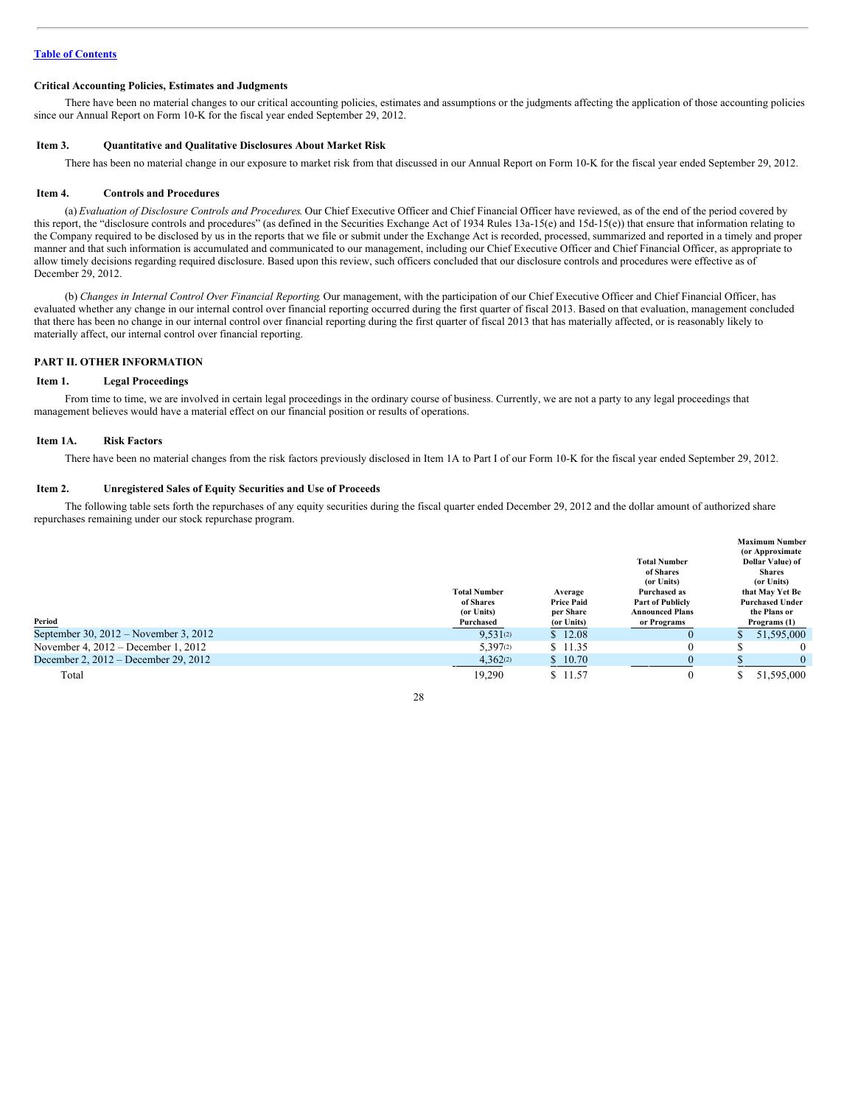## **Critical Accounting Policies, Estimates and Judgments**

There have been no material changes to our critical accounting policies, estimates and assumptions or the judgments affecting the application of those accounting policies since our Annual Report on Form 10-K for the fiscal year ended September 29, 2012.

#### <span id="page-27-0"></span>**Item 3. Quantitative and Qualitative Disclosures About Market Risk**

There has been no material change in our exposure to market risk from that discussed in our Annual Report on Form 10-K for the fiscal year ended September 29, 2012.

#### <span id="page-27-1"></span>**Item 4. Controls and Procedures**

(a) *Evaluation of Disclosure Controls and Procedures*. Our Chief Executive Officer and Chief Financial Officer have reviewed, as of the end of the period covered by this report, the "disclosure controls and procedures" (as defined in the Securities Exchange Act of 1934 Rules 13a-15(e) and 15d-15(e)) that ensure that information relating to the Company required to be disclosed by us in the reports that we file or submit under the Exchange Act is recorded, processed, summarized and reported in a timely and proper manner and that such information is accumulated and communicated to our management, including our Chief Executive Officer and Chief Financial Officer, as appropriate to allow timely decisions regarding required disclosure. Based upon this review, such officers concluded that our disclosure controls and procedures were effective as of December 29, 2012.

(b) *Changes in Internal Control Over Financial Reporting*. Our management, with the participation of our Chief Executive Officer and Chief Financial Officer, has evaluated whether any change in our internal control over financial reporting occurred during the first quarter of fiscal 2013. Based on that evaluation, management concluded that there has been no change in our internal control over financial reporting during the first quarter of fiscal 2013 that has materially affected, or is reasonably likely to materially affect, our internal control over financial reporting.

## **PART II. OTHER INFORMATION**

#### <span id="page-27-2"></span>**Item 1. Legal Proceedings**

From time to time, we are involved in certain legal proceedings in the ordinary course of business. Currently, we are not a party to any legal proceedings that management believes would have a material effect on our financial position or results of operations.

#### <span id="page-27-3"></span>**Item 1A. Risk Factors**

There have been no material changes from the risk factors previously disclosed in Item 1A to Part I of our Form 10-K for the fiscal year ended September 29, 2012.

## <span id="page-27-4"></span>**Item 2. Unregistered Sales of Equity Securities and Use of Proceeds**

The following table sets forth the repurchases of any equity securities during the fiscal quarter ended December 29, 2012 and the dollar amount of authorized share repurchases remaining under our stock repurchase program.

|                                       | <b>Total Number</b><br>of Shares<br>(or Units) | Average<br><b>Price Paid</b><br>per Share | <b>Total Number</b><br>of Shares<br>(or Units)<br>Purchased as<br><b>Part of Publicly</b><br><b>Announced Plans</b> | <b>Maximum Number</b><br>(or Approximate<br>Dollar Value) of<br><b>Shares</b><br>(or Units)<br>that May Yet Be<br><b>Purchased Under</b><br>the Plans or |
|---------------------------------------|------------------------------------------------|-------------------------------------------|---------------------------------------------------------------------------------------------------------------------|----------------------------------------------------------------------------------------------------------------------------------------------------------|
| Period                                | Purchased                                      | (or Units)                                | or Programs                                                                                                         | Programs (1)                                                                                                                                             |
| September 30, 2012 – November 3, 2012 | 9.531(2)                                       | \$12.08                                   | 0                                                                                                                   | 51,595,000                                                                                                                                               |
| November 4, $2012 - December 1, 2012$ | 5.397(2)                                       | \$11.35                                   | $\theta$                                                                                                            | $\Omega$                                                                                                                                                 |
| December 2, 2012 – December 29, 2012  | 4,362(2)                                       | \$10.70                                   |                                                                                                                     | $\mathbf{0}$                                                                                                                                             |
| Total                                 | 19.290                                         | \$11.57                                   |                                                                                                                     | 51,595,000                                                                                                                                               |

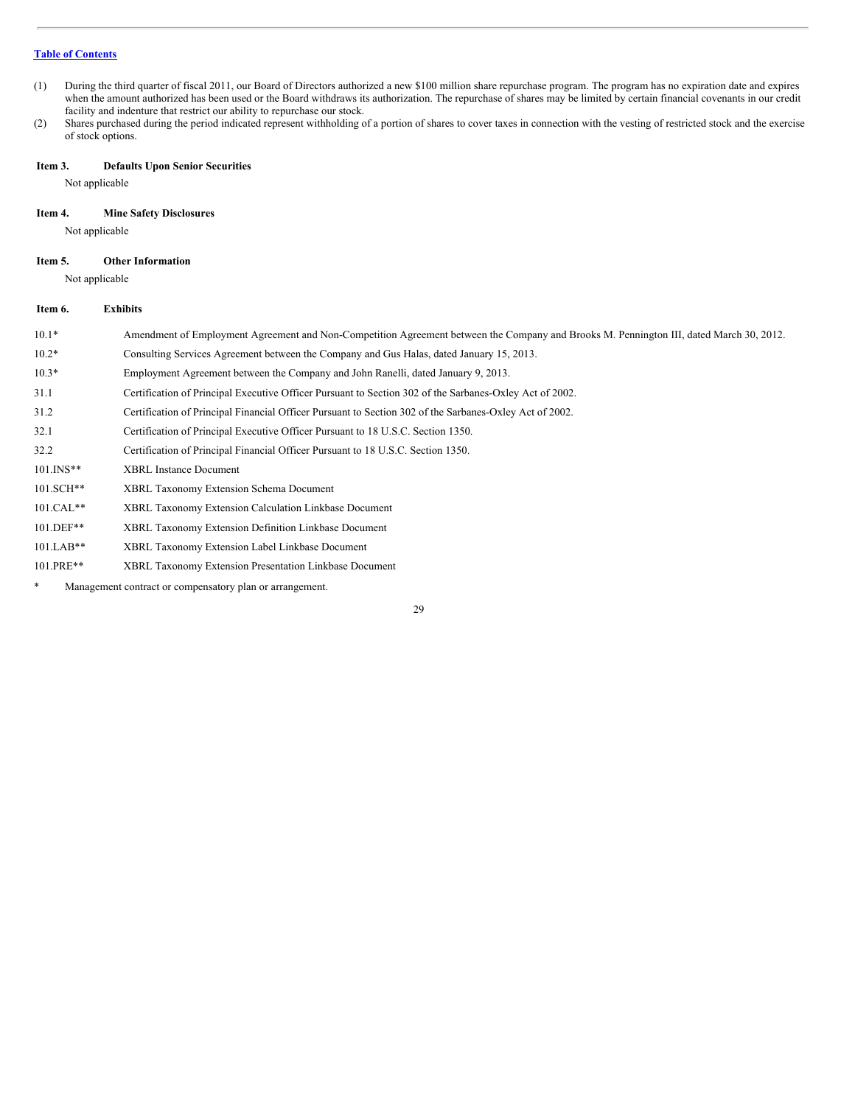- (1) During the third quarter of fiscal 2011, our Board of Directors authorized a new \$100 million share repurchase program. The program has no expiration date and expires when the amount authorized has been used or the Board withdraws its authorization. The repurchase of shares may be limited by certain financial covenants in our credit facility and indenture that restrict our ability to repurchase our stock.
- (2) Shares purchased during the period indicated represent withholding of a portion of shares to cover taxes in connection with the vesting of restricted stock and the exercise of stock options.

#### <span id="page-28-0"></span>**Item 3. Defaults Upon Senior Securities**

Not applicable

## <span id="page-28-1"></span>**Item 4. Mine Safety Disclosures**

Not applicable

## <span id="page-28-2"></span>**Item 5. Other Information**

Not applicable

## <span id="page-28-3"></span>**Item 6. Exhibits**

| $10.1*$      | Amendment of Employment Agreement and Non-Competition Agreement between the Company and Brooks M. Pennington III, dated March 30, 2012. |
|--------------|-----------------------------------------------------------------------------------------------------------------------------------------|
| $10.2*$      | Consulting Services Agreement between the Company and Gus Halas, dated January 15, 2013.                                                |
| $10.3*$      | Employment Agreement between the Company and John Ranelli, dated January 9, 2013.                                                       |
| 31.1         | Certification of Principal Executive Officer Pursuant to Section 302 of the Sarbanes-Oxley Act of 2002.                                 |
| 31.2         | Certification of Principal Financial Officer Pursuant to Section 302 of the Sarbanes-Oxley Act of 2002.                                 |
| 32.1         | Certification of Principal Executive Officer Pursuant to 18 U.S.C. Section 1350.                                                        |
| 32.2         | Certification of Principal Financial Officer Pursuant to 18 U.S.C. Section 1350.                                                        |
| $101.$ INS** | <b>XBRL</b> Instance Document                                                                                                           |
| $101.SCH**$  | <b>XBRL Taxonomy Extension Schema Document</b>                                                                                          |
| $101.CAL**$  | <b>XBRL Taxonomy Extension Calculation Linkbase Document</b>                                                                            |
| 101.DEF**    | <b>XBRL Taxonomy Extension Definition Linkbase Document</b>                                                                             |
| $101.LAB**$  | XBRL Taxonomy Extension Label Linkbase Document                                                                                         |
| 101.PRE**    | <b>XBRL Taxonomy Extension Presentation Linkbase Document</b>                                                                           |
|              |                                                                                                                                         |

Management contract or compensatory plan or arrangement.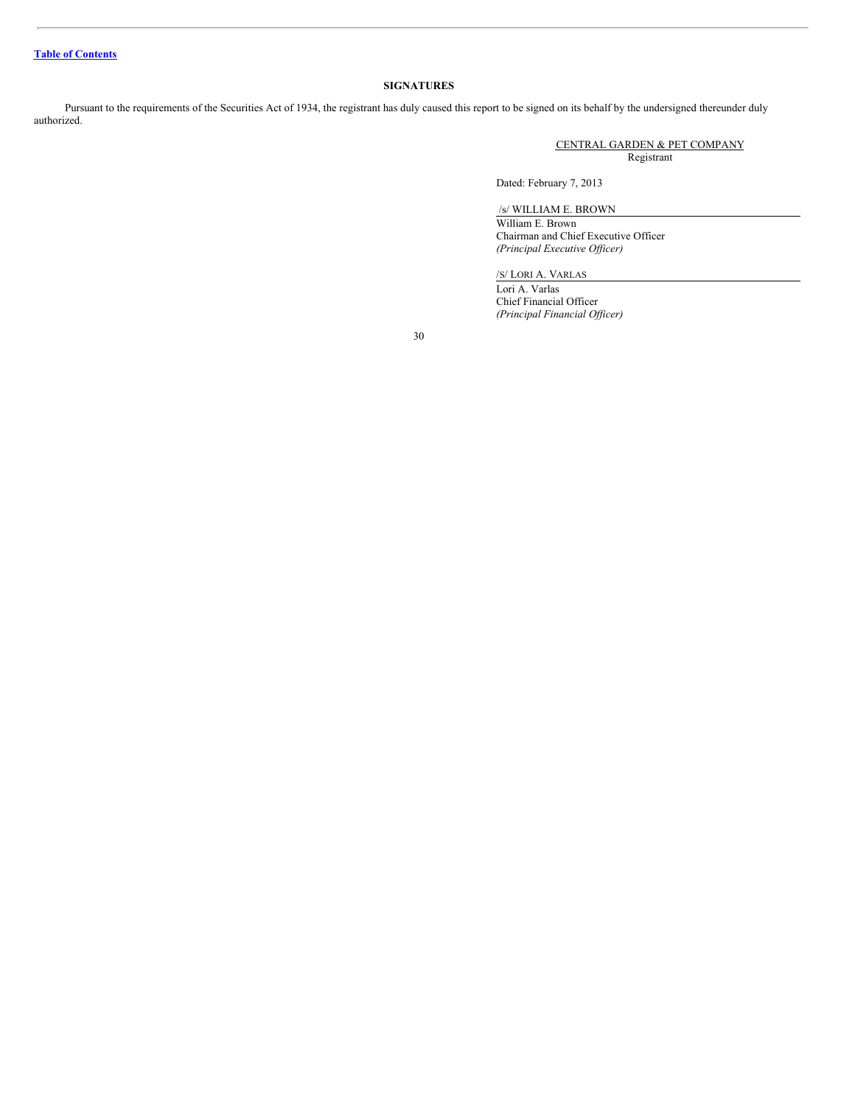## **SIGNATURES**

Pursuant to the requirements of the Securities Act of 1934, the registrant has duly caused this report to be signed on its behalf by the undersigned thereunder duly authorized.

> CENTRAL GARDEN & PET COMPANY Registrant

Dated: February 7, 2013

## /s/ WILLIAM E. BROWN

William E. Brown Chairman and Chief Executive Officer *(Principal Executive Of icer)*

## /S/ LORI A. VARLAS

Lori A. Varlas Chief Financial Officer *(Principal Financial Of icer)*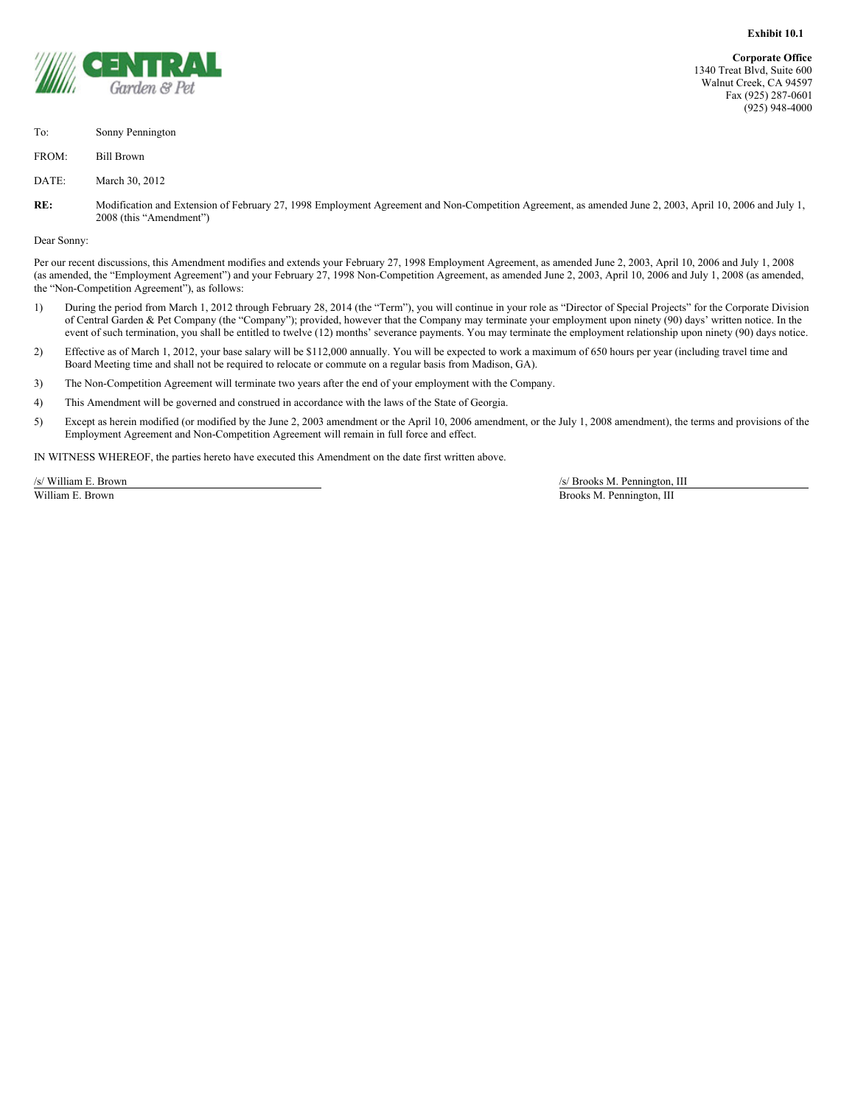

**Corporate Office** 1340 Treat Blvd, Suite 600 Walnut Creek, CA 94597 Fax (925) 287-0601 (925) 948-4000

To: Sonny Pennington

FROM: Bill Brown

DATE: March 30, 2012

**RE:** Modification and Extension of February 27, 1998 Employment Agreement and Non-Competition Agreement, as amended June 2, 2003, April 10, 2006 and July 1, 2008 (this "Amendment")

Dear Sonny:

Per our recent discussions, this Amendment modifies and extends your February 27, 1998 Employment Agreement, as amended June 2, 2003, April 10, 2006 and July 1, 2008 (as amended, the "Employment Agreement") and your February 27, 1998 Non-Competition Agreement, as amended June 2, 2003, April 10, 2006 and July 1, 2008 (as amended, the "Non-Competition Agreement"), as follows:

- 1) During the period from March 1, 2012 through February 28, 2014 (the "Term"), you will continue in your role as "Director of Special Projects" for the Corporate Division of Central Garden & Pet Company (the "Company"); provided, however that the Company may terminate your employment upon ninety (90) days' written notice. In the event of such termination, you shall be entitled to twelve (12) months' severance payments. You may terminate the employment relationship upon ninety (90) days notice.
- 2) Effective as of March 1, 2012, your base salary will be \$112,000 annually. You will be expected to work a maximum of 650 hours per year (including travel time and Board Meeting time and shall not be required to relocate or commute on a regular basis from Madison, GA).
- 3) The Non-Competition Agreement will terminate two years after the end of your employment with the Company.
- 4) This Amendment will be governed and construed in accordance with the laws of the State of Georgia.
- 5) Except as herein modified (or modified by the June 2, 2003 amendment or the April 10, 2006 amendment, or the July 1, 2008 amendment), the terms and provisions of the Employment Agreement and Non-Competition Agreement will remain in full force and effect.

IN WITNESS WHEREOF, the parties hereto have executed this Amendment on the date first written above.

/s/ William E. Brown /s/ Brooks M. Pennington, III William E. Brown Brooks M. Pennington, III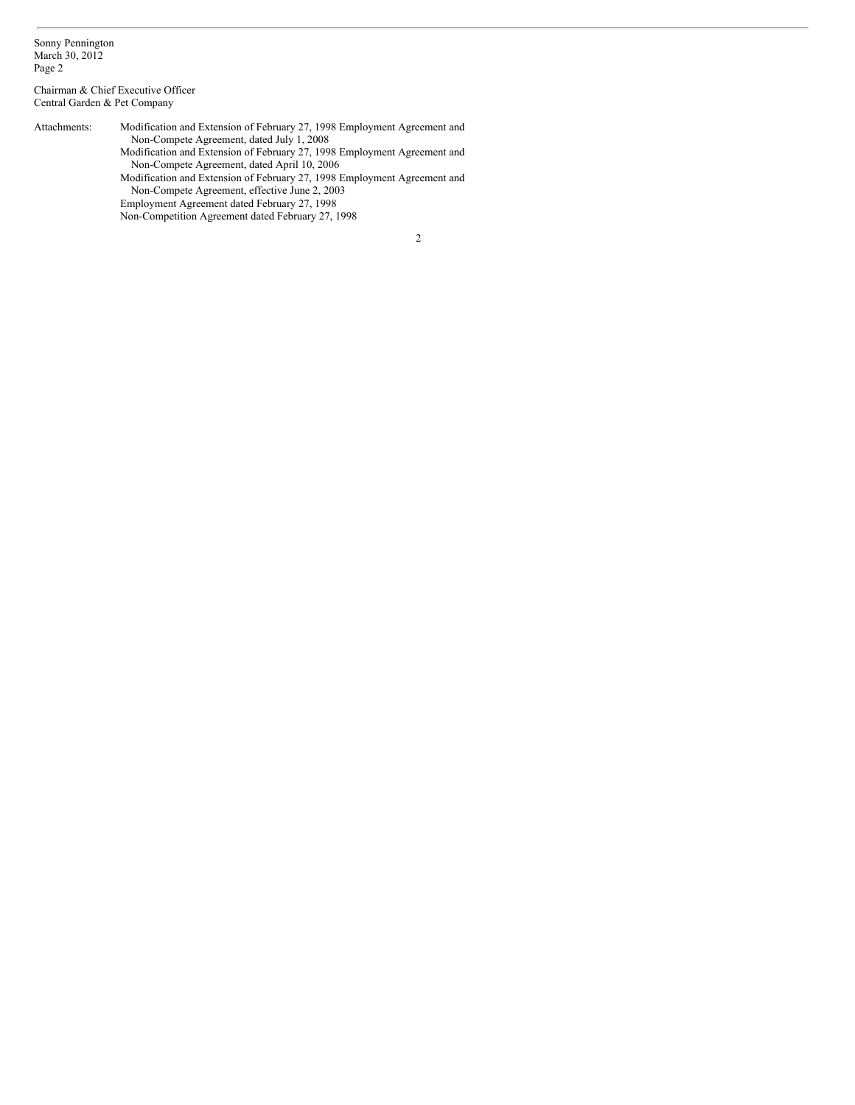## Chairman & Chief Executive Officer Central Garden & Pet Company

Attachments: Modification and Extension of February 27, 1998 Employment Agreement and Non-Compete Agreement, dated July 1, 2008 Modification and Extension of February 27, 1998 Employment Agreement and Non-Compete Agreement, dated April 10, 2006 Modification and Extension of February 27, 1998 Employment Agreement and Non-Compete Agreement, effective June 2, 2003 Employment Agreement dated February 27, 1998

Non-Competition Agreement dated February 27, 1998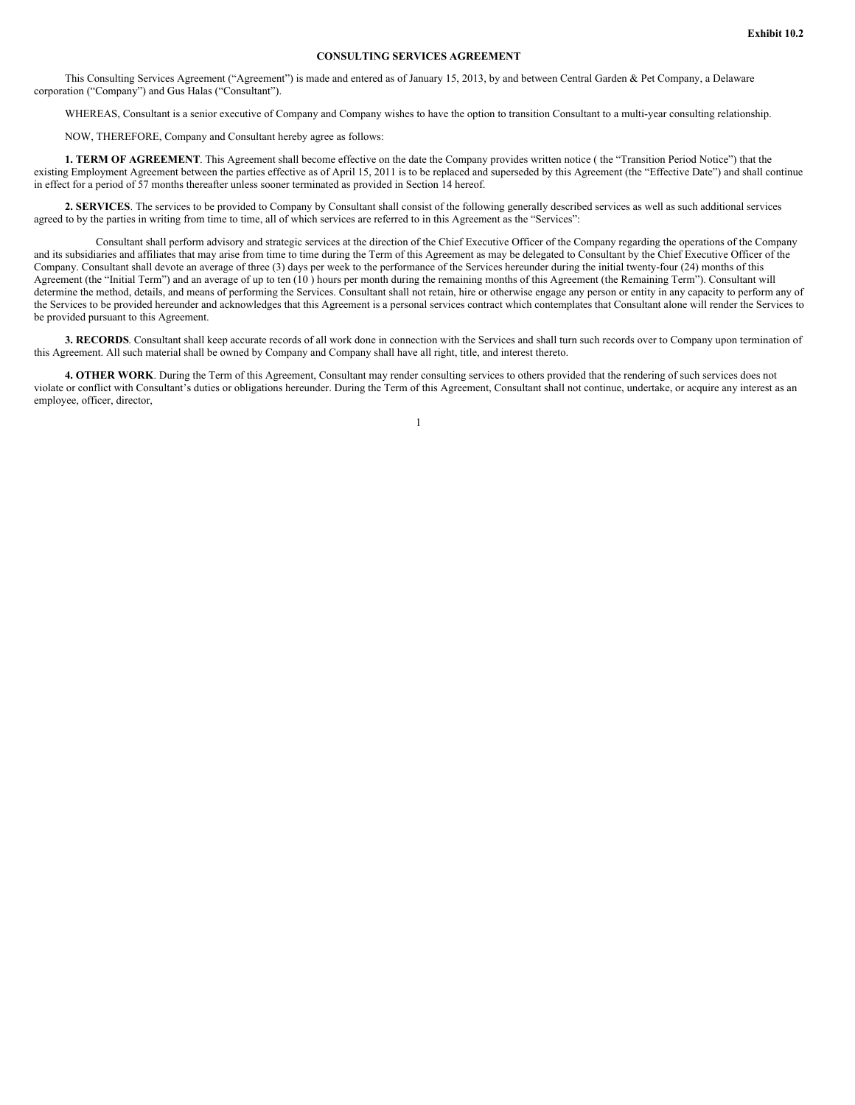## **CONSULTING SERVICES AGREEMENT**

This Consulting Services Agreement ("Agreement") is made and entered as of January 15, 2013, by and between Central Garden & Pet Company, a Delaware corporation ("Company") and Gus Halas ("Consultant").

WHEREAS, Consultant is a senior executive of Company and Company wishes to have the option to transition Consultant to a multi-year consulting relationship.

NOW, THEREFORE, Company and Consultant hereby agree as follows:

**1. TERM OF AGREEMENT**. This Agreement shall become effective on the date the Company provides written notice ( the "Transition Period Notice") that the existing Employment Agreement between the parties effective as of April 15, 2011 is to be replaced and superseded by this Agreement (the "Effective Date") and shall continue in effect for a period of 57 months thereafter unless sooner terminated as provided in Section 14 hereof.

**2. SERVICES**. The services to be provided to Company by Consultant shall consist of the following generally described services as well as such additional services agreed to by the parties in writing from time to time, all of which services are referred to in this Agreement as the "Services":

Consultant shall perform advisory and strategic services at the direction of the Chief Executive Officer of the Company regarding the operations of the Company and its subsidiaries and affiliates that may arise from time to time during the Term of this Agreement as may be delegated to Consultant by the Chief Executive Officer of the Company. Consultant shall devote an average of three (3) days per week to the performance of the Services hereunder during the initial twenty-four (24) months of this Agreement (the "Initial Term") and an average of up to ten (10 ) hours per month during the remaining months of this Agreement (the Remaining Term"). Consultant will determine the method, details, and means of performing the Services. Consultant shall not retain, hire or otherwise engage any person or entity in any capacity to perform any of the Services to be provided hereunder and acknowledges that this Agreement is a personal services contract which contemplates that Consultant alone will render the Services to be provided pursuant to this Agreement.

**3. RECORDS**. Consultant shall keep accurate records of all work done in connection with the Services and shall turn such records over to Company upon termination of this Agreement. All such material shall be owned by Company and Company shall have all right, title, and interest thereto.

**4. OTHER WORK**. During the Term of this Agreement, Consultant may render consulting services to others provided that the rendering of such services does not violate or conflict with Consultant's duties or obligations hereunder. During the Term of this Agreement, Consultant shall not continue, undertake, or acquire any interest as an employee, officer, director,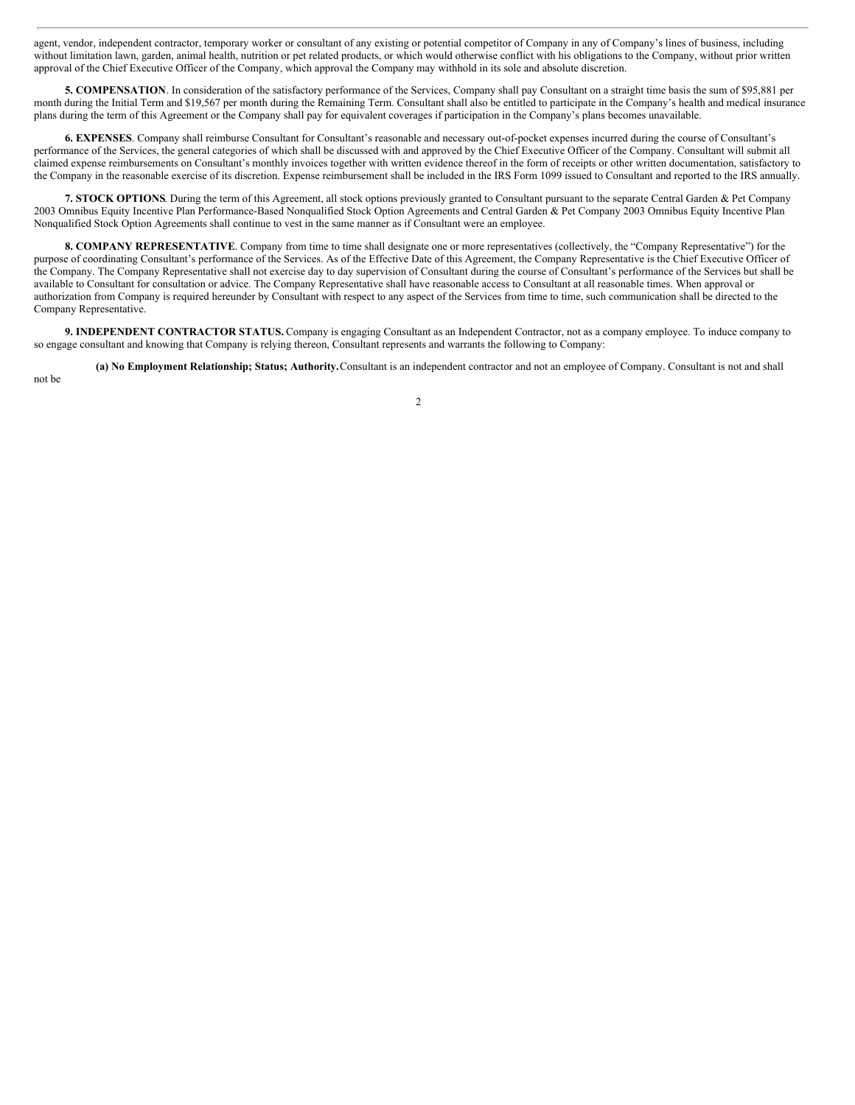agent, vendor, independent contractor, temporary worker or consultant of any existing or potential competitor of Company in any of Company's lines of business, including without limitation lawn, garden, animal health, nutrition or pet related products, or which would otherwise conflict with his obligations to the Company, without prior written approval of the Chief Executive Officer of the Company, which approval the Company may withhold in its sole and absolute discretion.

**5. COMPENSATION**. In consideration of the satisfactory performance of the Services, Company shall pay Consultant on a straight time basis the sum of \$95,881 per month during the Initial Term and \$19,567 per month during the Remaining Term. Consultant shall also be entitled to participate in the Company's health and medical insurance plans during the term of this Agreement or the Company shall pay for equivalent coverages if participation in the Company's plans becomes unavailable.

**6. EXPENSES**. Company shall reimburse Consultant for Consultant's reasonable and necessary out-of-pocket expenses incurred during the course of Consultant's performance of the Services, the general categories of which shall be discussed with and approved by the Chief Executive Officer of the Company. Consultant will submit all claimed expense reimbursements on Consultant's monthly invoices together with written evidence thereof in the form of receipts or other written documentation, satisfactory to the Company in the reasonable exercise of its discretion. Expense reimbursement shall be included in the IRS Form 1099 issued to Consultant and reported to the IRS annually.

**7. STOCK OPTIONS**. During the term of this Agreement, all stock options previously granted to Consultant pursuant to the separate Central Garden & Pet Company 2003 Omnibus Equity Incentive Plan Performance-Based Nonqualified Stock Option Agreements and Central Garden & Pet Company 2003 Omnibus Equity Incentive Plan Nonqualified Stock Option Agreements shall continue to vest in the same manner as if Consultant were an employee.

**8. COMPANY REPRESENTATIVE**. Company from time to time shall designate one or more representatives (collectively, the "Company Representative") for the purpose of coordinating Consultant's performance of the Services. As of the Effective Date of this Agreement, the Company Representative is the Chief Executive Officer of the Company. The Company Representative shall not exercise day to day supervision of Consultant during the course of Consultant's performance of the Services but shall be available to Consultant for consultation or advice. The Company Representative shall have reasonable access to Consultant at all reasonable times. When approval or authorization from Company is required hereunder by Consultant with respect to any aspect of the Services from time to time, such communication shall be directed to the Company Representative.

**9. INDEPENDENT CONTRACTOR STATUS.** Company is engaging Consultant as an Independent Contractor, not as a company employee. To induce company to so engage consultant and knowing that Company is relying thereon, Consultant represents and warrants the following to Company:

**(a) No Employment Relationship; Status; Authority.**Consultant is an independent contractor and not an employee of Company. Consultant is not and shall

2

not be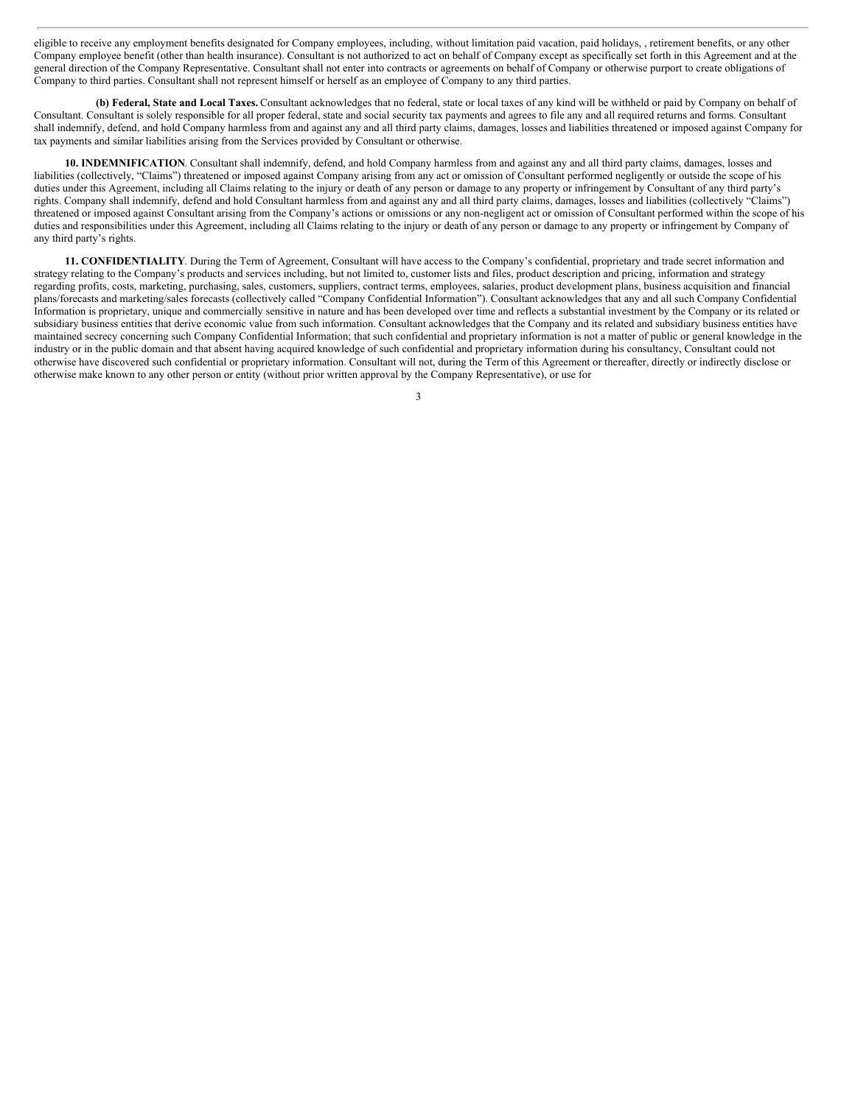eligible to receive any employment benefits designated for Company employees, including, without limitation paid vacation, paid holidays, , retirement benefits, or any other Company employee benefit (other than health insurance). Consultant is not authorized to act on behalf of Company except as specifically set forth in this Agreement and at the general direction of the Company Representative. Consultant shall not enter into contracts or agreements on behalf of Company or otherwise purport to create obligations of Company to third parties. Consultant shall not represent himself or herself as an employee of Company to any third parties.

**(b) Federal, State and Local Taxes.** Consultant acknowledges that no federal, state or local taxes of any kind will be withheld or paid by Company on behalf of Consultant. Consultant is solely responsible for all proper federal, state and social security tax payments and agrees to file any and all required returns and forms. Consultant shall indemnify, defend, and hold Company harmless from and against any and all third party claims, damages, losses and liabilities threatened or imposed against Company for tax payments and similar liabilities arising from the Services provided by Consultant or otherwise.

**10. INDEMNIFICATION**. Consultant shall indemnify, defend, and hold Company harmless from and against any and all third party claims, damages, losses and liabilities (collectively, "Claims") threatened or imposed against Company arising from any act or omission of Consultant performed negligently or outside the scope of his duties under this Agreement, including all Claims relating to the injury or death of any person or damage to any property or infringement by Consultant of any third party's rights. Company shall indemnify, defend and hold Consultant harmless from and against any and all third party claims, damages, losses and liabilities (collectively "Claims") threatened or imposed against Consultant arising from the Company's actions or omissions or any non-negligent act or omission of Consultant performed within the scope of his duties and responsibilities under this Agreement, including all Claims relating to the injury or death of any person or damage to any property or infringement by Company of any third party's rights.

**11. CONFIDENTIALITY**. During the Term of Agreement, Consultant will have access to the Company's confidential, proprietary and trade secret information and strategy relating to the Company's products and services including, but not limited to, customer lists and files, product description and pricing, information and strategy regarding profits, costs, marketing, purchasing, sales, customers, suppliers, contract terms, employees, salaries, product development plans, business acquisition and financial plans/forecasts and marketing/sales forecasts (collectively called "Company Confidential Information"). Consultant acknowledges that any and all such Company Confidential Information is proprietary, unique and commercially sensitive in nature and has been developed over time and reflects a substantial investment by the Company or its related or subsidiary business entities that derive economic value from such information. Consultant acknowledges that the Company and its related and subsidiary business entities have maintained secrecy concerning such Company Confidential Information; that such confidential and proprietary information is not a matter of public or general knowledge in the industry or in the public domain and that absent having acquired knowledge of such confidential and proprietary information during his consultancy, Consultant could not otherwise have discovered such confidential or proprietary information. Consultant will not, during the Term of this Agreement or thereafter, directly or indirectly disclose or otherwise make known to any other person or entity (without prior written approval by the Company Representative), or use for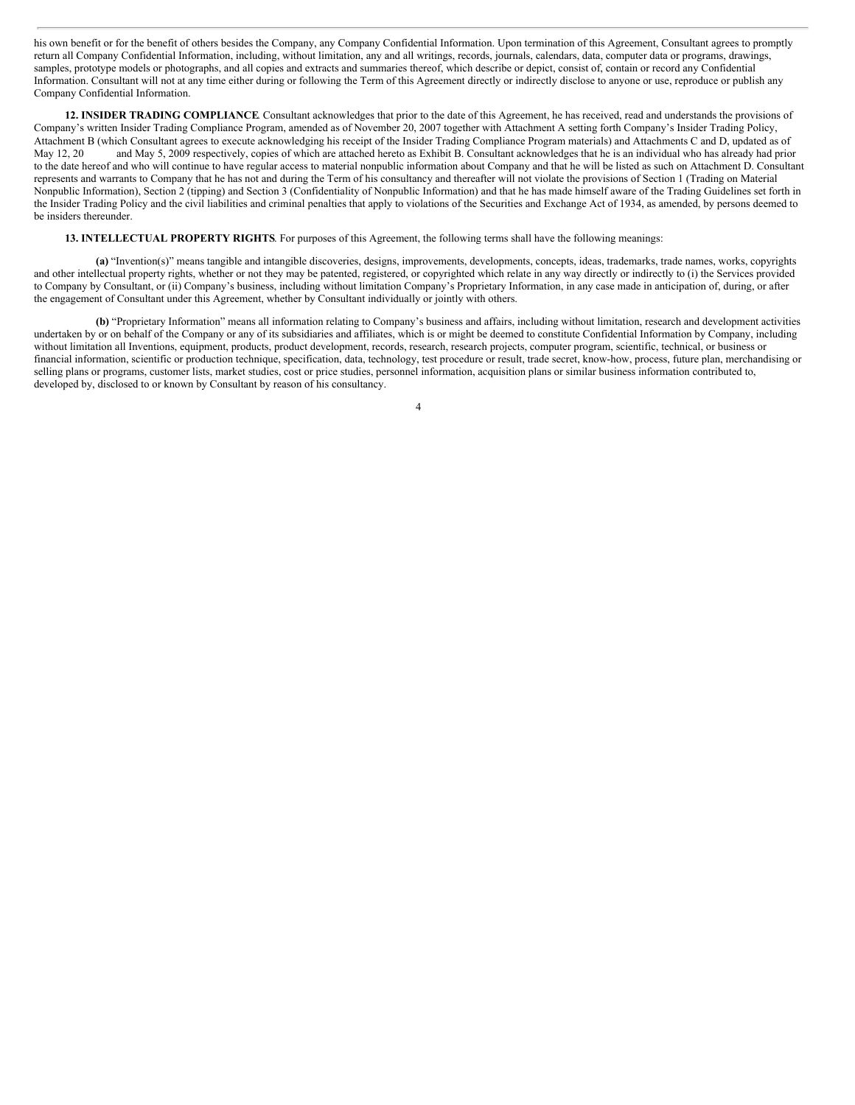his own benefit or for the benefit of others besides the Company, any Company Confidential Information. Upon termination of this Agreement, Consultant agrees to promptly return all Company Confidential Information, including, without limitation, any and all writings, records, journals, calendars, data, computer data or programs, drawings, samples, prototype models or photographs, and all copies and extracts and summaries thereof, which describe or depict, consist of, contain or record any Confidential Information. Consultant will not at any time either during or following the Term of this Agreement directly or indirectly disclose to anyone or use, reproduce or publish any Company Confidential Information.

**12. INSIDER TRADING COMPLIANCE**. Consultant acknowledges that prior to the date of this Agreement, he has received, read and understands the provisions of Company's written Insider Trading Compliance Program, amended as of November 20, 2007 together with Attachment A setting forth Company's Insider Trading Policy, Attachment B (which Consultant agrees to execute acknowledging his receipt of the Insider Trading Compliance Program materials) and Attachments C and D, updated as of May 12, 20 and May 5, 2009 respectively, copies of which are attached hereto as Exhibit B. Consultant acknowledges that he is an individual who has already had prior to the date hereof and who will continue to have regular access to material nonpublic information about Company and that he will be listed as such on Attachment D. Consultant represents and warrants to Company that he has not and during the Term of his consultancy and thereafter will not violate the provisions of Section 1 (Trading on Material Nonpublic Information), Section 2 (tipping) and Section 3 (Confidentiality of Nonpublic Information) and that he has made himself aware of the Trading Guidelines set forth in the Insider Trading Policy and the civil liabilities and criminal penalties that apply to violations of the Securities and Exchange Act of 1934, as amended, by persons deemed to be insiders thereunder.

## **13. INTELLECTUAL PROPERTY RIGHTS**. For purposes of this Agreement, the following terms shall have the following meanings:

**(a)** "Invention(s)" means tangible and intangible discoveries, designs, improvements, developments, concepts, ideas, trademarks, trade names, works, copyrights and other intellectual property rights, whether or not they may be patented, registered, or copyrighted which relate in any way directly or indirectly to (i) the Services provided to Company by Consultant, or (ii) Company's business, including without limitation Company's Proprietary Information, in any case made in anticipation of, during, or after the engagement of Consultant under this Agreement, whether by Consultant individually or jointly with others.

**(b)** "Proprietary Information" means all information relating to Company's business and affairs, including without limitation, research and development activities undertaken by or on behalf of the Company or any of its subsidiaries and affiliates, which is or might be deemed to constitute Confidential Information by Company, including without limitation all Inventions, equipment, products, product development, records, research, research projects, computer program, scientific, technical, or business or financial information, scientific or production technique, specification, data, technology, test procedure or result, trade secret, know-how, process, future plan, merchandising or selling plans or programs, customer lists, market studies, cost or price studies, personnel information, acquisition plans or similar business information contributed to, developed by, disclosed to or known by Consultant by reason of his consultancy.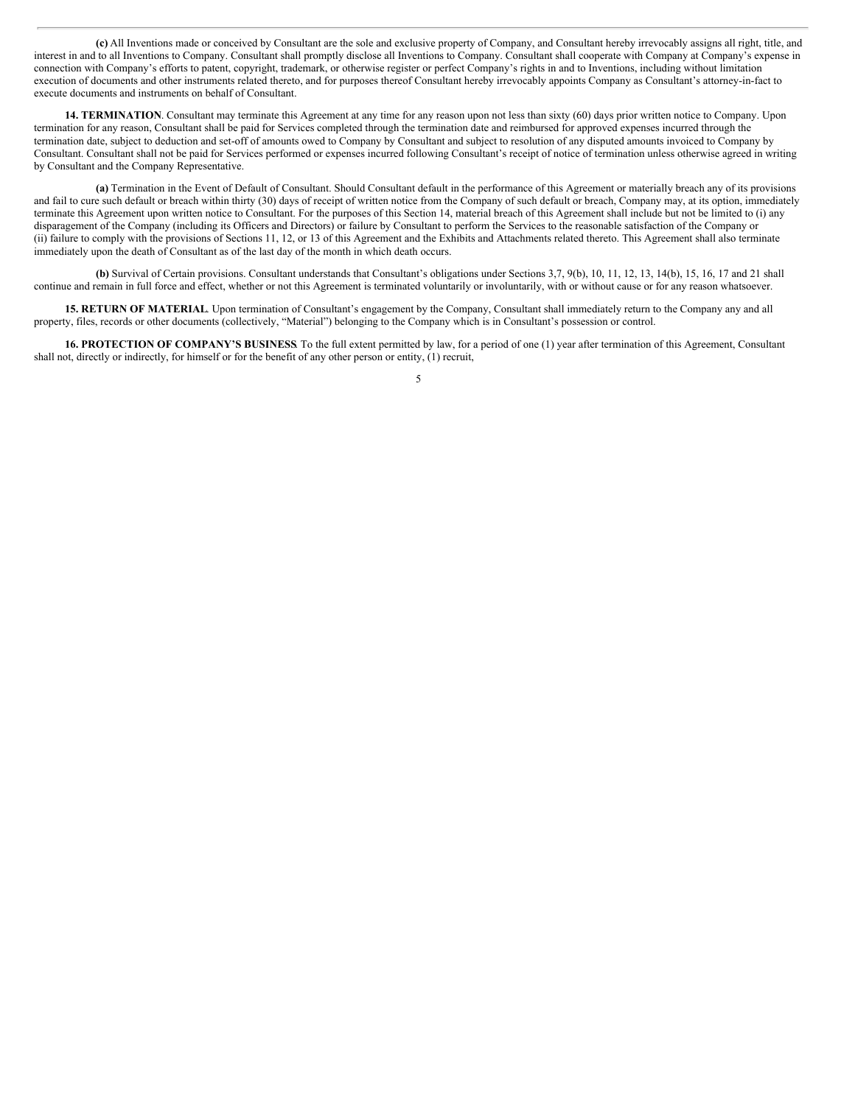**(c)** All Inventions made or conceived by Consultant are the sole and exclusive property of Company, and Consultant hereby irrevocably assigns all right, title, and interest in and to all Inventions to Company. Consultant shall promptly disclose all Inventions to Company. Consultant shall cooperate with Company at Company's expense in connection with Company's efforts to patent, copyright, trademark, or otherwise register or perfect Company's rights in and to Inventions, including without limitation execution of documents and other instruments related thereto, and for purposes thereof Consultant hereby irrevocably appoints Company as Consultant's attorney-in-fact to execute documents and instruments on behalf of Consultant.

**14. TERMINATION**. Consultant may terminate this Agreement at any time for any reason upon not less than sixty (60) days prior written notice to Company. Upon termination for any reason, Consultant shall be paid for Services completed through the termination date and reimbursed for approved expenses incurred through the termination date, subject to deduction and set-off of amounts owed to Company by Consultant and subject to resolution of any disputed amounts invoiced to Company by Consultant. Consultant shall not be paid for Services performed or expenses incurred following Consultant's receipt of notice of termination unless otherwise agreed in writing by Consultant and the Company Representative.

**(a)** Termination in the Event of Default of Consultant. Should Consultant default in the performance of this Agreement or materially breach any of its provisions and fail to cure such default or breach within thirty (30) days of receipt of written notice from the Company of such default or breach, Company may, at its option, immediately terminate this Agreement upon written notice to Consultant. For the purposes of this Section 14, material breach of this Agreement shall include but not be limited to (i) any disparagement of the Company (including its Officers and Directors) or failure by Consultant to perform the Services to the reasonable satisfaction of the Company or (ii) failure to comply with the provisions of Sections 11, 12, or 13 of this Agreement and the Exhibits and Attachments related thereto. This Agreement shall also terminate immediately upon the death of Consultant as of the last day of the month in which death occurs.

**(b)** Survival of Certain provisions. Consultant understands that Consultant's obligations under Sections 3,7, 9(b), 10, 11, 12, 13, 14(b), 15, 16, 17 and 21 shall continue and remain in full force and effect, whether or not this Agreement is terminated voluntarily or involuntarily, with or without cause or for any reason whatsoever.

**15. RETURN OF MATERIAL**. Upon termination of Consultant's engagement by the Company, Consultant shall immediately return to the Company any and all property, files, records or other documents (collectively, "Material") belonging to the Company which is in Consultant's possession or control.

**16. PROTECTION OF COMPANY'S BUSINESS**. To the full extent permitted by law, for a period of one (1) year after termination of this Agreement, Consultant shall not, directly or indirectly, for himself or for the benefit of any other person or entity, (1) recruit,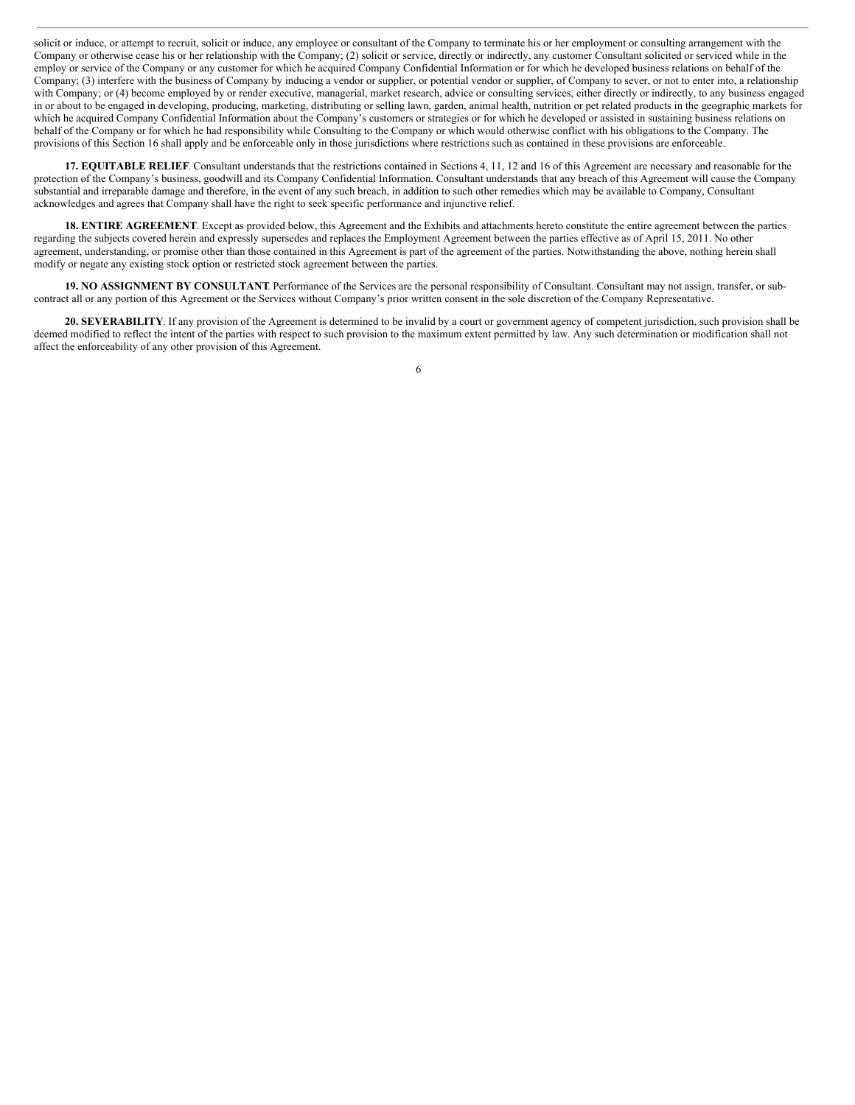solicit or induce, or attempt to recruit, solicit or induce, any employee or consultant of the Company to terminate his or her employment or consulting arrangement with the Company or otherwise cease his or her relationship with the Company; (2) solicit or service, directly or indirectly, any customer Consultant solicited or serviced while in the employ or service of the Company or any customer for which he acquired Company Confidential Information or for which he developed business relations on behalf of the Company; (3) interfere with the business of Company by inducing a vendor or supplier, or potential vendor or supplier, of Company to sever, or not to enter into, a relationship with Company; or (4) become employed by or render executive, managerial, market research, advice or consulting services, either directly or indirectly, to any business engaged in or about to be engaged in developing, producing, marketing, distributing or selling lawn, garden, animal health, nutrition or pet related products in the geographic markets for which he acquired Company Confidential Information about the Company's customers or strategies or for which he developed or assisted in sustaining business relations on behalf of the Company or for which he had responsibility while Consulting to the Company or which would otherwise conflict with his obligations to the Company. The provisions of this Section 16 shall apply and be enforceable only in those jurisdictions where restrictions such as contained in these provisions are enforceable.

**17. EQUITABLE RELIEF**. Consultant understands that the restrictions contained in Sections 4, 11, 12 and 16 of this Agreement are necessary and reasonable for the protection of the Company's business, goodwill and its Company Confidential Information. Consultant understands that any breach of this Agreement will cause the Company substantial and irreparable damage and therefore, in the event of any such breach, in addition to such other remedies which may be available to Company, Consultant acknowledges and agrees that Company shall have the right to seek specific performance and injunctive relief.

**18. ENTIRE AGREEMENT**. Except as provided below, this Agreement and the Exhibits and attachments hereto constitute the entire agreement between the parties regarding the subjects covered herein and expressly supersedes and replaces the Employment Agreement between the parties effective as of April 15, 2011. No other agreement, understanding, or promise other than those contained in this Agreement is part of the agreement of the parties. Notwithstanding the above, nothing herein shall modify or negate any existing stock option or restricted stock agreement between the parties.

**19. NO ASSIGNMENT BY CONSULTANT**. Performance of the Services are the personal responsibility of Consultant. Consultant may not assign, transfer, or subcontract all or any portion of this Agreement or the Services without Company's prior written consent in the sole discretion of the Company Representative.

20. SEVERABILITY. If any provision of the Agreement is determined to be invalid by a court or government agency of competent jurisdiction, such provision shall be deemed modified to reflect the intent of the parties with respect to such provision to the maximum extent permitted by law. Any such determination or modification shall not affect the enforceability of any other provision of this Agreement.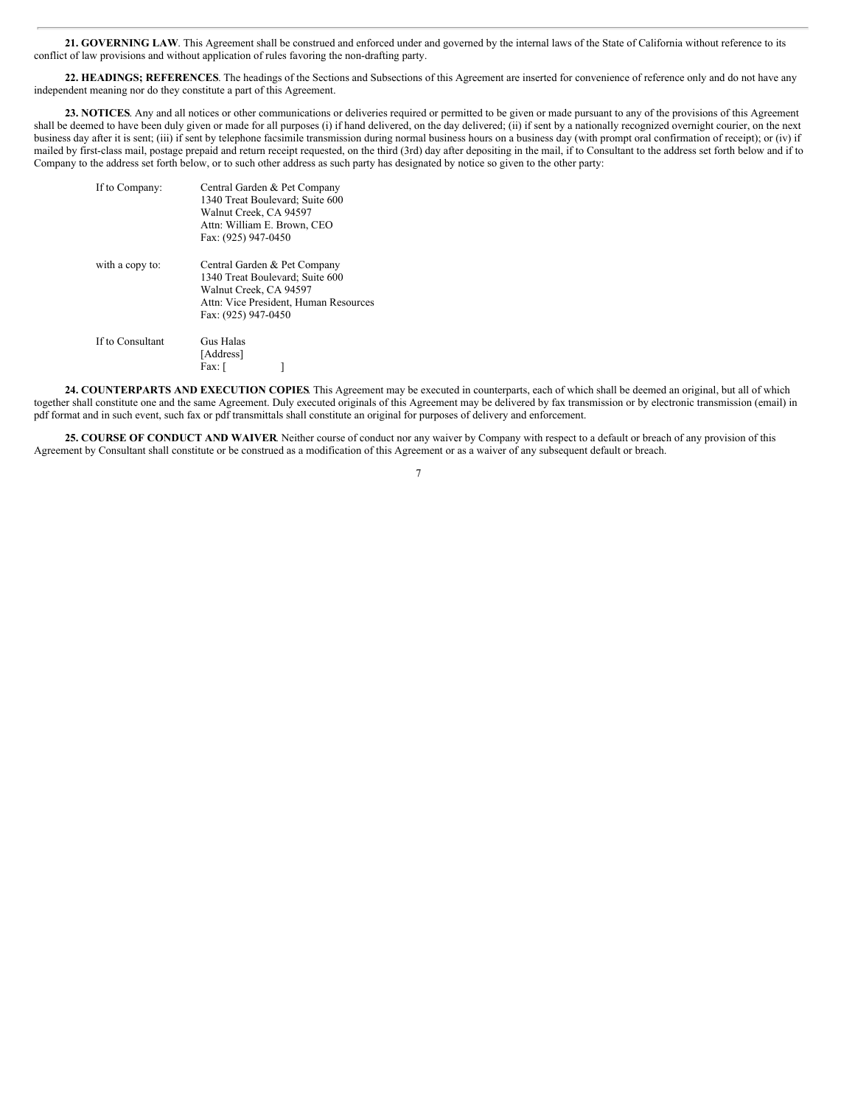21. **GOVERNING LAW**. This Agreement shall be construed and enforced under and governed by the internal laws of the State of California without reference to its conflict of law provisions and without application of rules favoring the non-drafting party.

**22. HEADINGS; REFERENCES**. The headings of the Sections and Subsections of this Agreement are inserted for convenience of reference only and do not have any independent meaning nor do they constitute a part of this Agreement.

**23. NOTICES**. Any and all notices or other communications or deliveries required or permitted to be given or made pursuant to any of the provisions of this Agreement shall be deemed to have been duly given or made for all purposes (i) if hand delivered, on the day delivered; (ii) if sent by a nationally recognized overnight courier, on the next business day after it is sent; (iii) if sent by telephone facsimile transmission during normal business hours on a business day (with prompt oral confirmation of receipt); or (iv) if mailed by first-class mail, postage prepaid and return receipt requested, on the third (3rd) day after depositing in the mail, if to Consultant to the address set forth below and if to Company to the address set forth below, or to such other address as such party has designated by notice so given to the other party:

| If to Company:   | Central Garden & Pet Company                              |
|------------------|-----------------------------------------------------------|
|                  | 1340 Treat Boulevard: Suite 600<br>Walnut Creek, CA 94597 |
|                  | Attn: William E. Brown, CEO                               |
|                  | Fax: (925) 947-0450                                       |
| with a copy to:  | Central Garden & Pet Company                              |
|                  | 1340 Treat Boulevard; Suite 600                           |
|                  | Walnut Creek, CA 94597                                    |
|                  | Attn: Vice President, Human Resources                     |
|                  | Fax: (925) 947-0450                                       |
| If to Consultant | Gus Halas                                                 |
|                  | [Address]                                                 |
|                  | Fax: [                                                    |

**24. COUNTERPARTS AND EXECUTION COPIES**. This Agreement may be executed in counterparts, each of which shall be deemed an original, but all of which together shall constitute one and the same Agreement. Duly executed originals of this Agreement may be delivered by fax transmission or by electronic transmission (email) in pdf format and in such event, such fax or pdf transmittals shall constitute an original for purposes of delivery and enforcement.

**25. COURSE OF CONDUCT AND WAIVER**. Neither course of conduct nor any waiver by Company with respect to a default or breach of any provision of this Agreement by Consultant shall constitute or be construed as a modification of this Agreement or as a waiver of any subsequent default or breach.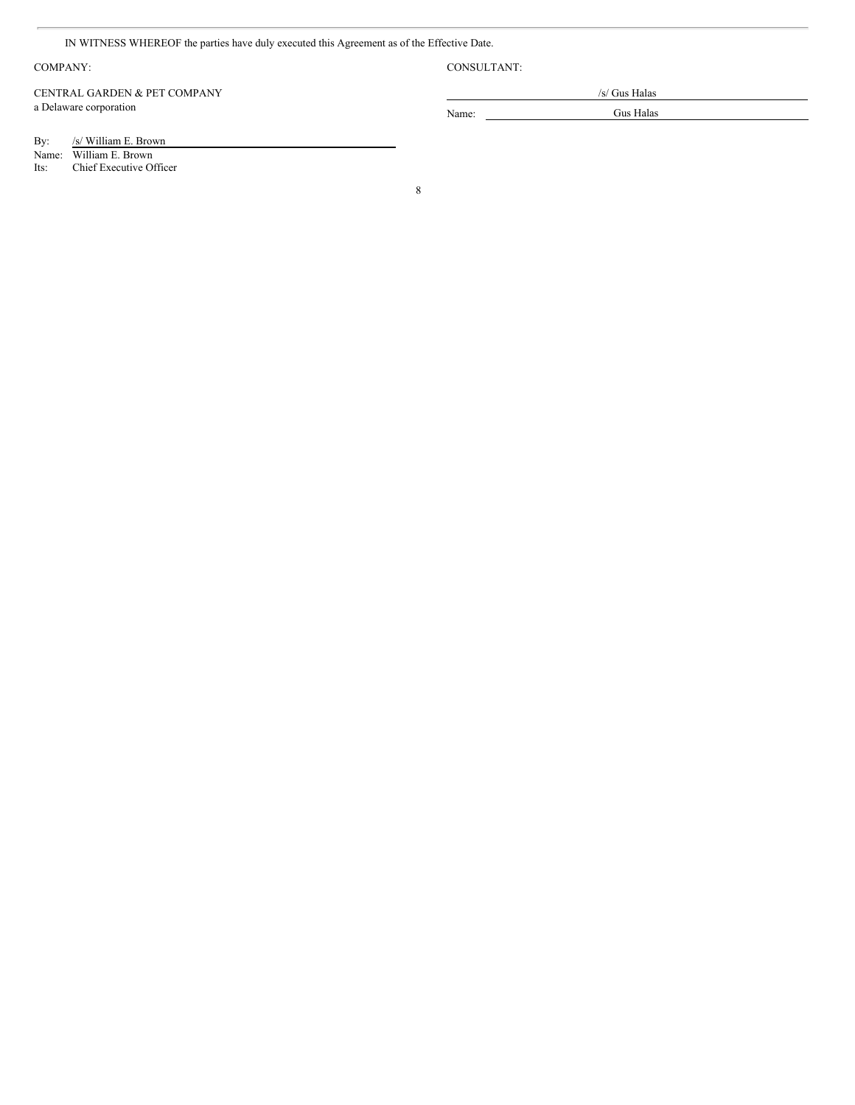IN WITNESS WHEREOF the parties have duly executed this Agreement as of the Effective Date.

## COMPANY: CONSULTANT:

# CENTRAL GARDEN & PET COMPANY /s/ Gus Halas a Delaware corporation Cus Halas

By: /s/ William E. Brown

Name: William E. Brown<br>Its: Chief Executive Of Chief Executive Officer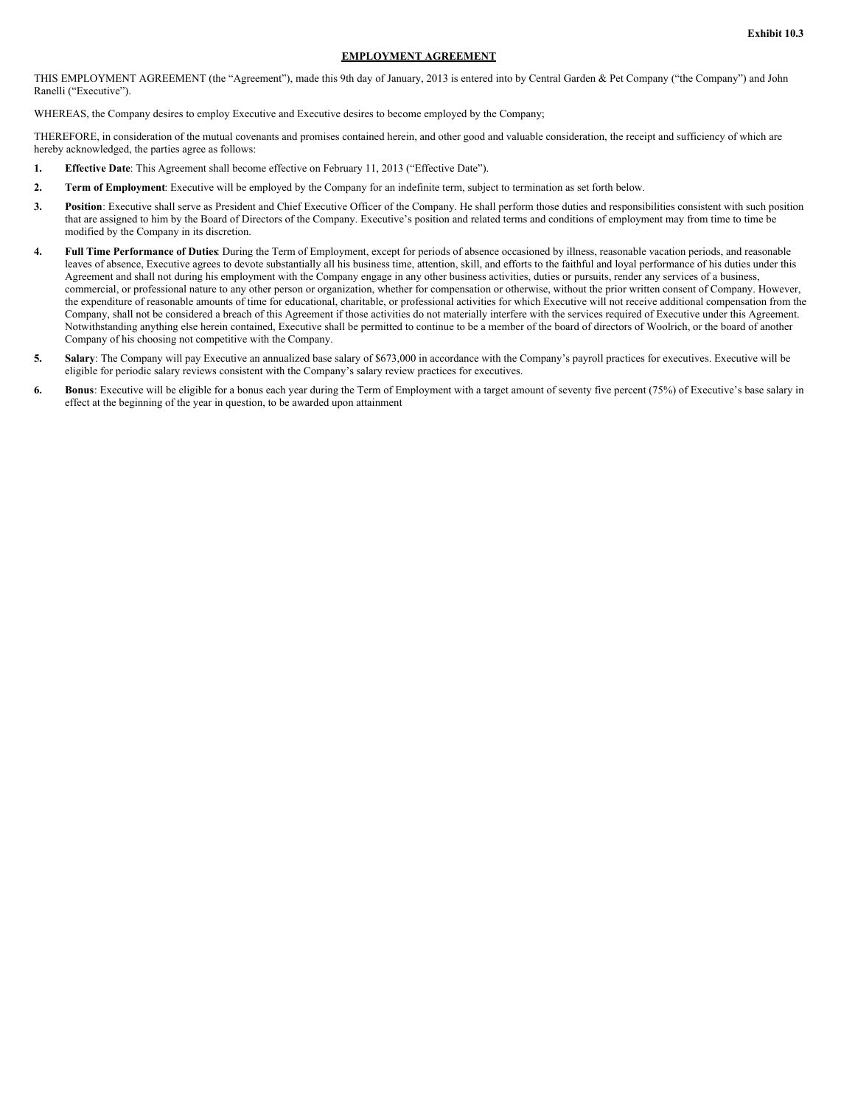## **EMPLOYMENT AGREEMENT**

THIS EMPLOYMENT AGREEMENT (the "Agreement"), made this 9th day of January, 2013 is entered into by Central Garden & Pet Company ("the Company") and John Ranelli ("Executive").

WHEREAS, the Company desires to employ Executive and Executive desires to become employed by the Company;

THEREFORE, in consideration of the mutual covenants and promises contained herein, and other good and valuable consideration, the receipt and sufficiency of which are hereby acknowledged, the parties agree as follows:

- **1. Effective Date**: This Agreement shall become effective on February 11, 2013 ("Effective Date").
- **2. Term of Employment**: Executive will be employed by the Company for an indefinite term, subject to termination as set forth below.
- **3. Position**: Executive shall serve as President and Chief Executive Officer of the Company. He shall perform those duties and responsibilities consistent with such position that are assigned to him by the Board of Directors of the Company. Executive's position and related terms and conditions of employment may from time to time be modified by the Company in its discretion.
- **4. Full Time Performance of Duties**: During the Term of Employment, except for periods of absence occasioned by illness, reasonable vacation periods, and reasonable leaves of absence, Executive agrees to devote substantially all his business time, attention, skill, and efforts to the faithful and loyal performance of his duties under this Agreement and shall not during his employment with the Company engage in any other business activities, duties or pursuits, render any services of a business, commercial, or professional nature to any other person or organization, whether for compensation or otherwise, without the prior written consent of Company. However, the expenditure of reasonable amounts of time for educational, charitable, or professional activities for which Executive will not receive additional compensation from the Company, shall not be considered a breach of this Agreement if those activities do not materially interfere with the services required of Executive under this Agreement. Notwithstanding anything else herein contained, Executive shall be permitted to continue to be a member of the board of directors of Woolrich, or the board of another Company of his choosing not competitive with the Company.
- **5. Salary**: The Company will pay Executive an annualized base salary of \$673,000 in accordance with the Company's payroll practices for executives. Executive will be eligible for periodic salary reviews consistent with the Company's salary review practices for executives.
- **6. Bonus**: Executive will be eligible for a bonus each year during the Term of Employment with a target amount of seventy five percent (75%) of Executive's base salary in effect at the beginning of the year in question, to be awarded upon attainment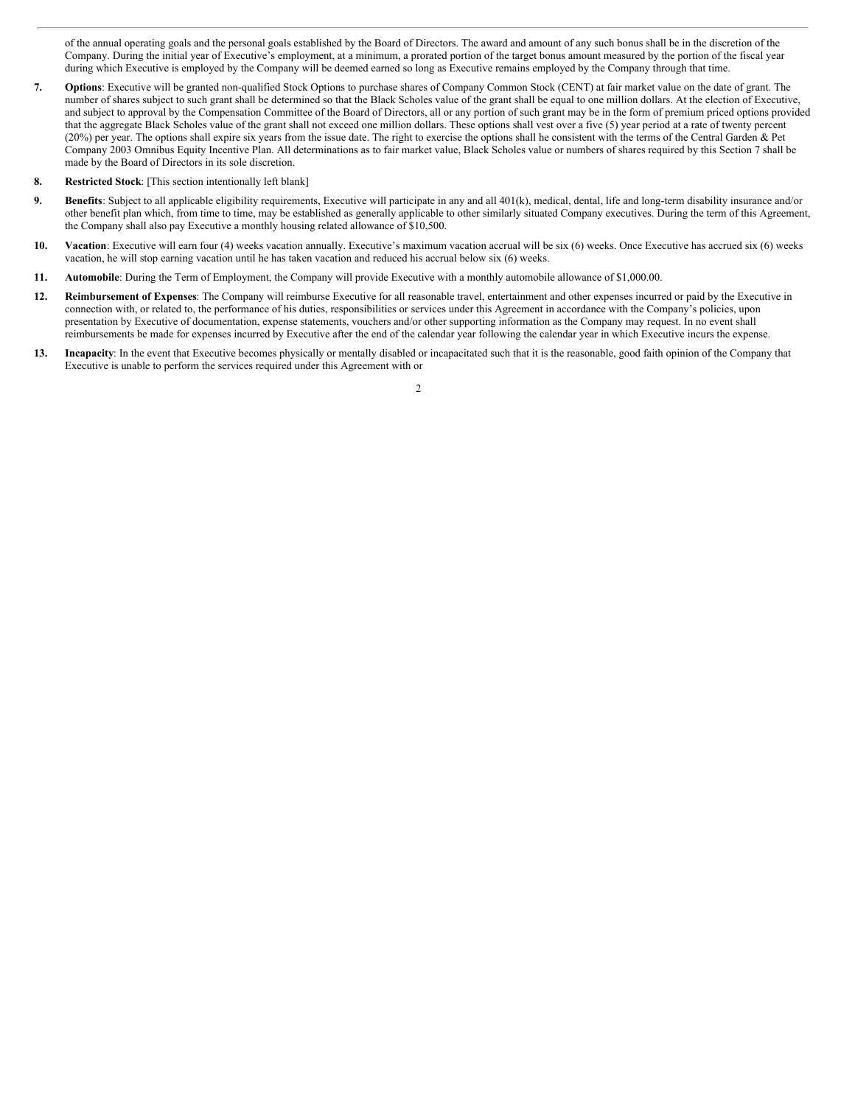of the annual operating goals and the personal goals established by the Board of Directors. The award and amount of any such bonus shall be in the discretion of the Company. During the initial year of Executive's employment, at a minimum, a prorated portion of the target bonus amount measured by the portion of the fiscal year during which Executive is employed by the Company will be deemed earned so long as Executive remains employed by the Company through that time.

- **7. Options**: Executive will be granted non-qualified Stock Options to purchase shares of Company Common Stock (CENT) at fair market value on the date of grant. The number of shares subject to such grant shall be determined so that the Black Scholes value of the grant shall be equal to one million dollars. At the election of Executive, and subject to approval by the Compensation Committee of the Board of Directors, all or any portion of such grant may be in the form of premium priced options provided that the aggregate Black Scholes value of the grant shall not exceed one million dollars. These options shall vest over a five (5) year period at a rate of twenty percent (20%) per year. The options shall expire six years from the issue date. The right to exercise the options shall he consistent with the terms of the Central Garden & Pet Company 2003 Omnibus Equity Incentive Plan. All determinations as to fair market value, Black Scholes value or numbers of shares required by this Section 7 shall be made by the Board of Directors in its sole discretion.
- **8. Restricted Stock**: [This section intentionally left blank]
- **9.** Benefits: Subject to all applicable eligibility requirements, Executive will participate in any and all 401(k), medical, dental, life and long-term disability insurance and/or other benefit plan which, from time to time, may be established as generally applicable to other similarly situated Company executives. During the term of this Agreement, the Company shall also pay Executive a monthly housing related allowance of \$10,500.
- **10. Vacation**: Executive will earn four (4) weeks vacation annually. Executive's maximum vacation accrual will be six (6) weeks. Once Executive has accrued six (6) weeks vacation, he will stop earning vacation until he has taken vacation and reduced his accrual below six (6) weeks.
- **11. Automobile**: During the Term of Employment, the Company will provide Executive with a monthly automobile allowance of \$1,000.00.
- **12. Reimbursement of Expenses**: The Company will reimburse Executive for all reasonable travel, entertainment and other expenses incurred or paid by the Executive in connection with, or related to, the performance of his duties, responsibilities or services under this Agreement in accordance with the Company's policies, upon presentation by Executive of documentation, expense statements, vouchers and/or other supporting information as the Company may request. In no event shall reimbursements be made for expenses incurred by Executive after the end of the calendar year following the calendar year in which Executive incurs the expense.
- **13. Incapacity**: In the event that Executive becomes physically or mentally disabled or incapacitated such that it is the reasonable, good faith opinion of the Company that Executive is unable to perform the services required under this Agreement with or

 $\overline{2}$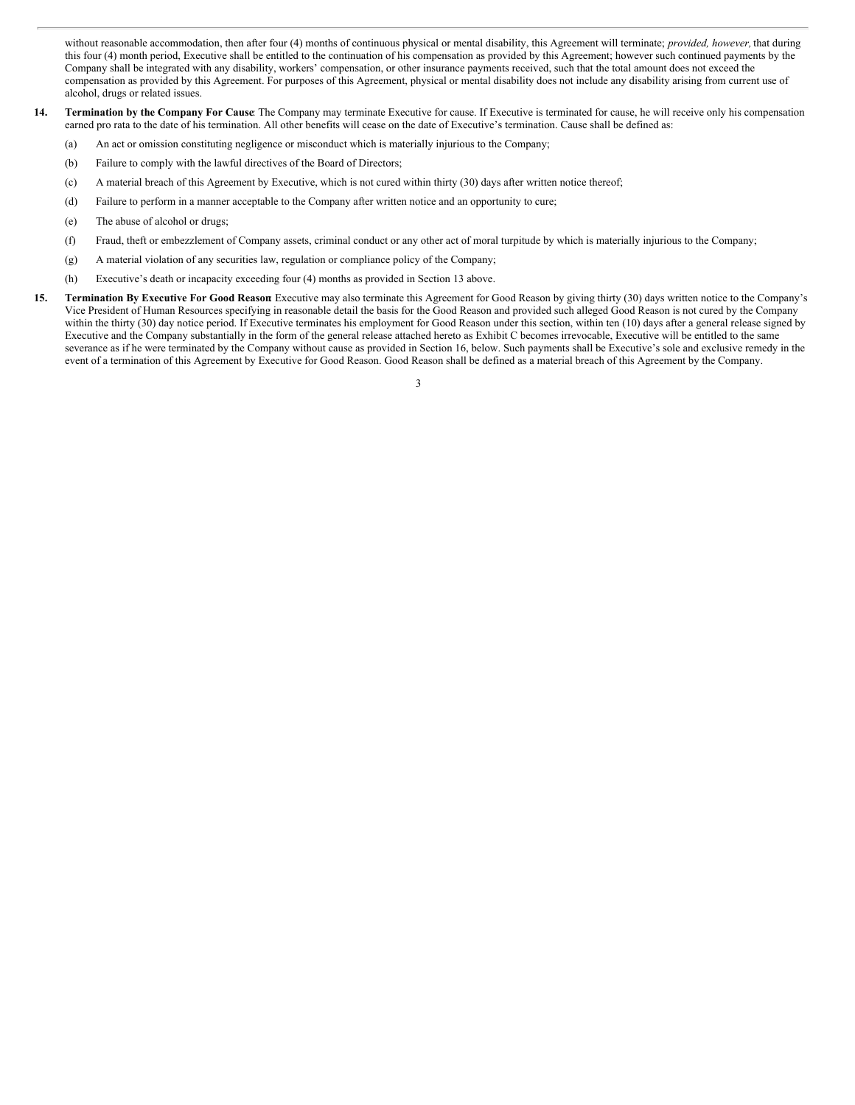without reasonable accommodation, then after four (4) months of continuous physical or mental disability, this Agreement will terminate; *provided, however,* that during this four (4) month period, Executive shall be entitled to the continuation of his compensation as provided by this Agreement; however such continued payments by the Company shall be integrated with any disability, workers' compensation, or other insurance payments received, such that the total amount does not exceed the compensation as provided by this Agreement. For purposes of this Agreement, physical or mental disability does not include any disability arising from current use of alcohol, drugs or related issues.

- **14. Termination by the Company For Cause**: The Company may terminate Executive for cause. If Executive is terminated for cause, he will receive only his compensation earned pro rata to the date of his termination. All other benefits will cease on the date of Executive's termination. Cause shall be defined as:
	- (a) An act or omission constituting negligence or misconduct which is materially injurious to the Company;
	- (b) Failure to comply with the lawful directives of the Board of Directors;
	- (c) A material breach of this Agreement by Executive, which is not cured within thirty (30) days after written notice thereof;
	- (d) Failure to perform in a manner acceptable to the Company after written notice and an opportunity to cure;
	- (e) The abuse of alcohol or drugs;
	- (f) Fraud, theft or embezzlement of Company assets, criminal conduct or any other act of moral turpitude by which is materially injurious to the Company;
	- (g) A material violation of any securities law, regulation or compliance policy of the Company;
	- (h) Executive's death or incapacity exceeding four (4) months as provided in Section 13 above.
- **15. Termination By Executive For Good Reason**: Executive may also terminate this Agreement for Good Reason by giving thirty (30) days written notice to the Company's Vice President of Human Resources specifying in reasonable detail the basis for the Good Reason and provided such alleged Good Reason is not cured by the Company within the thirty (30) day notice period. If Executive terminates his employment for Good Reason under this section, within ten (10) days after a general release signed by Executive and the Company substantially in the form of the general release attached hereto as Exhibit C becomes irrevocable, Executive will be entitled to the same severance as if he were terminated by the Company without cause as provided in Section 16, below. Such payments shall be Executive's sole and exclusive remedy in the event of a termination of this Agreement by Executive for Good Reason. Good Reason shall be defined as a material breach of this Agreement by the Company.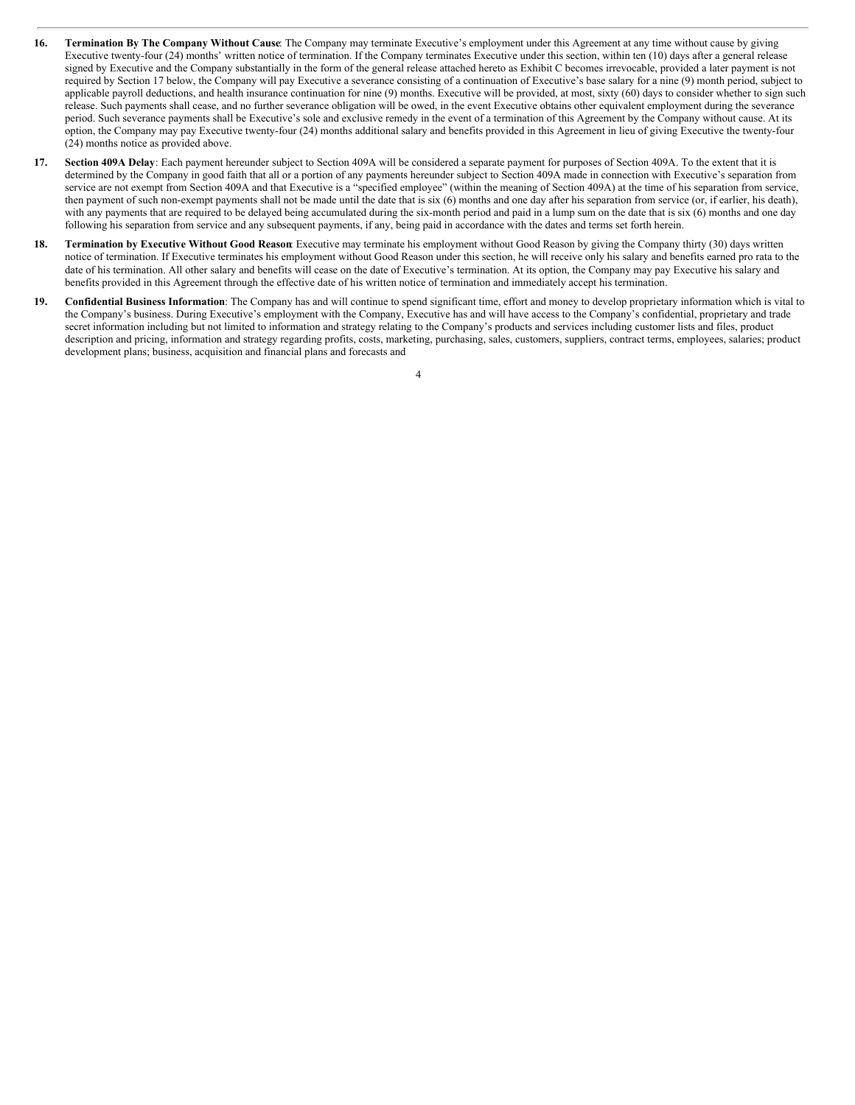- **16. Termination By The Company Without Cause**: The Company may terminate Executive's employment under this Agreement at any time without cause by giving Executive twenty-four (24) months' written notice of termination. If the Company terminates Executive under this section, within ten (10) days after a general release signed by Executive and the Company substantially in the form of the general release attached hereto as Exhibit C becomes irrevocable, provided a later payment is not required by Section 17 below, the Company will pay Executive a severance consisting of a continuation of Executive's base salary for a nine (9) month period, subject to applicable payroll deductions, and health insurance continuation for nine (9) months. Executive will be provided, at most, sixty (60) days to consider whether to sign such release. Such payments shall cease, and no further severance obligation will be owed, in the event Executive obtains other equivalent employment during the severance period. Such severance payments shall be Executive's sole and exclusive remedy in the event of a termination of this Agreement by the Company without cause. At its option, the Company may pay Executive twenty-four (24) months additional salary and benefits provided in this Agreement in lieu of giving Executive the twenty-four (24) months notice as provided above.
- **17. Section 409A Delay**: Each payment hereunder subject to Section 409A will be considered a separate payment for purposes of Section 409A. To the extent that it is determined by the Company in good faith that all or a portion of any payments hereunder subject to Section 409A made in connection with Executive's separation from service are not exempt from Section 409A and that Executive is a "specified employee" (within the meaning of Section 409A) at the time of his separation from service, then payment of such non-exempt payments shall not be made until the date that is six (6) months and one day after his separation from service (or, if earlier, his death), with any payments that are required to be delayed being accumulated during the six-month period and paid in a lump sum on the date that is six (6) months and one day following his separation from service and any subsequent payments, if any, being paid in accordance with the dates and terms set forth herein.
- **18. Termination by Executive Without Good Reason**: Executive may terminate his employment without Good Reason by giving the Company thirty (30) days written notice of termination. If Executive terminates his employment without Good Reason under this section, he will receive only his salary and benefits earned pro rata to the date of his termination. All other salary and benefits will cease on the date of Executive's termination. At its option, the Company may pay Executive his salary and benefits provided in this Agreement through the effective date of his written notice of termination and immediately accept his termination.
- **19. Confidential Business Information**: The Company has and will continue to spend significant time, effort and money to develop proprietary information which is vital to the Company's business. During Executive's employment with the Company, Executive has and will have access to the Company's confidential, proprietary and trade secret information including but not limited to information and strategy relating to the Company's products and services including customer lists and files, product description and pricing, information and strategy regarding profits, costs, marketing, purchasing, sales, customers, suppliers, contract terms, employees, salaries; product development plans; business, acquisition and financial plans and forecasts and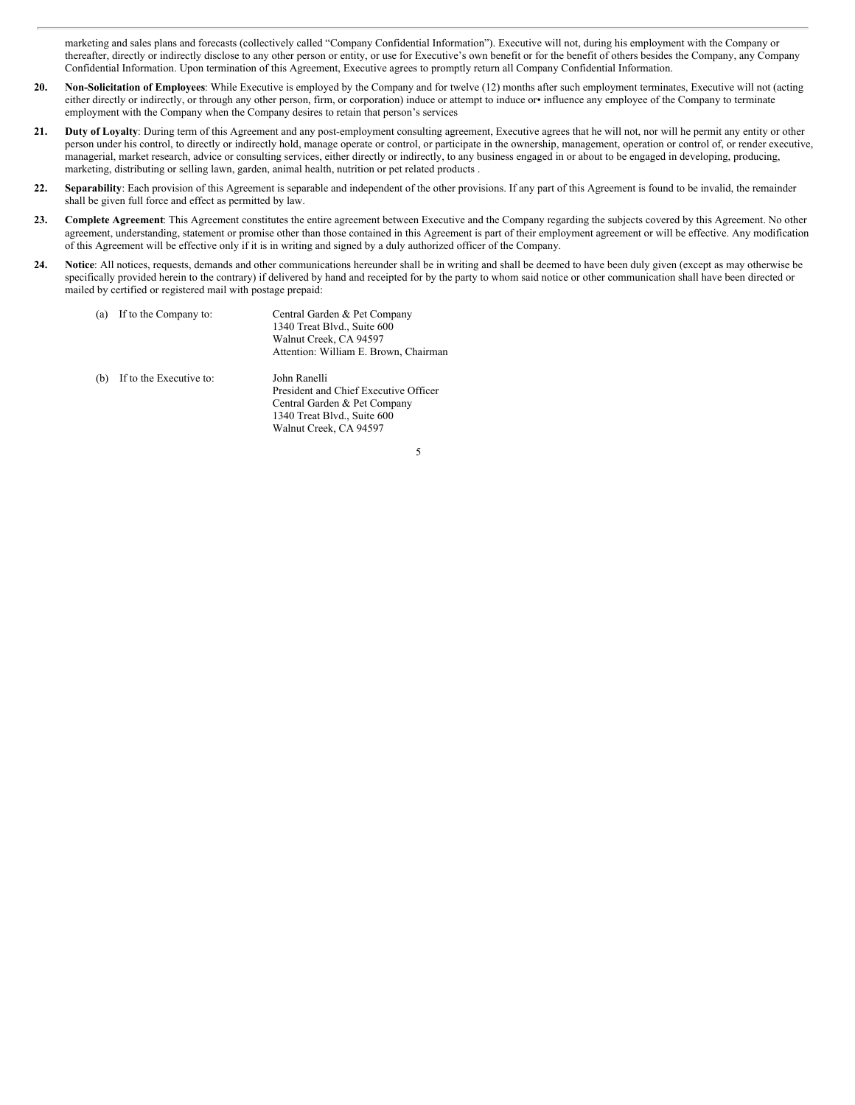marketing and sales plans and forecasts (collectively called "Company Confidential Information"). Executive will not, during his employment with the Company or thereafter, directly or indirectly disclose to any other person or entity, or use for Executive's own benefit or for the benefit of others besides the Company, any Company Confidential Information. Upon termination of this Agreement, Executive agrees to promptly return all Company Confidential Information.

- **20. Non-Solicitation of Employees**: While Executive is employed by the Company and for twelve (12) months after such employment terminates, Executive will not (acting either directly or indirectly, or through any other person, firm, or corporation) induce or attempt to induce or• influence any employee of the Company to terminate employment with the Company when the Company desires to retain that person's services
- **21. Duty of Loyalty**: During term of this Agreement and any post-employment consulting agreement, Executive agrees that he will not, nor will he permit any entity or other person under his control, to directly or indirectly hold, manage operate or control, or participate in the ownership, management, operation or control of, or render executive, managerial, market research, advice or consulting services, either directly or indirectly, to any business engaged in or about to be engaged in developing, producing, marketing, distributing or selling lawn, garden, animal health, nutrition or pet related products .
- **22. Separability**: Each provision of this Agreement is separable and independent of the other provisions. If any part of this Agreement is found to be invalid, the remainder shall be given full force and effect as permitted by law.
- **23. Complete Agreement**: This Agreement constitutes the entire agreement between Executive and the Company regarding the subjects covered by this Agreement. No other agreement, understanding, statement or promise other than those contained in this Agreement is part of their employment agreement or will be effective. Any modification of this Agreement will be effective only if it is in writing and signed by a duly authorized officer of the Company.
- **24. Notice**: All notices, requests, demands and other communications hereunder shall be in writing and shall be deemed to have been duly given (except as may otherwise be specifically provided herein to the contrary) if delivered by hand and receipted for by the party to whom said notice or other communication shall have been directed or mailed by certified or registered mail with postage prepaid:

| (a) If to the Company to: | Central Garden & Pet Company          |
|---------------------------|---------------------------------------|
|                           | 1340 Treat Blvd., Suite 600           |
|                           | Walnut Creek, CA 94597                |
|                           | Attention: William E. Brown, Chairman |

(b) If to the Executive to: John Ranelli President and Chief Executive Officer Central Garden & Pet Company 1340 Treat Blvd., Suite 600 Walnut Creek, CA 94597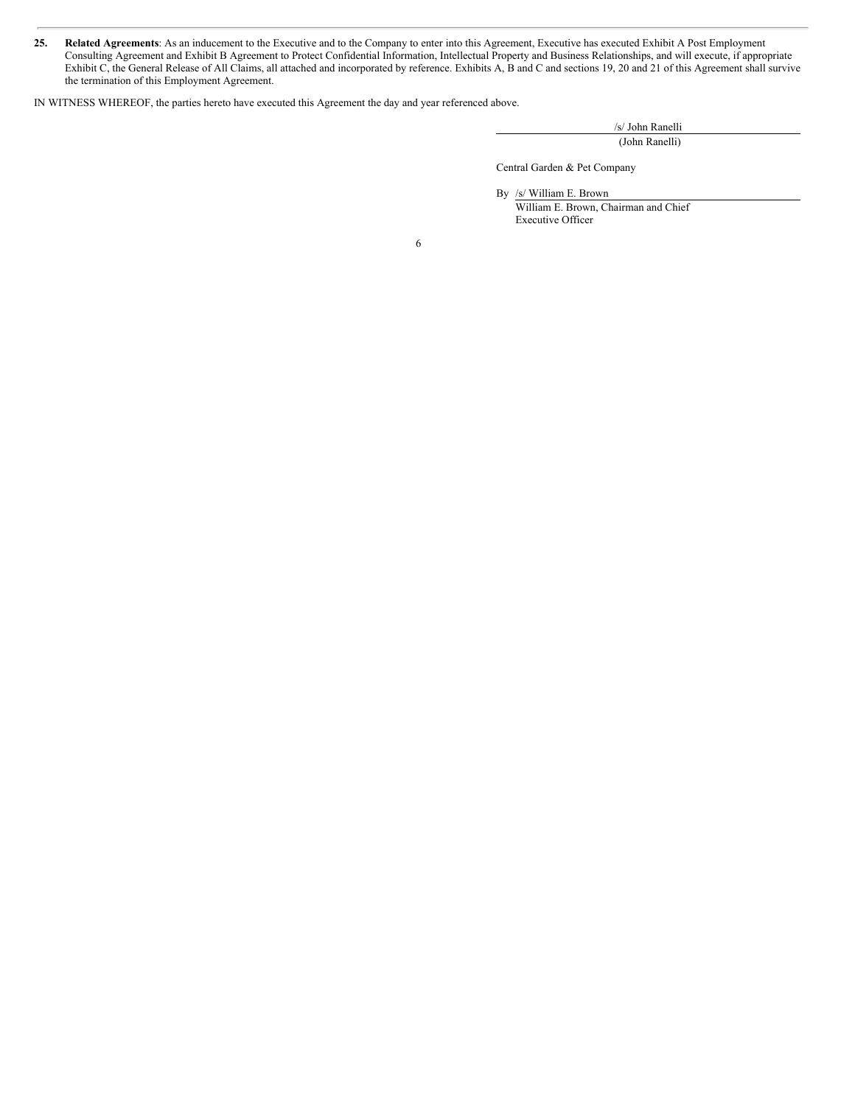**25. Related Agreements**: As an inducement to the Executive and to the Company to enter into this Agreement, Executive has executed Exhibit A Post Employment Consulting Agreement and Exhibit B Agreement to Protect Confidential Information, Intellectual Property and Business Relationships, and will execute, if appropriate Exhibit C, the General Release of All Claims, all attached and incorporated by reference. Exhibits A, B and C and sections 19, 20 and 21 of this Agreement shall survive the termination of this Employment Agreement.

IN WITNESS WHEREOF, the parties hereto have executed this Agreement the day and year referenced above.

/s/ John Ranelli

(John Ranelli)

Central Garden & Pet Company

By /s/ William E. Brown

William E. Brown, Chairman and Chief Executive Officer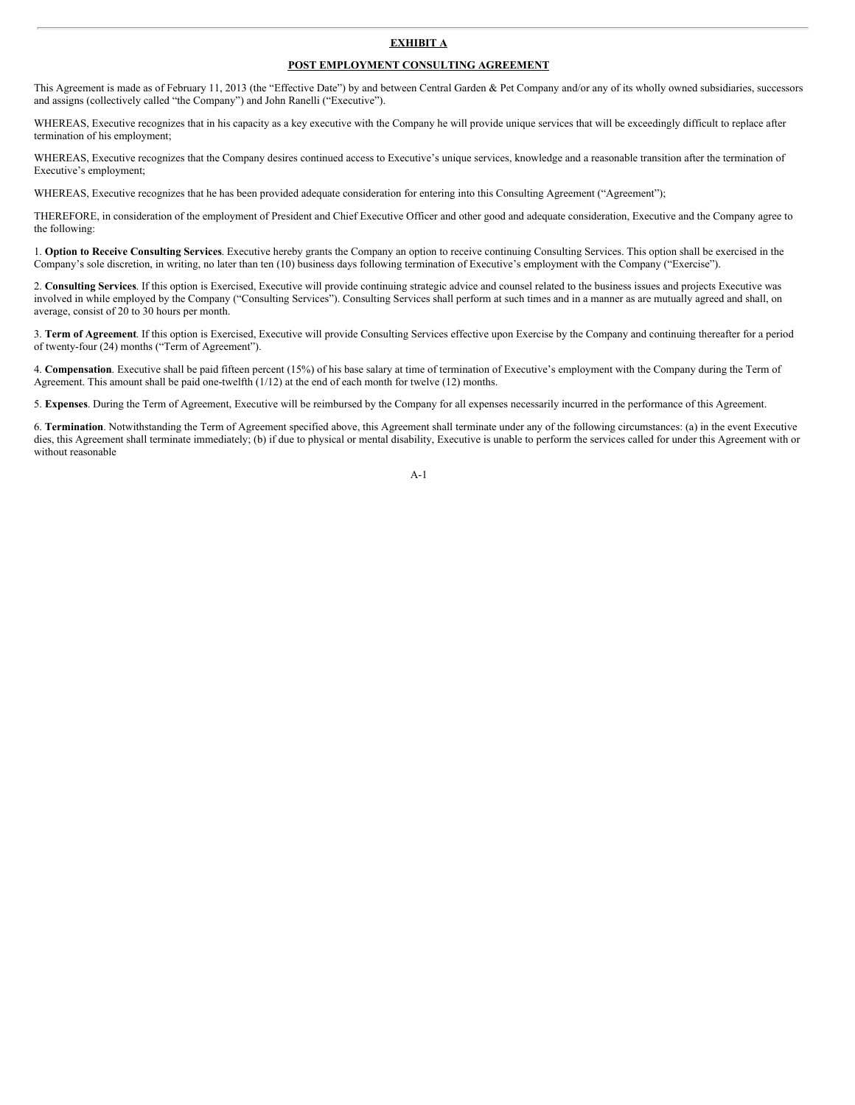## **EXHIBIT A**

## **POST EMPLOYMENT CONSULTING AGREEMENT**

This Agreement is made as of February 11, 2013 (the "Effective Date") by and between Central Garden & Pet Company and/or any of its wholly owned subsidiaries, successors and assigns (collectively called "the Company") and John Ranelli ("Executive").

WHEREAS, Executive recognizes that in his capacity as a key executive with the Company he will provide unique services that will be exceedingly difficult to replace after termination of his employment;

WHEREAS, Executive recognizes that the Company desires continued access to Executive's unique services, knowledge and a reasonable transition after the termination of Executive's employment;

WHEREAS, Executive recognizes that he has been provided adequate consideration for entering into this Consulting Agreement ("Agreement");

THEREFORE, in consideration of the employment of President and Chief Executive Officer and other good and adequate consideration, Executive and the Company agree to the following:

1. **Option to Receive Consulting Services**. Executive hereby grants the Company an option to receive continuing Consulting Services. This option shall be exercised in the Company's sole discretion, in writing, no later than ten (10) business days following termination of Executive's employment with the Company ("Exercise").

2. **Consulting Services**. If this option is Exercised, Executive will provide continuing strategic advice and counsel related to the business issues and projects Executive was involved in while employed by the Company ("Consulting Services"). Consulting Services shall perform at such times and in a manner as are mutually agreed and shall, on average, consist of 20 to 30 hours per month.

3. **Term of Agreement**. If this option is Exercised, Executive will provide Consulting Services effective upon Exercise by the Company and continuing thereafter for a period of twenty-four (24) months ("Term of Agreement").

4. **Compensation**. Executive shall be paid fifteen percent (15%) of his base salary at time of termination of Executive's employment with the Company during the Term of Agreement. This amount shall be paid one-twelfth (1/12) at the end of each month for twelve (12) months.

5. **Expenses**. During the Term of Agreement, Executive will be reimbursed by the Company for all expenses necessarily incurred in the performance of this Agreement.

6. **Termination**. Notwithstanding the Term of Agreement specified above, this Agreement shall terminate under any of the following circumstances: (a) in the event Executive dies, this Agreement shall terminate immediately; (b) if due to physical or mental disability, Executive is unable to perform the services called for under this Agreement with or without reasonable

A-1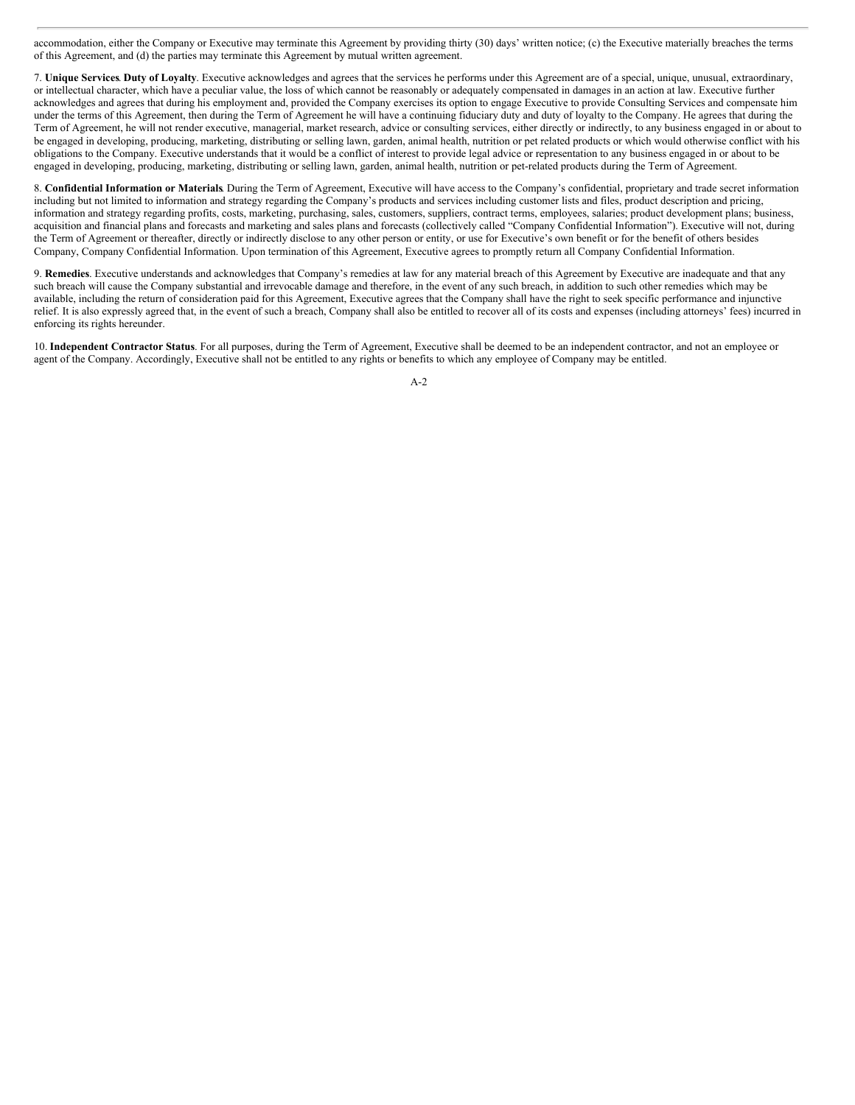accommodation, either the Company or Executive may terminate this Agreement by providing thirty (30) days' written notice; (c) the Executive materially breaches the terms of this Agreement, and (d) the parties may terminate this Agreement by mutual written agreement.

7. **Unique Services**. **Duty of Loyalty**. Executive acknowledges and agrees that the services he performs under this Agreement are of a special, unique, unusual, extraordinary, or intellectual character, which have a peculiar value, the loss of which cannot be reasonably or adequately compensated in damages in an action at law. Executive further acknowledges and agrees that during his employment and, provided the Company exercises its option to engage Executive to provide Consulting Services and compensate him under the terms of this Agreement, then during the Term of Agreement he will have a continuing fiduciary duty and duty of loyalty to the Company. He agrees that during the Term of Agreement, he will not render executive, managerial, market research, advice or consulting services, either directly or indirectly, to any business engaged in or about to be engaged in developing, producing, marketing, distributing or selling lawn, garden, animal health, nutrition or pet related products or which would otherwise conflict with his obligations to the Company. Executive understands that it would be a conflict of interest to provide legal advice or representation to any business engaged in or about to be engaged in developing, producing, marketing, distributing or selling lawn, garden, animal health, nutrition or pet-related products during the Term of Agreement.

8. **Confidential Information or Materials**. During the Term of Agreement, Executive will have access to the Company's confidential, proprietary and trade secret information including but not limited to information and strategy regarding the Company's products and services including customer lists and files, product description and pricing, information and strategy regarding profits, costs, marketing, purchasing, sales, customers, suppliers, contract terms, employees, salaries; product development plans; business, acquisition and financial plans and forecasts and marketing and sales plans and forecasts (collectively called "Company Confidential Information"). Executive will not, during the Term of Agreement or thereafter, directly or indirectly disclose to any other person or entity, or use for Executive's own benefit or for the benefit of others besides Company, Company Confidential Information. Upon termination of this Agreement, Executive agrees to promptly return all Company Confidential Information.

9. **Remedies**. Executive understands and acknowledges that Company's remedies at law for any material breach of this Agreement by Executive are inadequate and that any such breach will cause the Company substantial and irrevocable damage and therefore, in the event of any such breach, in addition to such other remedies which may be available, including the return of consideration paid for this Agreement, Executive agrees that the Company shall have the right to seek specific performance and injunctive relief. It is also expressly agreed that, in the event of such a breach, Company shall also be entitled to recover all of its costs and expenses (including attorneys' fees) incurred in enforcing its rights hereunder.

10. **Independent Contractor Status**. For all purposes, during the Term of Agreement, Executive shall be deemed to be an independent contractor, and not an employee or agent of the Company. Accordingly, Executive shall not be entitled to any rights or benefits to which any employee of Company may be entitled.

A-2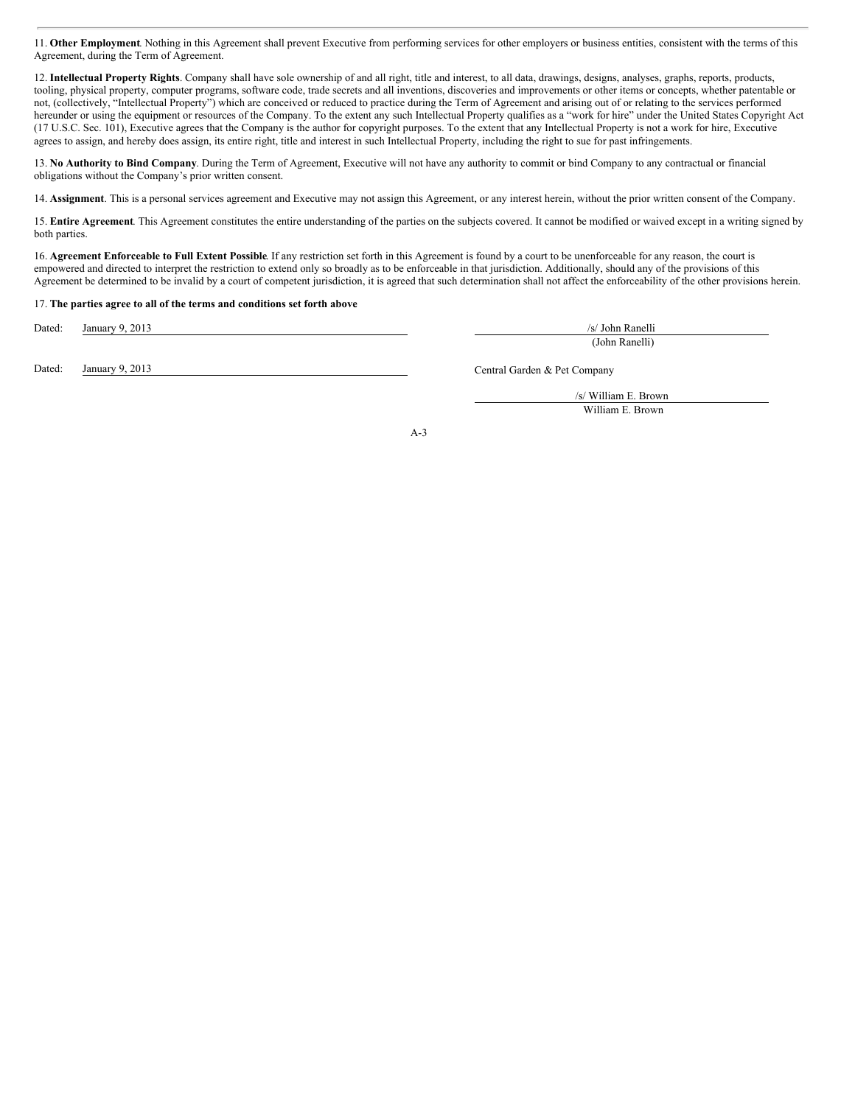11. **Other Employment**. Nothing in this Agreement shall prevent Executive from performing services for other employers or business entities, consistent with the terms of this Agreement, during the Term of Agreement.

12. **Intellectual Property Rights**. Company shall have sole ownership of and all right, title and interest, to all data, drawings, designs, analyses, graphs, reports, products, tooling, physical property, computer programs, software code, trade secrets and all inventions, discoveries and improvements or other items or concepts, whether patentable or not, (collectively, "Intellectual Property") which are conceived or reduced to practice during the Term of Agreement and arising out of or relating to the services performed hereunder or using the equipment or resources of the Company. To the extent any such Intellectual Property qualifies as a "work for hire" under the United States Copyright Act (17 U.S.C. Sec. 101), Executive agrees that the Company is the author for copyright purposes. To the extent that any Intellectual Property is not a work for hire, Executive agrees to assign, and hereby does assign, its entire right, title and interest in such Intellectual Property, including the right to sue for past infringements.

13. **No Authority to Bind Company**. During the Term of Agreement, Executive will not have any authority to commit or bind Company to any contractual or financial obligations without the Company's prior written consent.

14. **Assignment**. This is a personal services agreement and Executive may not assign this Agreement, or any interest herein, without the prior written consent of the Company.

15. **Entire Agreement**. This Agreement constitutes the entire understanding of the parties on the subjects covered. It cannot be modified or waived except in a writing signed by both parties.

16. **Agreement Enforceable to Full Extent Possible**. If any restriction set forth in this Agreement is found by a court to be unenforceable for any reason, the court is empowered and directed to interpret the restriction to extend only so broadly as to be enforceable in that jurisdiction. Additionally, should any of the provisions of this Agreement be determined to be invalid by a court of competent jurisdiction, it is agreed that such determination shall not affect the enforceability of the other provisions herein.

## 17. **The parties agree to all of the terms and conditions set forth above**.

| Dated:<br>January 9, 2013 |
|---------------------------|
|---------------------------|

/s/ John Ranelli (John Ranelli)

Dated: January 9, 2013 Central Garden & Pet Company

/s/ William E. Brown William E. Brown

A-3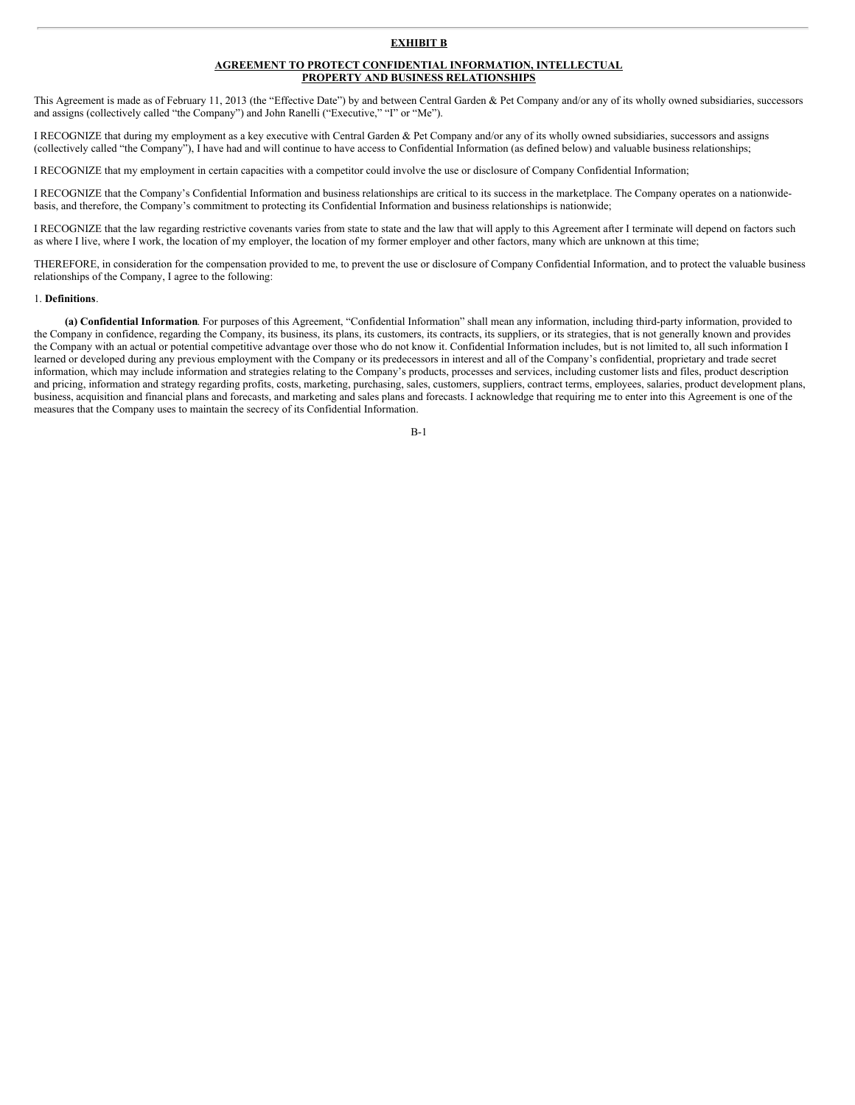#### **EXHIBIT B**

#### **AGREEMENT TO PROTECT CONFIDENTIAL INFORMATION, INTELLECTUAL PROPERTY AND BUSINESS RELATIONSHIPS**

This Agreement is made as of February 11, 2013 (the "Effective Date") by and between Central Garden & Pet Company and/or any of its wholly owned subsidiaries, successors and assigns (collectively called "the Company") and John Ranelli ("Executive," "I" or "Me").

I RECOGNIZE that during my employment as a key executive with Central Garden & Pet Company and/or any of its wholly owned subsidiaries, successors and assigns (collectively called "the Company"), I have had and will continue to have access to Confidential Information (as defined below) and valuable business relationships;

I RECOGNIZE that my employment in certain capacities with a competitor could involve the use or disclosure of Company Confidential Information;

I RECOGNIZE that the Company's Confidential Information and business relationships are critical to its success in the marketplace. The Company operates on a nationwidebasis, and therefore, the Company's commitment to protecting its Confidential Information and business relationships is nationwide;

I RECOGNIZE that the law regarding restrictive covenants varies from state to state and the law that will apply to this Agreement after I terminate will depend on factors such as where I live, where I work, the location of my employer, the location of my former employer and other factors, many which are unknown at this time;

THEREFORE, in consideration for the compensation provided to me, to prevent the use or disclosure of Company Confidential Information, and to protect the valuable business relationships of the Company, I agree to the following:

#### 1. **Definitions**.

**(a) Confidential Information**. For purposes of this Agreement, "Confidential Information" shall mean any information, including third-party information, provided to the Company in confidence, regarding the Company, its business, its plans, its customers, its contracts, its suppliers, or its strategies, that is not generally known and provides the Company with an actual or potential competitive advantage over those who do not know it. Confidential Information includes, but is not limited to, all such information I learned or developed during any previous employment with the Company or its predecessors in interest and all of the Company's confidential, proprietary and trade secret information, which may include information and strategies relating to the Company's products, processes and services, including customer lists and files, product description and pricing, information and strategy regarding profits, costs, marketing, purchasing, sales, customers, suppliers, contract terms, employees, salaries, product development plans, business, acquisition and financial plans and forecasts, and marketing and sales plans and forecasts. I acknowledge that requiring me to enter into this Agreement is one of the measures that the Company uses to maintain the secrecy of its Confidential Information.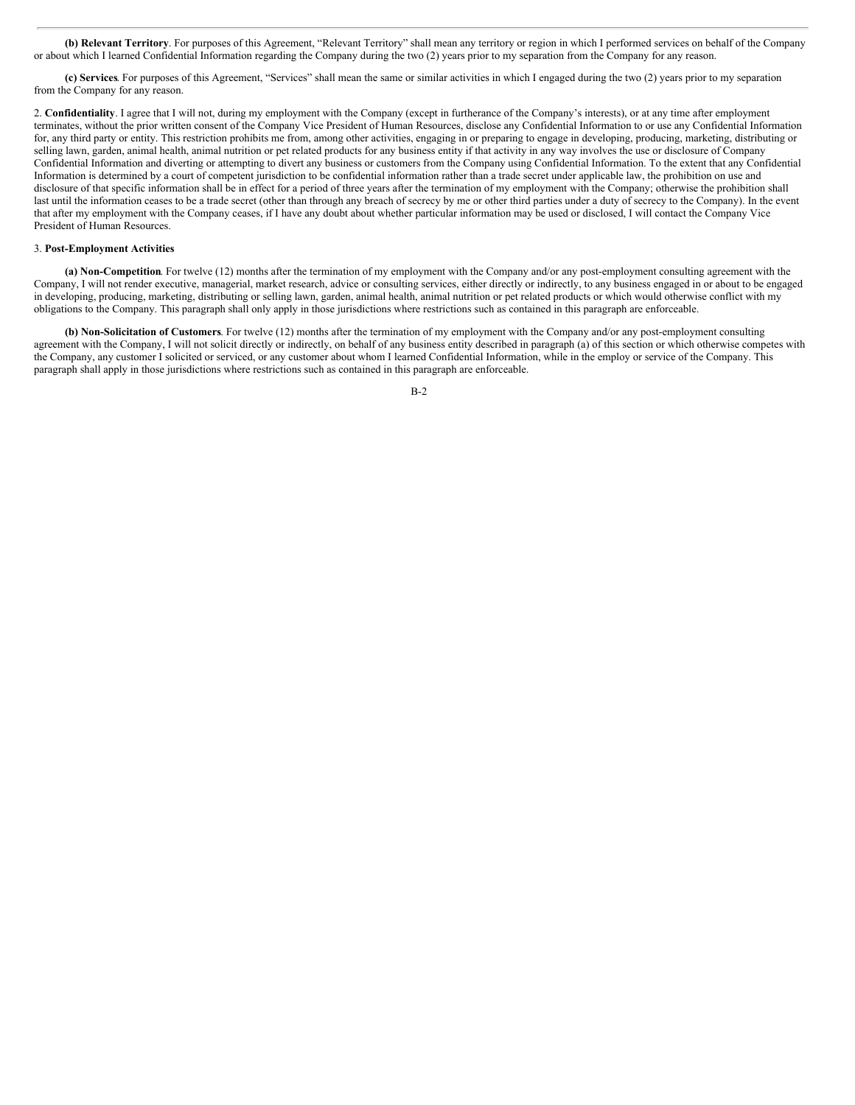**(b) Relevant Territory**. For purposes of this Agreement, "Relevant Territory" shall mean any territory or region in which I performed services on behalf of the Company or about which I learned Confidential Information regarding the Company during the two (2) years prior to my separation from the Company for any reason.

**(c) Services**. For purposes of this Agreement, "Services" shall mean the same or similar activities in which I engaged during the two (2) years prior to my separation from the Company for any reason.

2. **Confidentiality**. I agree that I will not, during my employment with the Company (except in furtherance of the Company's interests), or at any time after employment terminates, without the prior written consent of the Company Vice President of Human Resources, disclose any Confidential Information to or use any Confidential Information for, any third party or entity. This restriction prohibits me from, among other activities, engaging in or preparing to engage in developing, producing, marketing, distributing or selling lawn, garden, animal health, animal nutrition or pet related products for any business entity if that activity in any way involves the use or disclosure of Company Confidential Information and diverting or attempting to divert any business or customers from the Company using Confidential Information. To the extent that any Confidential Information is determined by a court of competent jurisdiction to be confidential information rather than a trade secret under applicable law, the prohibition on use and disclosure of that specific information shall be in effect for a period of three years after the termination of my employment with the Company; otherwise the prohibition shall last until the information ceases to be a trade secret (other than through any breach of secrecy by me or other third parties under a duty of secrecy to the Company). In the event that after my employment with the Company ceases, if I have any doubt about whether particular information may be used or disclosed, I will contact the Company Vice President of Human Resources.

#### 3. **Post-Employment Activities**

**(a) Non-Competition**. For twelve (12) months after the termination of my employment with the Company and/or any post-employment consulting agreement with the Company, I will not render executive, managerial, market research, advice or consulting services, either directly or indirectly, to any business engaged in or about to be engaged in developing, producing, marketing, distributing or selling lawn, garden, animal health, animal nutrition or pet related products or which would otherwise conflict with my obligations to the Company. This paragraph shall only apply in those jurisdictions where restrictions such as contained in this paragraph are enforceable.

**(b) Non-Solicitation of Customers**. For twelve (12) months after the termination of my employment with the Company and/or any post-employment consulting agreement with the Company, I will not solicit directly or indirectly, on behalf of any business entity described in paragraph (a) of this section or which otherwise competes with the Company, any customer I solicited or serviced, or any customer about whom I learned Confidential Information, while in the employ or service of the Company. This paragraph shall apply in those jurisdictions where restrictions such as contained in this paragraph are enforceable.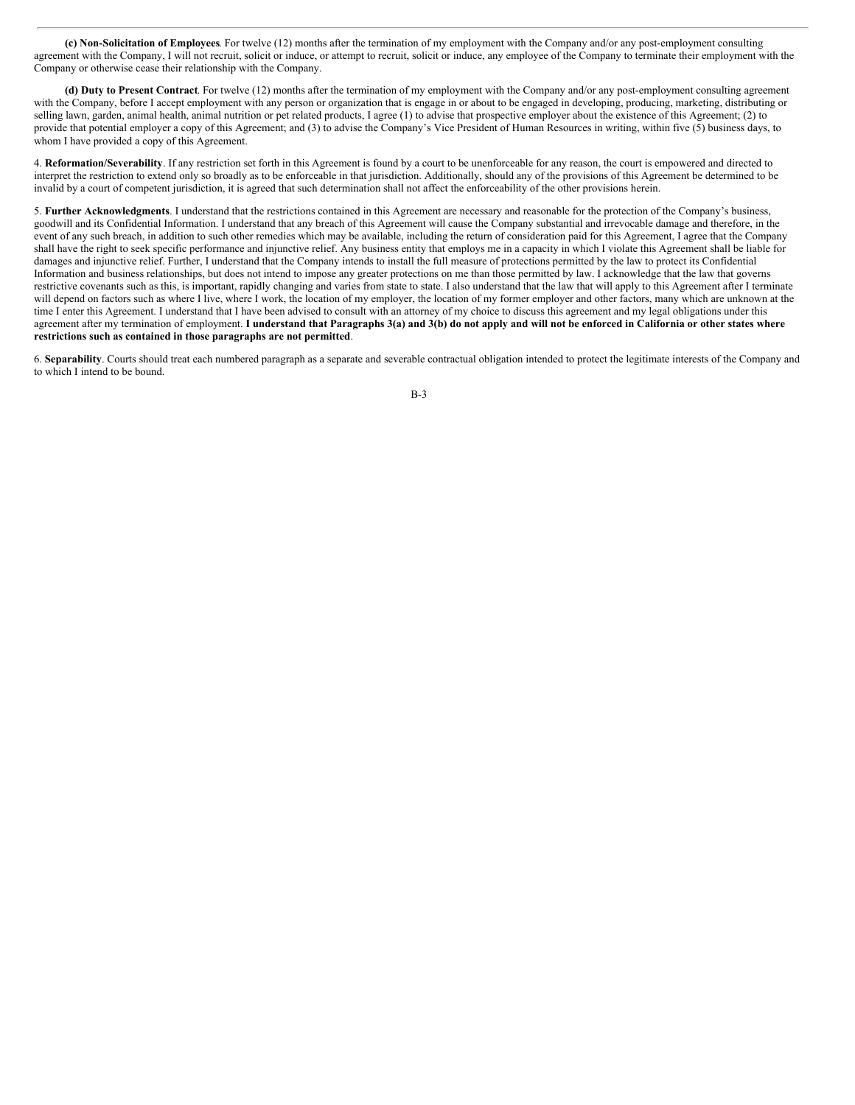**(c) Non-Solicitation of Employees**. For twelve (12) months after the termination of my employment with the Company and/or any post-employment consulting agreement with the Company, I will not recruit, solicit or induce, or attempt to recruit, solicit or induce, any employee of the Company to terminate their employment with the Company or otherwise cease their relationship with the Company.

**(d) Duty to Present Contract**. For twelve (12) months after the termination of my employment with the Company and/or any post-employment consulting agreement with the Company, before I accept employment with any person or organization that is engage in or about to be engaged in developing, producing, marketing, distributing or selling lawn, garden, animal health, animal nutrition or pet related products, I agree (1) to advise that prospective employer about the existence of this Agreement; (2) to provide that potential employer a copy of this Agreement; and (3) to advise the Company's Vice President of Human Resources in writing, within five (5) business days, to whom I have provided a copy of this Agreement.

4. **Reformation/Severability**. If any restriction set forth in this Agreement is found by a court to be unenforceable for any reason, the court is empowered and directed to interpret the restriction to extend only so broadly as to be enforceable in that jurisdiction. Additionally, should any of the provisions of this Agreement be determined to be invalid by a court of competent jurisdiction, it is agreed that such determination shall not affect the enforceability of the other provisions herein.

5. **Further Acknowledgments**. I understand that the restrictions contained in this Agreement are necessary and reasonable for the protection of the Company's business, goodwill and its Confidential Information. I understand that any breach of this Agreement will cause the Company substantial and irrevocable damage and therefore, in the event of any such breach, in addition to such other remedies which may be available, including the return of consideration paid for this Agreement, I agree that the Company shall have the right to seek specific performance and injunctive relief. Any business entity that employs me in a capacity in which I violate this Agreement shall be liable for damages and injunctive relief. Further, I understand that the Company intends to install the full measure of protections permitted by the law to protect its Confidential Information and business relationships, but does not intend to impose any greater protections on me than those permitted by law. I acknowledge that the law that governs restrictive covenants such as this, is important, rapidly changing and varies from state to state. I also understand that the law that will apply to this Agreement after I terminate will depend on factors such as where I live, where I work, the location of my employer, the location of my former employer and other factors, many which are unknown at the time I enter this Agreement. I understand that I have been advised to consult with an attorney of my choice to discuss this agreement and my legal obligations under this agreement after my termination of employment. I understand that Paragraphs 3(a) and 3(b) do not apply and will not be enforced in California or other states where **restrictions such as contained in those paragraphs are not permitted**.

6. **Separability**. Courts should treat each numbered paragraph as a separate and severable contractual obligation intended to protect the legitimate interests of the Company and to which I intend to be bound.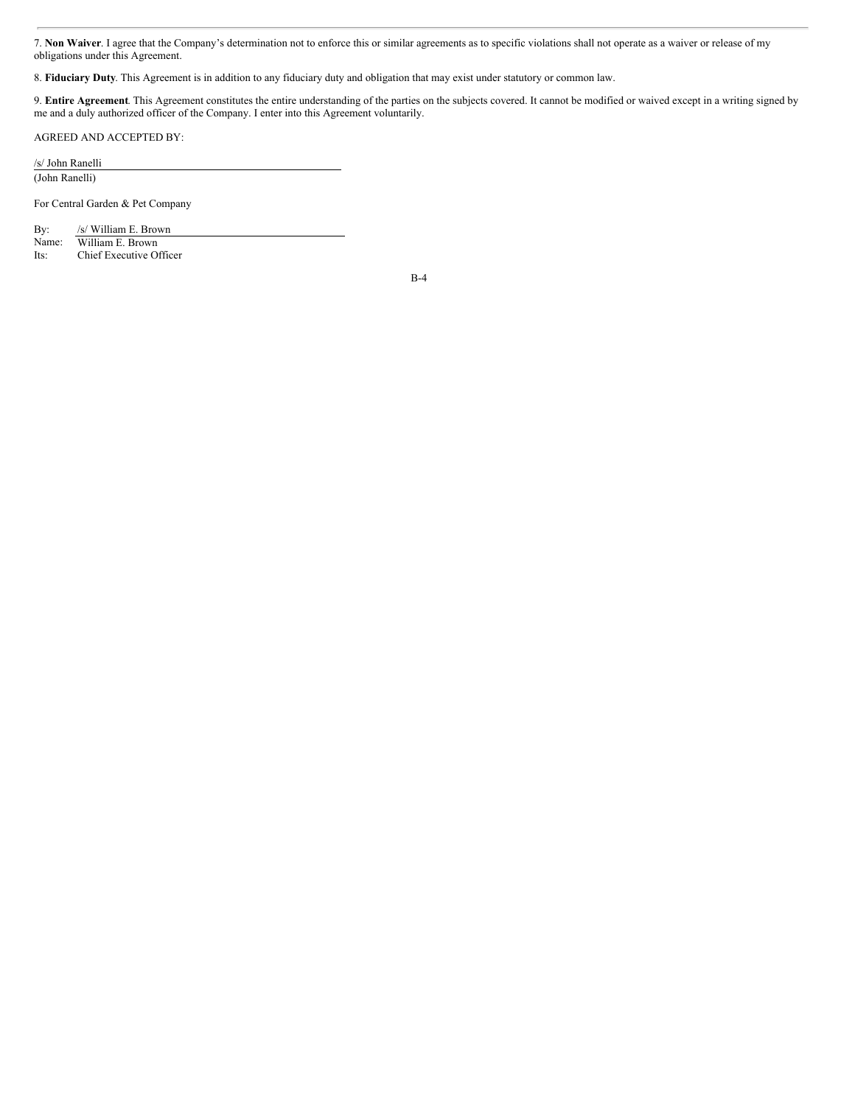7. **Non Waiver**. I agree that the Company's determination not to enforce this or similar agreements as to specific violations shall not operate as a waiver or release of my obligations under this Agreement.

8. **Fiduciary Duty**. This Agreement is in addition to any fiduciary duty and obligation that may exist under statutory or common law.

9. **Entire Agreement**. This Agreement constitutes the entire understanding of the parties on the subjects covered. It cannot be modified or waived except in a writing signed by me and a duly authorized officer of the Company. I enter into this Agreement voluntarily.

AGREED AND ACCEPTED BY:

/s/ John Ranelli (John Ranelli)

For Central Garden & Pet Company

By: /s/ William E. Brown Name: William E. Brown

Its: Chief Executive Officer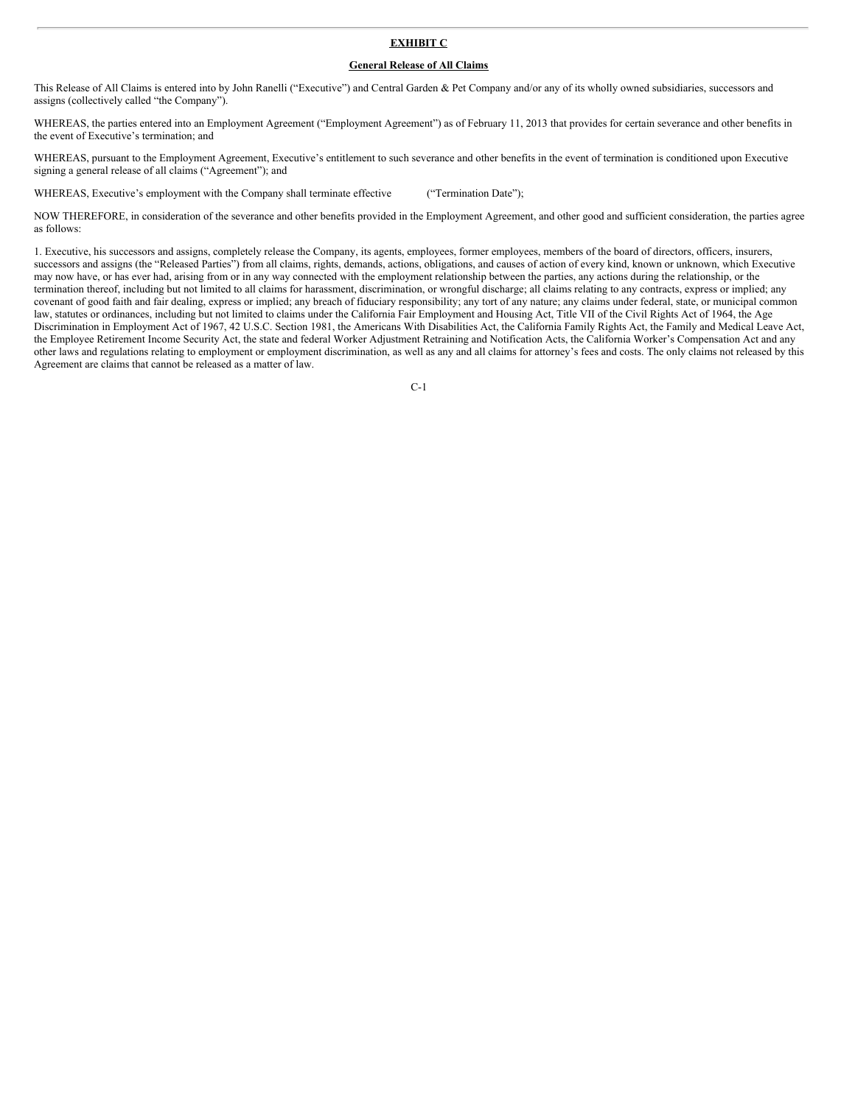## **EXHIBIT C**

#### **General Release of All Claims**

This Release of All Claims is entered into by John Ranelli ("Executive") and Central Garden & Pet Company and/or any of its wholly owned subsidiaries, successors and assigns (collectively called "the Company").

WHEREAS, the parties entered into an Employment Agreement ("Employment Agreement") as of February 11, 2013 that provides for certain severance and other benefits in the event of Executive's termination; and

WHEREAS, pursuant to the Employment Agreement, Executive's entitlement to such severance and other benefits in the event of termination is conditioned upon Executive signing a general release of all claims ("Agreement"); and

WHEREAS, Executive's employment with the Company shall terminate effective ("Termination Date");

NOW THEREFORE, in consideration of the severance and other benefits provided in the Employment Agreement, and other good and sufficient consideration, the parties agree as follows:

1. Executive, his successors and assigns, completely release the Company, its agents, employees, former employees, members of the board of directors, officers, insurers, successors and assigns (the "Released Parties") from all claims, rights, demands, actions, obligations, and causes of action of every kind, known or unknown, which Executive may now have, or has ever had, arising from or in any way connected with the employment relationship between the parties, any actions during the relationship, or the termination thereof, including but not limited to all claims for harassment, discrimination, or wrongful discharge; all claims relating to any contracts, express or implied; any covenant of good faith and fair dealing, express or implied; any breach of fiduciary responsibility; any tort of any nature; any claims under federal, state, or municipal common law, statutes or ordinances, including but not limited to claims under the California Fair Employment and Housing Act, Title VII of the Civil Rights Act of 1964, the Age Discrimination in Employment Act of 1967, 42 U.S.C. Section 1981, the Americans With Disabilities Act, the California Family Rights Act, the Family and Medical Leave Act, the Employee Retirement Income Security Act, the state and federal Worker Adjustment Retraining and Notification Acts, the California Worker's Compensation Act and any other laws and regulations relating to employment or employment discrimination, as well as any and all claims for attorney's fees and costs. The only claims not released by this Agreement are claims that cannot be released as a matter of law.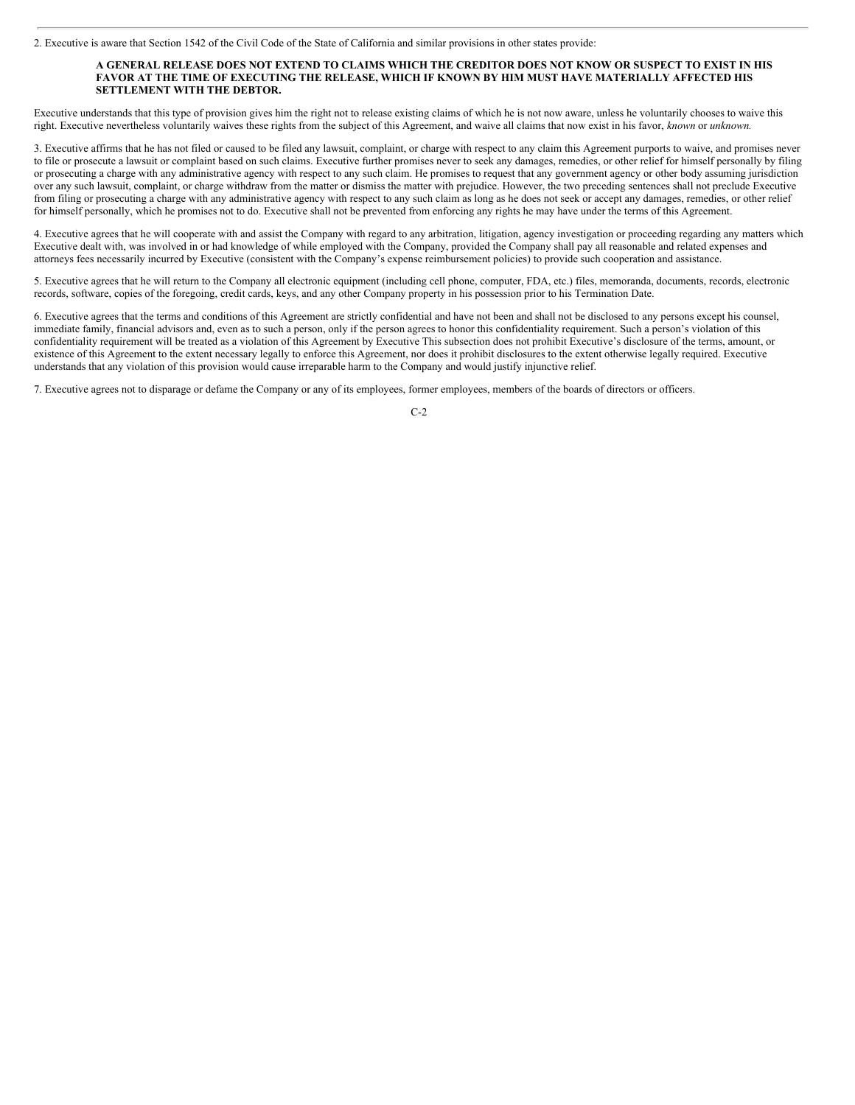2. Executive is aware that Section 1542 of the Civil Code of the State of California and similar provisions in other states provide:

## A GENERAL RELEASE DOES NOT EXTEND TO CLAIMS WHICH THE CREDITOR DOES NOT KNOW OR SUSPECT TO EXIST IN HIS FAVOR AT THE TIME OF EXECUTING THE RELEASE, WHICH IF KNOWN BY HIM MUST HAVE MATERIALLY AFFECTED HIS **SETTLEMENT WITH THE DEBTOR.**

Executive understands that this type of provision gives him the right not to release existing claims of which he is not now aware, unless he voluntarily chooses to waive this right. Executive nevertheless voluntarily waives these rights from the subject of this Agreement, and waive all claims that now exist in his favor, *known* or *unknown.*

3. Executive affirms that he has not filed or caused to be filed any lawsuit, complaint, or charge with respect to any claim this Agreement purports to waive, and promises never to file or prosecute a lawsuit or complaint based on such claims. Executive further promises never to seek any damages, remedies, or other relief for himself personally by filing or prosecuting a charge with any administrative agency with respect to any such claim. He promises to request that any government agency or other body assuming jurisdiction over any such lawsuit, complaint, or charge withdraw from the matter or dismiss the matter with prejudice. However, the two preceding sentences shall not preclude Executive from filing or prosecuting a charge with any administrative agency with respect to any such claim as long as he does not seek or accept any damages, remedies, or other relief for himself personally, which he promises not to do. Executive shall not be prevented from enforcing any rights he may have under the terms of this Agreement.

4. Executive agrees that he will cooperate with and assist the Company with regard to any arbitration, litigation, agency investigation or proceeding regarding any matters which Executive dealt with, was involved in or had knowledge of while employed with the Company, provided the Company shall pay all reasonable and related expenses and attorneys fees necessarily incurred by Executive (consistent with the Company's expense reimbursement policies) to provide such cooperation and assistance.

5. Executive agrees that he will return to the Company all electronic equipment (including cell phone, computer, FDA, etc.) files, memoranda, documents, records, electronic records, software, copies of the foregoing, credit cards, keys, and any other Company property in his possession prior to his Termination Date.

6. Executive agrees that the terms and conditions of this Agreement are strictly confidential and have not been and shall not be disclosed to any persons except his counsel, immediate family, financial advisors and, even as to such a person, only if the person agrees to honor this confidentiality requirement. Such a person's violation of this confidentiality requirement will be treated as a violation of this Agreement by Executive This subsection does not prohibit Executive's disclosure of the terms, amount, or existence of this Agreement to the extent necessary legally to enforce this Agreement, nor does it prohibit disclosures to the extent otherwise legally required. Executive understands that any violation of this provision would cause irreparable harm to the Company and would justify injunctive relief.

7. Executive agrees not to disparage or defame the Company or any of its employees, former employees, members of the boards of directors or officers.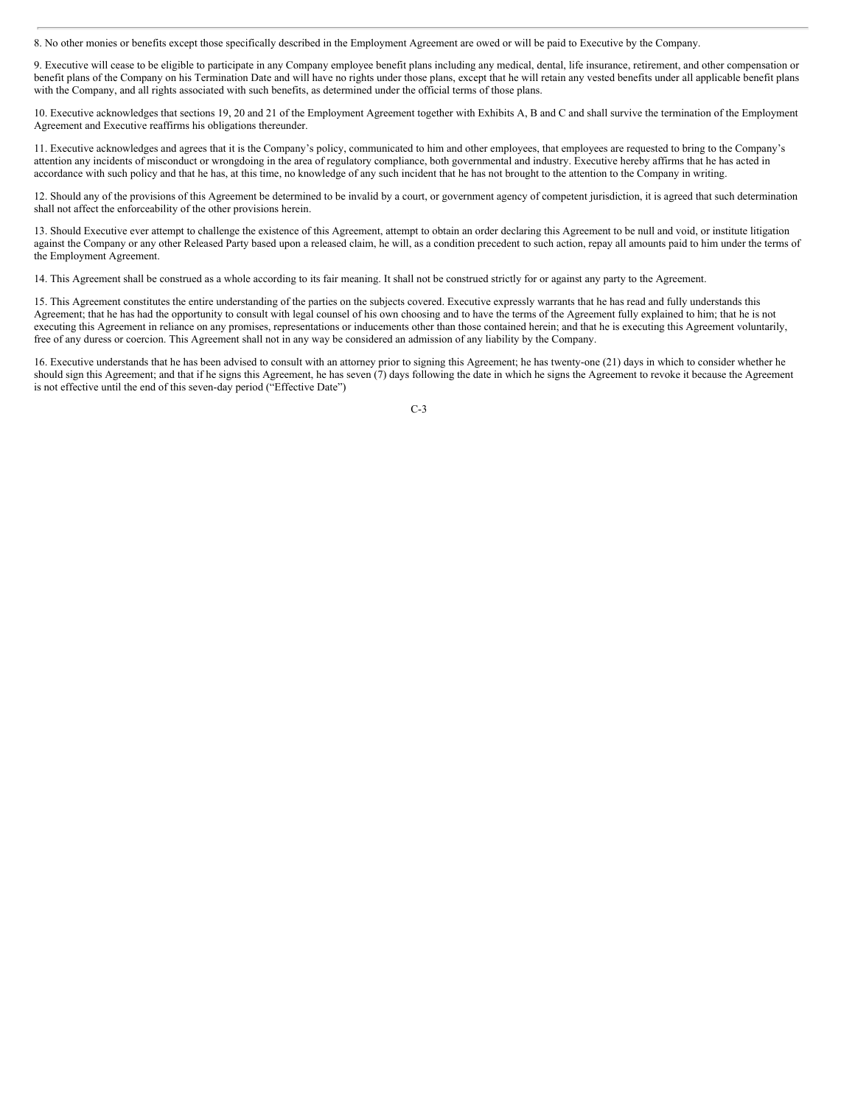8. No other monies or benefits except those specifically described in the Employment Agreement are owed or will be paid to Executive by the Company.

9. Executive will cease to be eligible to participate in any Company employee benefit plans including any medical, dental, life insurance, retirement, and other compensation or benefit plans of the Company on his Termination Date and will have no rights under those plans, except that he will retain any vested benefits under all applicable benefit plans with the Company, and all rights associated with such benefits, as determined under the official terms of those plans.

10. Executive acknowledges that sections 19, 20 and 21 of the Employment Agreement together with Exhibits A, B and C and shall survive the termination of the Employment Agreement and Executive reaffirms his obligations thereunder.

11. Executive acknowledges and agrees that it is the Company's policy, communicated to him and other employees, that employees are requested to bring to the Company's attention any incidents of misconduct or wrongdoing in the area of regulatory compliance, both governmental and industry. Executive hereby affirms that he has acted in accordance with such policy and that he has, at this time, no knowledge of any such incident that he has not brought to the attention to the Company in writing.

12. Should any of the provisions of this Agreement be determined to be invalid by a court, or government agency of competent jurisdiction, it is agreed that such determination shall not affect the enforceability of the other provisions herein.

13. Should Executive ever attempt to challenge the existence of this Agreement, attempt to obtain an order declaring this Agreement to be null and void, or institute litigation against the Company or any other Released Party based upon a released claim, he will, as a condition precedent to such action, repay all amounts paid to him under the terms of the Employment Agreement.

14. This Agreement shall be construed as a whole according to its fair meaning. It shall not be construed strictly for or against any party to the Agreement.

15. This Agreement constitutes the entire understanding of the parties on the subjects covered. Executive expressly warrants that he has read and fully understands this Agreement; that he has had the opportunity to consult with legal counsel of his own choosing and to have the terms of the Agreement fully explained to him; that he is not executing this Agreement in reliance on any promises, representations or inducements other than those contained herein; and that he is executing this Agreement voluntarily, free of any duress or coercion. This Agreement shall not in any way be considered an admission of any liability by the Company.

16. Executive understands that he has been advised to consult with an attorney prior to signing this Agreement; he has twenty-one (21) days in which to consider whether he should sign this Agreement; and that if he signs this Agreement, he has seven (7) days following the date in which he signs the Agreement to revoke it because the Agreement is not effective until the end of this seven-day period ("Effective Date")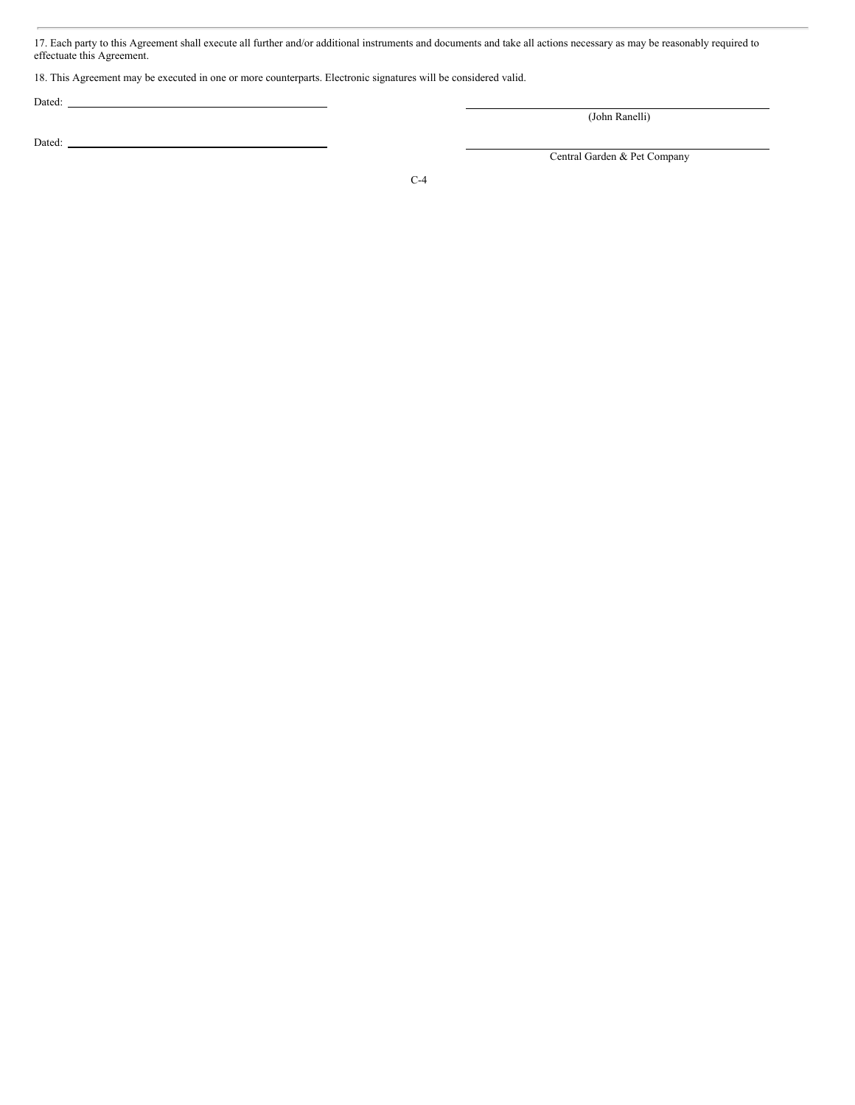17. Each party to this Agreement shall execute all further and/or additional instruments and documents and take all actions necessary as may be reasonably required to effectuate this Agreement.

18. This Agreement may be executed in one or more counterparts. Electronic signatures will be considered valid.

Dated: \_

(John Ranelli)

Dated:

Central Garden & Pet Company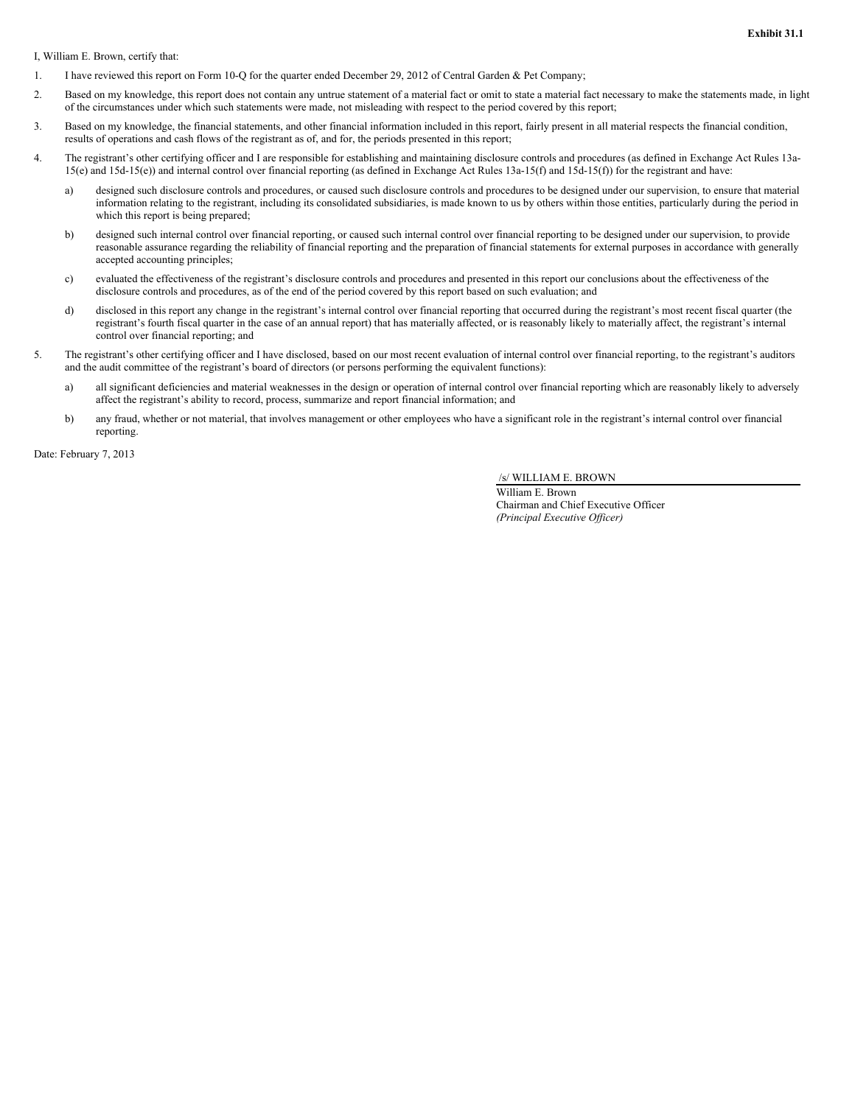I, William E. Brown, certify that:

- 1. I have reviewed this report on Form 10-Q for the quarter ended December 29, 2012 of Central Garden & Pet Company;
- 2. Based on my knowledge, this report does not contain any untrue statement of a material fact or omit to state a material fact necessary to make the statements made, in light of the circumstances under which such statements were made, not misleading with respect to the period covered by this report;
- 3. Based on my knowledge, the financial statements, and other financial information included in this report, fairly present in all material respects the financial condition, results of operations and cash flows of the registrant as of, and for, the periods presented in this report;
- 4. The registrant's other certifying officer and I are responsible for establishing and maintaining disclosure controls and procedures (as defined in Exchange Act Rules 13a-15(e) and 15d-15(e)) and internal control over financial reporting (as defined in Exchange Act Rules 13a-15(f) and 15d-15(f)) for the registrant and have:
	- a) designed such disclosure controls and procedures, or caused such disclosure controls and procedures to be designed under our supervision, to ensure that material information relating to the registrant, including its consolidated subsidiaries, is made known to us by others within those entities, particularly during the period in which this report is being prepared;
	- b) designed such internal control over financial reporting, or caused such internal control over financial reporting to be designed under our supervision, to provide reasonable assurance regarding the reliability of financial reporting and the preparation of financial statements for external purposes in accordance with generally accepted accounting principles;
	- c) evaluated the effectiveness of the registrant's disclosure controls and procedures and presented in this report our conclusions about the effectiveness of the disclosure controls and procedures, as of the end of the period covered by this report based on such evaluation; and
	- d) disclosed in this report any change in the registrant's internal control over financial reporting that occurred during the registrant's most recent fiscal quarter (the registrant's fourth fiscal quarter in the case of an annual report) that has materially affected, or is reasonably likely to materially affect, the registrant's internal control over financial reporting; and
- 5. The registrant's other certifying officer and I have disclosed, based on our most recent evaluation of internal control over financial reporting, to the registrant's auditors and the audit committee of the registrant's board of directors (or persons performing the equivalent functions):
	- a) all significant deficiencies and material weaknesses in the design or operation of internal control over financial reporting which are reasonably likely to adversely affect the registrant's ability to record, process, summarize and report financial information; and
	- b) any fraud, whether or not material, that involves management or other employees who have a significant role in the registrant's internal control over financial reporting.

Date: February 7, 2013

/s/ WILLIAM E. BROWN

William E. Brown Chairman and Chief Executive Officer *(Principal Executive Of icer)*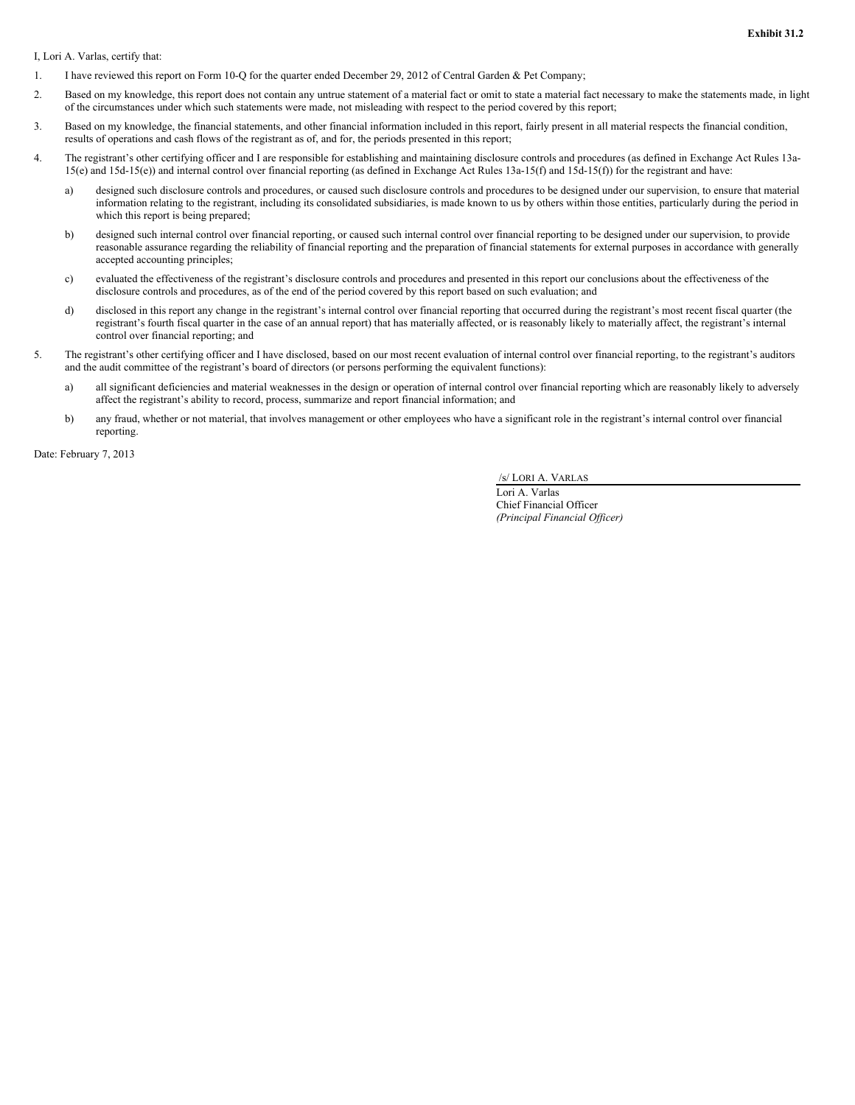I, Lori A. Varlas, certify that:

- 1. I have reviewed this report on Form 10-Q for the quarter ended December 29, 2012 of Central Garden & Pet Company;
- 2. Based on my knowledge, this report does not contain any untrue statement of a material fact or omit to state a material fact necessary to make the statements made, in light of the circumstances under which such statements were made, not misleading with respect to the period covered by this report;
- 3. Based on my knowledge, the financial statements, and other financial information included in this report, fairly present in all material respects the financial condition, results of operations and cash flows of the registrant as of, and for, the periods presented in this report;
- 4. The registrant's other certifying officer and I are responsible for establishing and maintaining disclosure controls and procedures (as defined in Exchange Act Rules 13a-15(e) and 15d-15(e)) and internal control over financial reporting (as defined in Exchange Act Rules 13a-15(f) and 15d-15(f)) for the registrant and have:
	- a) designed such disclosure controls and procedures, or caused such disclosure controls and procedures to be designed under our supervision, to ensure that material information relating to the registrant, including its consolidated subsidiaries, is made known to us by others within those entities, particularly during the period in which this report is being prepared;
	- b) designed such internal control over financial reporting, or caused such internal control over financial reporting to be designed under our supervision, to provide reasonable assurance regarding the reliability of financial reporting and the preparation of financial statements for external purposes in accordance with generally accepted accounting principles;
	- c) evaluated the effectiveness of the registrant's disclosure controls and procedures and presented in this report our conclusions about the effectiveness of the disclosure controls and procedures, as of the end of the period covered by this report based on such evaluation; and
	- d) disclosed in this report any change in the registrant's internal control over financial reporting that occurred during the registrant's most recent fiscal quarter (the registrant's fourth fiscal quarter in the case of an annual report) that has materially affected, or is reasonably likely to materially affect, the registrant's internal control over financial reporting; and
- 5. The registrant's other certifying officer and I have disclosed, based on our most recent evaluation of internal control over financial reporting, to the registrant's auditors and the audit committee of the registrant's board of directors (or persons performing the equivalent functions):
	- a) all significant deficiencies and material weaknesses in the design or operation of internal control over financial reporting which are reasonably likely to adversely affect the registrant's ability to record, process, summarize and report financial information; and
	- b) any fraud, whether or not material, that involves management or other employees who have a significant role in the registrant's internal control over financial reporting.

Date: February 7, 2013

/s/ LORI A. VARLAS

Lori A. Varlas Chief Financial Officer *(Principal Financial Of icer)*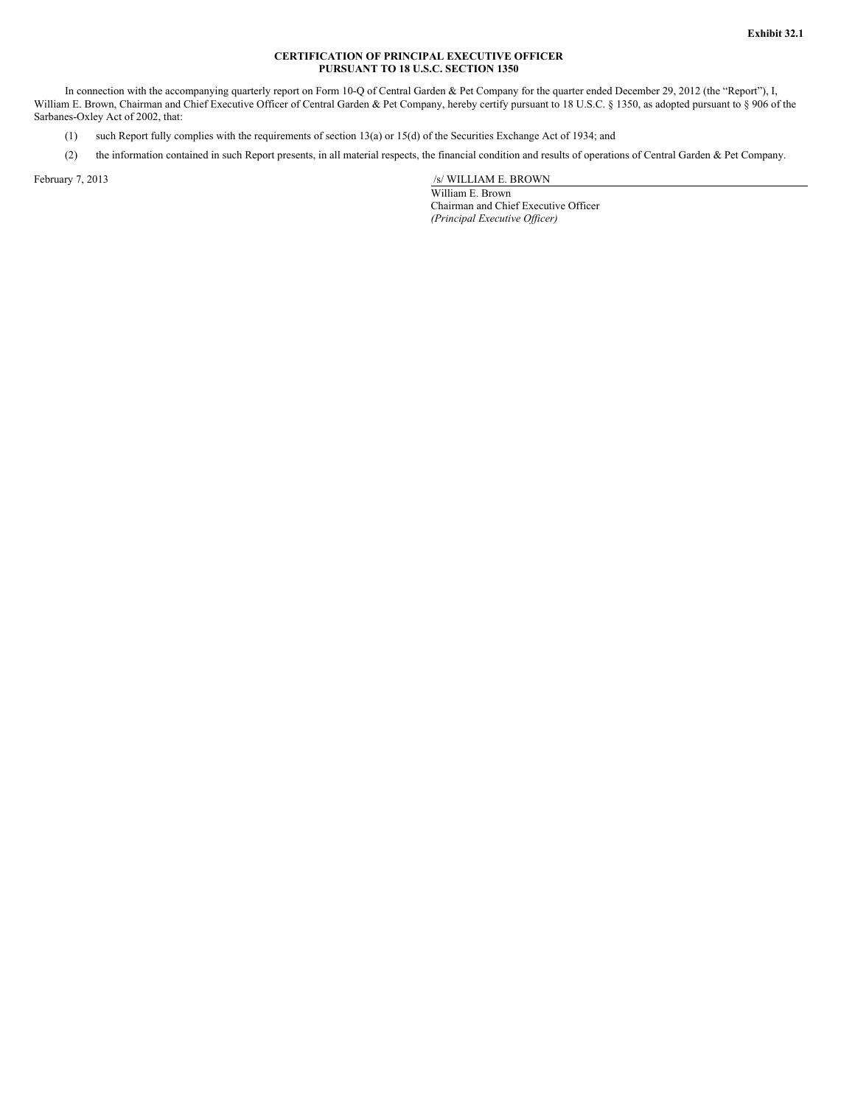## **CERTIFICATION OF PRINCIPAL EXECUTIVE OFFICER PURSUANT TO 18 U.S.C. SECTION 1350**

In connection with the accompanying quarterly report on Form 10-Q of Central Garden & Pet Company for the quarter ended December 29, 2012 (the "Report"), I, William E. Brown, Chairman and Chief Executive Officer of Central Garden & Pet Company, hereby certify pursuant to 18 U.S.C. § 1350, as adopted pursuant to § 906 of the Sarbanes-Oxley Act of 2002, that:

- (1) such Report fully complies with the requirements of section 13(a) or 15(d) of the Securities Exchange Act of 1934; and
- (2) the information contained in such Report presents, in all material respects, the financial condition and results of operations of Central Garden & Pet Company.

February 7, 2013 /s/ WILLIAM E. BROWN

William E. Brown Chairman and Chief Executive Officer *(Principal Executive Of icer)*